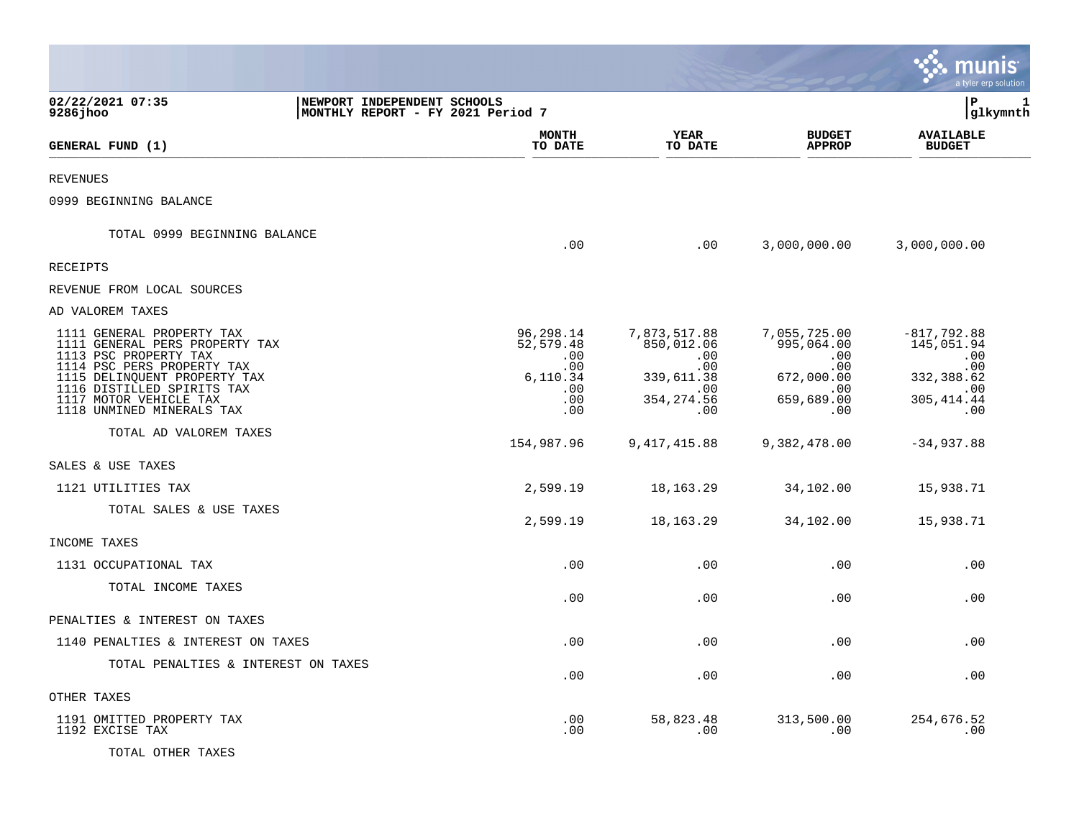|                                                                                          |                                                                  |                                   |                                          | IIS<br>I tyler erp solution        |
|------------------------------------------------------------------------------------------|------------------------------------------------------------------|-----------------------------------|------------------------------------------|------------------------------------|
| 02/22/2021 07:35<br>9286 jhoo                                                            | NEWPORT INDEPENDENT SCHOOLS<br>MONTHLY REPORT - FY 2021 Period 7 |                                   |                                          | l P<br>$\mathbf{1}$<br> glkymnth   |
| GENERAL FUND (1)                                                                         | <b>MONTH</b><br>TO DATE                                          | YEAR<br>TO DATE                   | <b>BUDGET</b><br><b>APPROP</b>           | <b>AVAILABLE</b><br><b>BUDGET</b>  |
| <b>REVENUES</b>                                                                          |                                                                  |                                   |                                          |                                    |
| 0999 BEGINNING BALANCE                                                                   |                                                                  |                                   |                                          |                                    |
| TOTAL 0999 BEGINNING BALANCE                                                             | .00                                                              | .00                               | 3,000,000.00                             | 3,000,000.00                       |
| <b>RECEIPTS</b>                                                                          |                                                                  |                                   |                                          |                                    |
| REVENUE FROM LOCAL SOURCES                                                               |                                                                  |                                   |                                          |                                    |
| AD VALOREM TAXES                                                                         |                                                                  |                                   |                                          |                                    |
| 1111 GENERAL PROPERTY TAX<br>1111 GENERAL PERS PROPERTY TAX<br>1113 PSC PROPERTY TAX     | 96,298.14<br>52,579.48<br>.00<br>.00                             | 7,873,517.88<br>850,012.06<br>.00 | 7,055,725.00<br>995,064.00<br>.00<br>.00 | $-817,792.88$<br>145,051.94<br>.00 |
| 1114 PSC PERS PROPERTY TAX<br>1115 DELINQUENT PROPERTY TAX<br>1116 DISTILLED SPIRITS TAX | 6,110.34<br>.00                                                  | .00<br>339,611.38<br>.00          | 672,000.00<br>.00                        | .00<br>332,388.62<br>.00           |
| 1117 MOTOR VEHICLE TAX<br>1118 UNMINED MINERALS TAX                                      | .00<br>.00                                                       | 354, 274.56<br>.00                | 659,689.00<br>.00                        | 305, 414.44<br>.00                 |
| TOTAL AD VALOREM TAXES                                                                   | 154,987.96                                                       | 9,417,415.88                      | 9,382,478.00                             | $-34,937.88$                       |
| SALES & USE TAXES                                                                        |                                                                  |                                   |                                          |                                    |
| 1121 UTILITIES TAX                                                                       | 2,599.19                                                         | 18,163.29                         | 34,102.00                                | 15,938.71                          |
| TOTAL SALES & USE TAXES                                                                  | 2,599.19                                                         | 18,163.29                         | 34,102.00                                | 15,938.71                          |
| INCOME TAXES                                                                             |                                                                  |                                   |                                          |                                    |
| 1131 OCCUPATIONAL TAX                                                                    | .00                                                              | .00                               | .00                                      | .00                                |
| TOTAL INCOME TAXES                                                                       | .00                                                              | .00                               | .00                                      | .00                                |
| PENALTIES & INTEREST ON TAXES                                                            |                                                                  |                                   |                                          |                                    |
| 1140 PENALTIES & INTEREST ON TAXES                                                       | .00                                                              | .00                               | .00                                      | .00                                |
| TOTAL PENALTIES & INTEREST ON TAXES                                                      | .00                                                              | .00                               | .00                                      | .00                                |
| OTHER TAXES                                                                              |                                                                  |                                   |                                          |                                    |
| 1191 OMITTED PROPERTY TAX<br>1192 EXCISE TAX                                             | .00<br>.00                                                       | 58,823.48<br>.00                  | 313,500.00<br>.00                        | 254,676.52<br>.00                  |
| TOTAL OTHER TAXES                                                                        |                                                                  |                                   |                                          |                                    |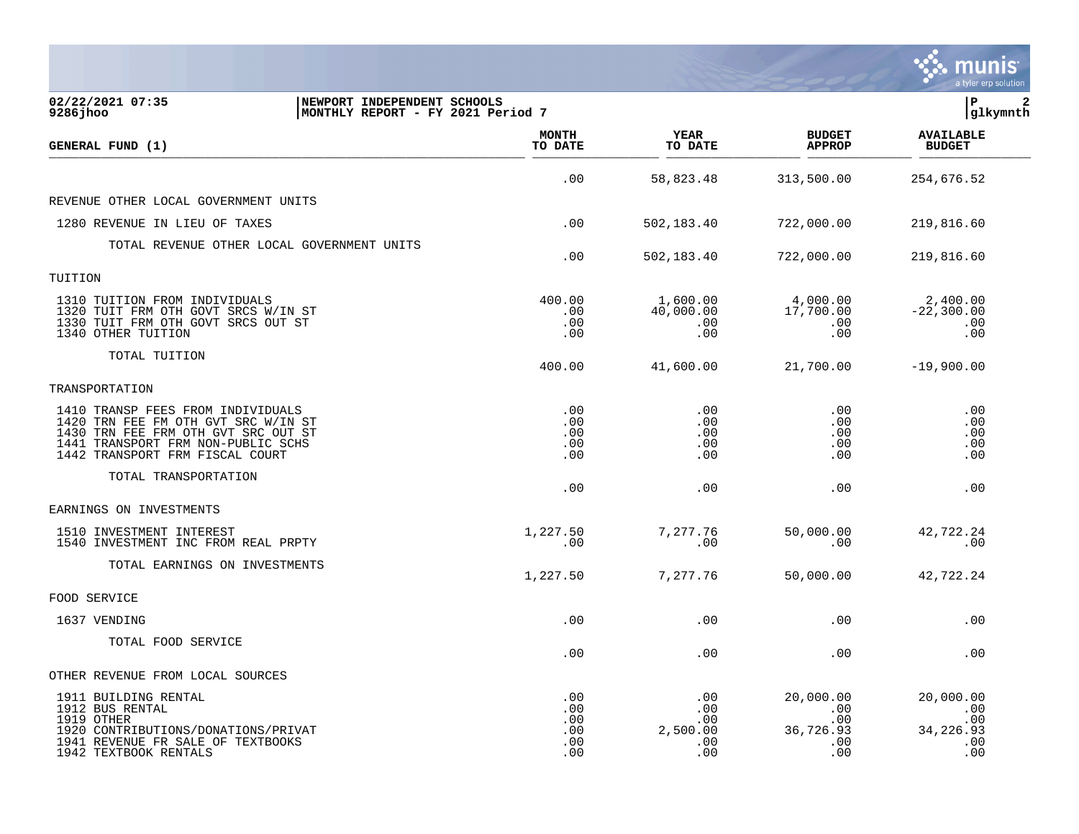|                                                                                                                                                                                          |                                        |                                             |                                                    | a tyler erp solution                                |
|------------------------------------------------------------------------------------------------------------------------------------------------------------------------------------------|----------------------------------------|---------------------------------------------|----------------------------------------------------|-----------------------------------------------------|
| 02/22/2021 07:35<br>NEWPORT INDEPENDENT SCHOOLS<br>9286 jhoo<br>MONTHLY REPORT - FY 2021 Period 7                                                                                        |                                        |                                             |                                                    | ΙP<br>2<br> glkymnth                                |
| GENERAL FUND (1)                                                                                                                                                                         | <b>MONTH</b><br>TO DATE                | <b>YEAR</b><br>TO DATE                      | <b>BUDGET</b><br><b>APPROP</b>                     | <b>AVAILABLE</b><br><b>BUDGET</b>                   |
|                                                                                                                                                                                          | .00                                    | 58,823.48                                   | 313,500.00                                         | 254,676.52                                          |
| REVENUE OTHER LOCAL GOVERNMENT UNITS                                                                                                                                                     |                                        |                                             |                                                    |                                                     |
| 1280 REVENUE IN LIEU OF TAXES                                                                                                                                                            | .00                                    | 502,183.40                                  | 722,000.00                                         | 219,816.60                                          |
| TOTAL REVENUE OTHER LOCAL GOVERNMENT UNITS                                                                                                                                               | .00                                    | 502,183.40                                  | 722,000.00                                         | 219,816.60                                          |
| TUITION                                                                                                                                                                                  |                                        |                                             |                                                    |                                                     |
| 1310 TUITION FROM INDIVIDUALS<br>1320 TUIT FRM OTH GOVT SRCS W/IN ST<br>1330 TUIT FRM OTH GOVT SRCS OUT ST<br>1340 OTHER TUITION                                                         | 400.00<br>.00<br>.00<br>.00            | 1,600.00<br>40,000.00<br>$.00 \,$<br>.00    | 4,000.00<br>17,700.00<br>$.00 \,$<br>.00           | 2,400.00<br>$-22,300.00$<br>.00<br>.00              |
| TOTAL TUITION                                                                                                                                                                            | 400.00                                 | 41,600.00                                   | 21,700.00                                          | $-19,900.00$                                        |
| TRANSPORTATION                                                                                                                                                                           |                                        |                                             |                                                    |                                                     |
| 1410 TRANSP FEES FROM INDIVIDUALS<br>1420 TRN FEE FM OTH GVT SRC W/IN ST<br>1430 TRN FEE FRM OTH GVT SRC OUT ST<br>1441 TRANSPORT FRM NON-PUBLIC SCHS<br>1442 TRANSPORT FRM FISCAL COURT | .00<br>.00<br>.00<br>.00<br>.00        | .00<br>.00.<br>.00<br>.00<br>.00            | .00<br>.00<br>.00<br>.00<br>.00                    | .00<br>.00<br>.00<br>.00<br>.00                     |
| TOTAL TRANSPORTATION                                                                                                                                                                     | .00                                    | .00                                         | .00                                                | .00                                                 |
| EARNINGS ON INVESTMENTS                                                                                                                                                                  |                                        |                                             |                                                    |                                                     |
| 1510 INVESTMENT INTEREST<br>1540 INVESTMENT INC FROM REAL PRPTY                                                                                                                          | 1,227.50<br>.00                        | 7,277.76<br>.00                             | 50,000.00<br>.00                                   | 42,722.24<br>.00                                    |
| TOTAL EARNINGS ON INVESTMENTS                                                                                                                                                            | 1,227.50                               | 7,277.76                                    | 50,000.00                                          | 42,722.24                                           |
| FOOD SERVICE                                                                                                                                                                             |                                        |                                             |                                                    |                                                     |
| 1637 VENDING                                                                                                                                                                             | .00                                    | .00                                         | .00                                                | .00                                                 |
| TOTAL FOOD SERVICE                                                                                                                                                                       | .00                                    | .00                                         | .00                                                | .00                                                 |
| OTHER REVENUE FROM LOCAL SOURCES                                                                                                                                                         |                                        |                                             |                                                    |                                                     |
| 1911 BUILDING RENTAL<br>1912 BUS RENTAL<br>1919 OTHER<br>1920 CONTRIBUTIONS/DONATIONS/PRIVAT<br>1941 REVENUE FR SALE OF TEXTBOOKS<br>1942 TEXTBOOK RENTALS                               | .00<br>.00<br>.00<br>.00<br>.00<br>.00 | .00<br>.00<br>.00<br>2,500.00<br>.00<br>.00 | 20,000.00<br>.00<br>.00<br>36,726.93<br>.00<br>.00 | 20,000.00<br>.00<br>.00<br>34, 226.93<br>.00<br>.00 |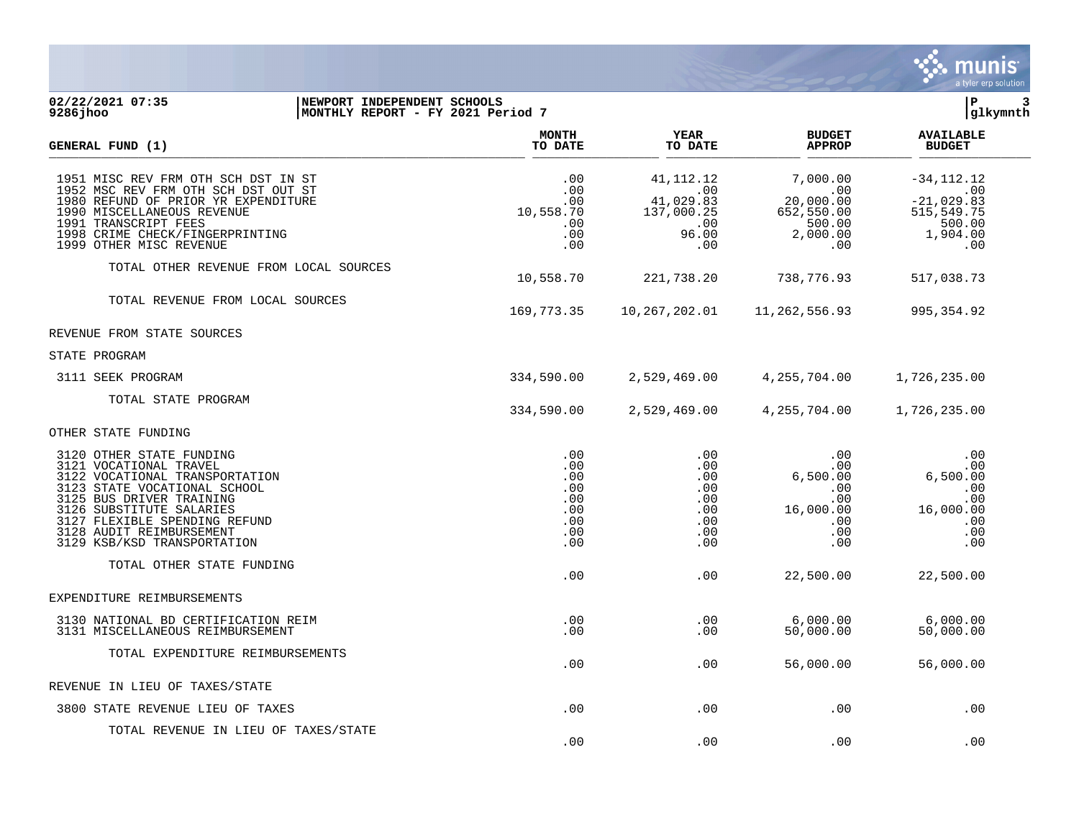

## **02/22/2021 07:35 |NEWPORT INDEPENDENT SCHOOLS |P 3 9286jhoo |MONTHLY REPORT - FY 2021 Period 7 |glkymnth**

| GENERAL FUND (1)                                                                                                                                                                                                                                                         | <b>MONTH</b><br>TO DATE                                     | YEAR<br>TO DATE                                                      | <b>BUDGET</b><br><b>APPROP</b>                                              | <b>AVAILABLE</b><br><b>BUDGET</b>                                               |  |
|--------------------------------------------------------------------------------------------------------------------------------------------------------------------------------------------------------------------------------------------------------------------------|-------------------------------------------------------------|----------------------------------------------------------------------|-----------------------------------------------------------------------------|---------------------------------------------------------------------------------|--|
| 1951 MISC REV FRM OTH SCH DST IN ST<br>1952 MSC REV FRM OTH SCH DST OUT ST<br>1980 REFUND OF PRIOR YR EXPENDITURE<br>1990 MISCELLANEOUS REVENUE<br>1991 TRANSCRIPT FEES<br>1998 CRIME CHECK/FINGERPRINTING<br>1999 OTHER MISC REVENUE                                    | .00<br>.00<br>.00<br>10,558.70<br>.00<br>.00<br>.00         | 41, 112. 12<br>.00<br>41,029.83<br>137,000.25<br>.00<br>96.00<br>.00 | 7,000.00<br>.00<br>20,000.00<br>652,550.00<br>500.00<br>2,000.00<br>.00     | $-34, 112.12$<br>.00<br>$-21,029.83$<br>515,549.75<br>500.00<br>1,904.00<br>.00 |  |
| TOTAL OTHER REVENUE FROM LOCAL SOURCES                                                                                                                                                                                                                                   | 10,558.70                                                   | 221,738.20                                                           | 738,776.93                                                                  | 517,038.73                                                                      |  |
| TOTAL REVENUE FROM LOCAL SOURCES                                                                                                                                                                                                                                         | 169,773.35                                                  | 10,267,202.01                                                        | 11,262,556.93                                                               | 995,354.92                                                                      |  |
| REVENUE FROM STATE SOURCES                                                                                                                                                                                                                                               |                                                             |                                                                      |                                                                             |                                                                                 |  |
| STATE PROGRAM                                                                                                                                                                                                                                                            |                                                             |                                                                      |                                                                             |                                                                                 |  |
| 3111 SEEK PROGRAM                                                                                                                                                                                                                                                        | 334,590.00                                                  | 2,529,469.00                                                         | 4,255,704.00                                                                | 1,726,235.00                                                                    |  |
| TOTAL STATE PROGRAM                                                                                                                                                                                                                                                      | 334,590.00                                                  | 2,529,469.00                                                         | 4, 255, 704.00                                                              | 1,726,235.00                                                                    |  |
| OTHER STATE FUNDING                                                                                                                                                                                                                                                      |                                                             |                                                                      |                                                                             |                                                                                 |  |
| 3120 OTHER STATE FUNDING<br>3121 VOCATIONAL TRAVEL<br>3122 VOCATIONAL TRANSPORTATION<br>3123 STATE VOCATIONAL SCHOOL<br>3125 BUS DRIVER TRAINING<br>3126 SUBSTITUTE SALARIES<br>3127 FLEXIBLE SPENDING REFUND<br>3128 AUDIT REIMBURSEMENT<br>3129 KSB/KSD TRANSPORTATION | .00<br>.00<br>.00<br>.00<br>.00<br>.00<br>.00<br>.00<br>.00 | .00<br>.00<br>.00<br>.00<br>.00<br>.00<br>.00<br>.00<br>.00          | .00<br>$.00 \,$<br>6,500.00<br>.00<br>.00<br>16,000.00<br>.00<br>.00<br>.00 | .00<br>.00<br>6,500.00<br>.00<br>.00<br>16,000.00<br>.00<br>.00<br>.00          |  |
| TOTAL OTHER STATE FUNDING                                                                                                                                                                                                                                                | .00                                                         | .00                                                                  | 22,500.00                                                                   | 22,500.00                                                                       |  |
| EXPENDITURE REIMBURSEMENTS                                                                                                                                                                                                                                               |                                                             |                                                                      |                                                                             |                                                                                 |  |
| 3130 NATIONAL BD CERTIFICATION REIM<br>3131 MISCELLANEOUS REIMBURSEMENT                                                                                                                                                                                                  | .00<br>.00                                                  | .00<br>.00.                                                          | 6,000.00<br>50,000.00                                                       | 6,000.00<br>50,000.00                                                           |  |
| TOTAL EXPENDITURE REIMBURSEMENTS                                                                                                                                                                                                                                         | .00                                                         | .00                                                                  | 56,000.00                                                                   | 56,000.00                                                                       |  |
| REVENUE IN LIEU OF TAXES/STATE                                                                                                                                                                                                                                           |                                                             |                                                                      |                                                                             |                                                                                 |  |
| 3800 STATE REVENUE LIEU OF TAXES                                                                                                                                                                                                                                         | .00                                                         | .00                                                                  | .00                                                                         | .00                                                                             |  |
| TOTAL REVENUE IN LIEU OF TAXES/STATE                                                                                                                                                                                                                                     | .00                                                         | .00                                                                  | .00                                                                         | .00                                                                             |  |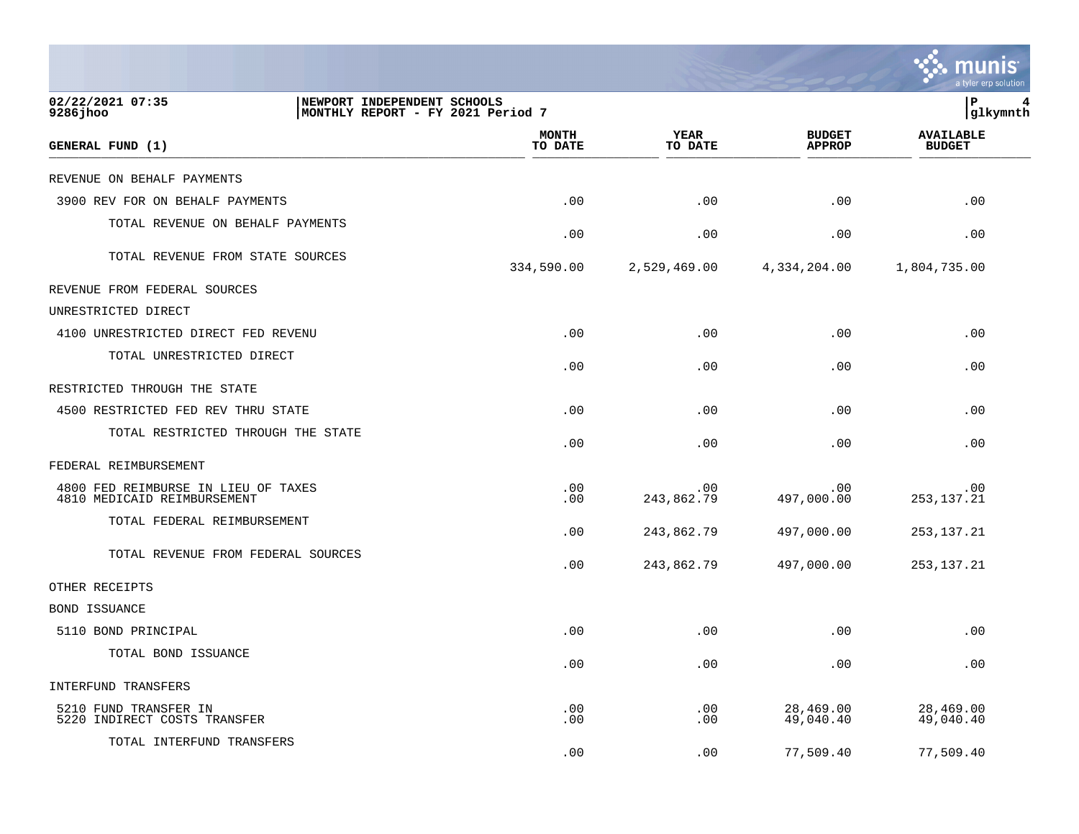|                                                                    |                                   |                   |                                | a tyler erp solution              |
|--------------------------------------------------------------------|-----------------------------------|-------------------|--------------------------------|-----------------------------------|
| 02/22/2021 07:35<br>NEWPORT INDEPENDENT SCHOOLS<br>9286 jhoo       | MONTHLY REPORT - FY 2021 Period 7 |                   |                                | lР<br> glkymnth                   |
| GENERAL FUND (1)                                                   | <b>MONTH</b><br>TO DATE           | YEAR<br>TO DATE   | <b>BUDGET</b><br><b>APPROP</b> | <b>AVAILABLE</b><br><b>BUDGET</b> |
| REVENUE ON BEHALF PAYMENTS                                         |                                   |                   |                                |                                   |
| 3900 REV FOR ON BEHALF PAYMENTS                                    | .00                               | .00               | .00                            | .00                               |
| TOTAL REVENUE ON BEHALF PAYMENTS                                   | .00                               | .00               | .00                            | .00                               |
| TOTAL REVENUE FROM STATE SOURCES                                   | 334,590.00                        | 2,529,469.00      | 4,334,204.00                   | 1,804,735.00                      |
| REVENUE FROM FEDERAL SOURCES                                       |                                   |                   |                                |                                   |
| UNRESTRICTED DIRECT                                                |                                   |                   |                                |                                   |
| 4100 UNRESTRICTED DIRECT FED REVENU                                | .00                               | .00               | .00                            | .00                               |
| TOTAL UNRESTRICTED DIRECT                                          | .00                               | .00               | .00                            | .00                               |
| RESTRICTED THROUGH THE STATE                                       |                                   |                   |                                |                                   |
| 4500 RESTRICTED FED REV THRU STATE                                 | .00                               | .00               | .00                            | .00                               |
| TOTAL RESTRICTED THROUGH THE STATE                                 | .00                               | .00               | .00                            | .00                               |
| FEDERAL REIMBURSEMENT                                              |                                   |                   |                                |                                   |
| 4800 FED REIMBURSE IN LIEU OF TAXES<br>4810 MEDICAID REIMBURSEMENT | .00<br>.00                        | .00<br>243,862.79 | .00<br>497,000.00              | .00<br>253, 137. 21               |
| TOTAL FEDERAL REIMBURSEMENT                                        | .00                               | 243,862.79        | 497,000.00                     | 253, 137. 21                      |
| TOTAL REVENUE FROM FEDERAL SOURCES                                 | .00                               | 243,862.79        | 497,000.00                     | 253, 137. 21                      |
| OTHER RECEIPTS                                                     |                                   |                   |                                |                                   |
| BOND ISSUANCE                                                      |                                   |                   |                                |                                   |
| 5110 BOND PRINCIPAL                                                | .00                               | .00               | .00                            | .00                               |
| TOTAL BOND ISSUANCE                                                | .00                               | .00               | .00                            | .00                               |
| INTERFUND TRANSFERS                                                |                                   |                   |                                |                                   |
| 5210 FUND TRANSFER IN<br>5220 INDIRECT COSTS TRANSFER              | .00<br>.00                        | .00<br>.00        | 28,469.00<br>49,040.40         | 28,469.00<br>49,040.40            |
| TOTAL INTERFUND TRANSFERS                                          | .00                               | .00               | 77,509.40                      | 77,509.40                         |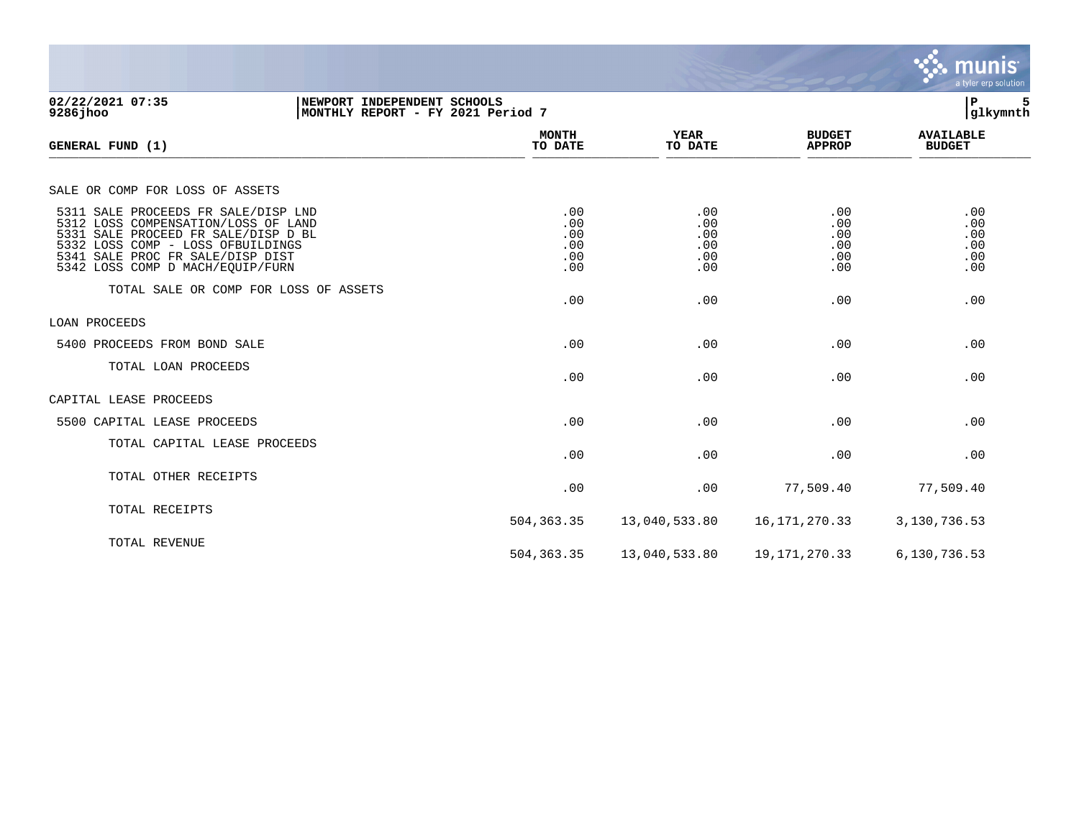|                                                                                                                                                                                                                                |                                        |                                        |                                        | munis<br>a tyler erp solution          |
|--------------------------------------------------------------------------------------------------------------------------------------------------------------------------------------------------------------------------------|----------------------------------------|----------------------------------------|----------------------------------------|----------------------------------------|
| 02/22/2021 07:35<br>NEWPORT INDEPENDENT SCHOOLS<br>$9286$ jhoo<br>MONTHLY REPORT - FY 2021 Period 7                                                                                                                            |                                        |                                        |                                        | ÞΡ<br>5<br>glkymnth                    |
| GENERAL FUND (1)                                                                                                                                                                                                               | <b>MONTH</b><br>TO DATE                | <b>YEAR</b><br>TO DATE                 | <b>BUDGET</b><br><b>APPROP</b>         | <b>AVAILABLE</b><br><b>BUDGET</b>      |
| SALE OR COMP FOR LOSS OF ASSETS                                                                                                                                                                                                |                                        |                                        |                                        |                                        |
| 5311 SALE PROCEEDS FR SALE/DISP LND<br>5312 LOSS COMPENSATION/LOSS OF LAND<br>5331 SALE PROCEED FR SALE/DISP D BL<br>5332 LOSS COMP - LOSS OFBUILDINGS<br>5341 SALE PROC FR SALE/DISP DIST<br>5342 LOSS COMP D MACH/EQUIP/FURN | .00<br>.00<br>.00<br>.00<br>.00<br>.00 | .00<br>.00<br>.00<br>.00<br>.00<br>.00 | .00<br>.00<br>.00<br>.00<br>.00<br>.00 | .00<br>.00<br>.00<br>.00<br>.00<br>.00 |
| TOTAL SALE OR COMP FOR LOSS OF ASSETS                                                                                                                                                                                          | .00                                    | .00                                    | .00                                    | .00                                    |
| LOAN PROCEEDS                                                                                                                                                                                                                  |                                        |                                        |                                        |                                        |
| 5400 PROCEEDS FROM BOND SALE                                                                                                                                                                                                   | .00                                    | .00                                    | .00                                    | .00                                    |
| TOTAL LOAN PROCEEDS                                                                                                                                                                                                            | .00                                    | .00                                    | .00                                    | .00                                    |
| CAPITAL LEASE PROCEEDS                                                                                                                                                                                                         |                                        |                                        |                                        |                                        |
| 5500 CAPITAL LEASE PROCEEDS                                                                                                                                                                                                    | .00                                    | .00                                    | .00                                    | .00                                    |
| TOTAL CAPITAL LEASE PROCEEDS                                                                                                                                                                                                   | .00                                    | .00                                    | .00                                    | .00                                    |
| TOTAL OTHER RECEIPTS                                                                                                                                                                                                           | .00                                    | .00                                    | 77,509.40                              | 77,509.40                              |
| TOTAL RECEIPTS                                                                                                                                                                                                                 | 504,363.35                             | 13,040,533.80                          | 16, 171, 270. 33                       | 3,130,736.53                           |
| TOTAL REVENUE                                                                                                                                                                                                                  | 504, 363. 35                           | 13,040,533.80                          | 19, 171, 270. 33                       | 6,130,736.53                           |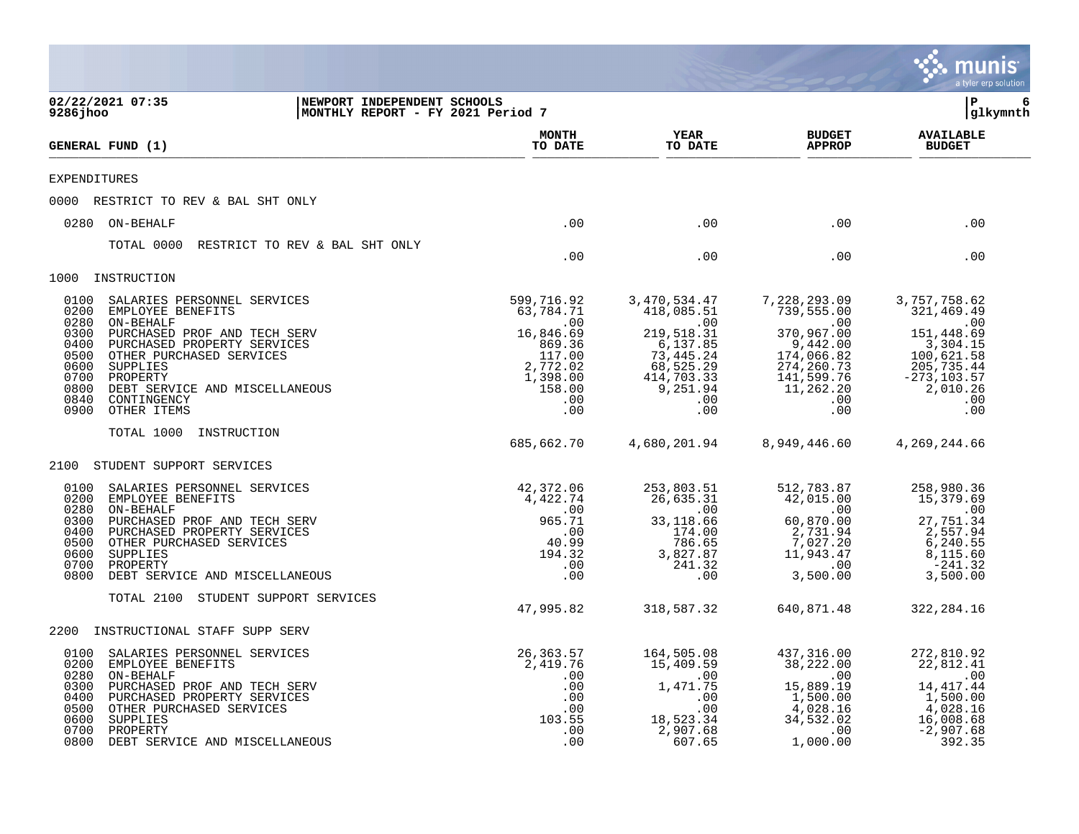|                                                                                      |                                                                                                                                                                                                                                                  |                                                                  |                                                                                                                 |                                                                                                                                                     |                                                                                                                                               | a tyler erp solution                                                                                                                |
|--------------------------------------------------------------------------------------|--------------------------------------------------------------------------------------------------------------------------------------------------------------------------------------------------------------------------------------------------|------------------------------------------------------------------|-----------------------------------------------------------------------------------------------------------------|-----------------------------------------------------------------------------------------------------------------------------------------------------|-----------------------------------------------------------------------------------------------------------------------------------------------|-------------------------------------------------------------------------------------------------------------------------------------|
| 9286 jhoo                                                                            | 02/22/2021 07:35                                                                                                                                                                                                                                 | NEWPORT INDEPENDENT SCHOOLS<br>MONTHLY REPORT - FY 2021 Period 7 |                                                                                                                 |                                                                                                                                                     |                                                                                                                                               | l P<br>6<br>glkymnth                                                                                                                |
|                                                                                      | <b>GENERAL FUND (1)</b>                                                                                                                                                                                                                          |                                                                  | <b>MONTH</b><br>TO DATE                                                                                         | <b>YEAR</b><br>TO DATE                                                                                                                              | <b>BUDGET</b><br><b>APPROP</b>                                                                                                                | <b>AVAILABLE</b><br><b>BUDGET</b>                                                                                                   |
| <b>EXPENDITURES</b>                                                                  |                                                                                                                                                                                                                                                  |                                                                  |                                                                                                                 |                                                                                                                                                     |                                                                                                                                               |                                                                                                                                     |
|                                                                                      | 0000 RESTRICT TO REV & BAL SHT ONLY                                                                                                                                                                                                              |                                                                  |                                                                                                                 |                                                                                                                                                     |                                                                                                                                               |                                                                                                                                     |
| 0280                                                                                 | ON-BEHALF                                                                                                                                                                                                                                        |                                                                  | .00                                                                                                             | .00                                                                                                                                                 | .00                                                                                                                                           | .00                                                                                                                                 |
|                                                                                      | TOTAL 0000                                                                                                                                                                                                                                       | RESTRICT TO REV & BAL SHT ONLY                                   | .00                                                                                                             | .00                                                                                                                                                 | .00                                                                                                                                           | .00                                                                                                                                 |
| 1000                                                                                 | INSTRUCTION                                                                                                                                                                                                                                      |                                                                  |                                                                                                                 |                                                                                                                                                     |                                                                                                                                               |                                                                                                                                     |
| 0100<br>0200<br>0280<br>0300<br>0400<br>0500<br>0600<br>0700<br>0800<br>0840<br>0900 | SALARIES PERSONNEL SERVICES<br>EMPLOYEE BENEFITS<br>ON-BEHALF<br>PURCHASED PROF AND TECH SERV<br>PURCHASED PROPERTY SERVICES<br>OTHER PURCHASED SERVICES<br>SUPPLIES<br>PROPERTY<br>DEBT SERVICE AND MISCELLANEOUS<br>CONTINGENCY<br>OTHER ITEMS |                                                                  | 599,716.92<br>63,784.71<br>.00<br>16,846.69<br>869.36<br>117.00<br>2,772.02<br>1,398.00<br>158.00<br>.00<br>.00 | 3,470,534.47<br>418,085.51<br>$\overline{00}$<br>219,518.31<br>$6,137.85$<br>$73,445.24$<br>$68,525.29$<br>$414,703.33$<br>$9,251.94$<br>.00<br>.00 | 7,228,293.09<br>739,555.00<br>$\sim$ 00<br>370,967.00<br>$9,442.00$<br>$174,066.82$<br>274, 260.73<br>141, 599.76<br>11, 262.20<br>.00<br>.00 | 3,757,758.62<br>321, 469.49<br>.00<br>151,448.69<br>3,304.15<br>100,621.58<br>205, 735.44<br>-273, 103.57<br>2,010.26<br>.00<br>.00 |
|                                                                                      | TOTAL 1000<br>INSTRUCTION                                                                                                                                                                                                                        |                                                                  | 685,662.70                                                                                                      | 4,680,201.94                                                                                                                                        | 8,949,446.60                                                                                                                                  | 4,269,244.66                                                                                                                        |
| 2100                                                                                 | STUDENT SUPPORT SERVICES                                                                                                                                                                                                                         |                                                                  |                                                                                                                 |                                                                                                                                                     |                                                                                                                                               |                                                                                                                                     |
| 0100<br>0200<br>0280<br>0300<br>0400<br>0500<br>0600<br>0700<br>0800                 | SALARIES PERSONNEL SERVICES<br>EMPLOYEE BENEFITS<br>ON-BEHALF<br>PURCHASED PROF AND TECH SERV<br>PURCHASED PROPERTY SERVICES<br>OTHER PURCHASED SERVICES<br>SUPPLIES<br>PROPERTY<br>DEBT SERVICE AND MISCELLANEOUS                               |                                                                  | 42,372.06<br>4,422.74<br>.00<br>965.71<br>.00<br>40.99<br>194.32<br>.00<br>.00                                  | 253,803.51<br>26,635.31<br>$\sim$ 00<br>33,118.66<br>174.00<br>786.65<br>3,827.87<br>241.32<br>.00                                                  | 512,783.87<br>42,015.00<br>.00<br>60,870.00<br>2,731.94<br>7,027.20<br>11,943.47<br>$\overline{00}$<br>3,500.00                               | 258,980.36<br>15,379.69<br>.00<br>27,751.34<br>2,557.94<br>6,240.55<br>8,115.60<br>$-241.32$<br>3,500.00                            |
|                                                                                      | TOTAL 2100<br>STUDENT SUPPORT SERVICES                                                                                                                                                                                                           |                                                                  | 47,995.82                                                                                                       | 318,587.32                                                                                                                                          | 640,871.48                                                                                                                                    | 322, 284.16                                                                                                                         |
| 2200                                                                                 | INSTRUCTIONAL STAFF SUPP SERV                                                                                                                                                                                                                    |                                                                  |                                                                                                                 |                                                                                                                                                     |                                                                                                                                               |                                                                                                                                     |
| 0100<br>0200<br>0280<br>0300<br>0400<br>0500<br>0600<br>0700<br>0800                 | SALARIES PERSONNEL SERVICES<br>EMPLOYEE BENEFITS<br>ON-BEHALF<br>PURCHASED PROF AND TECH SERV<br>PURCHASED PROPERTY SERVICES<br>OTHER PURCHASED SERVICES<br>SUPPLIES<br>PROPERTY<br>DEBT SERVICE AND MISCELLANEOUS                               |                                                                  | 26,363.57<br>2,419.76<br>.00<br>.00<br>.00<br>.00<br>103.55<br>.00<br>.00                                       | 164,505.08<br>15,409.59<br>.00<br>1,471.75<br>.00<br>.00<br>18,523.34<br>2,907.68<br>607.65                                                         | 437,316.00<br>38,222.00<br>$\sim 00$<br>15,889.19<br>1,500.00<br>4,028.16<br>34,532.02<br>.00<br>1,000.00                                     | 272,810.92<br>22,812.41<br>$\sim 00$<br>14, 417. 44<br>1,500.00<br>4,028.16<br>16,008.68<br>$-2,907.68$<br>392.35                   |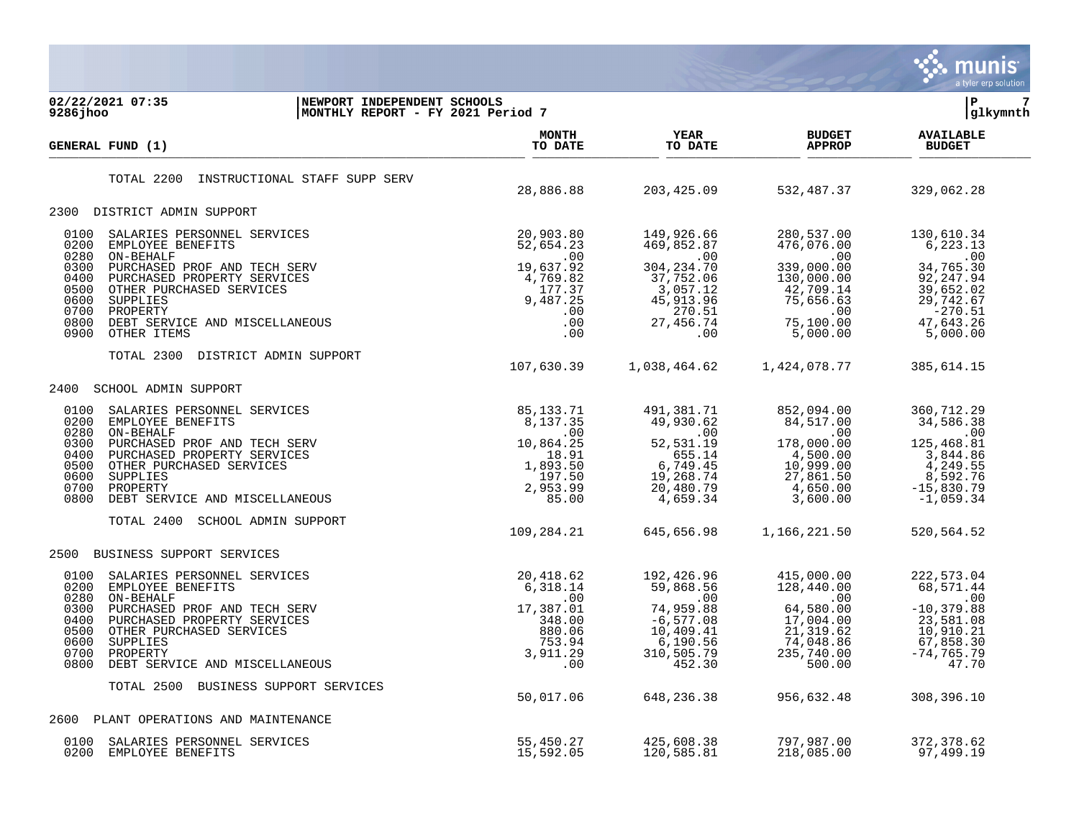

02/22/2021 07:35 **| NEWPORT INDEPENDENT SCHOOLS** | P 7<br>
9286jhoo | MONTHLY REPORT - FY 2021 Period 7 **9286jhoo |MONTHLY REPORT - FY 2021 Period 7 |glkymnth MONTH AVAILABLE YEAR BUDGET** AVAILABLE **GENERAL FUND (1) TO DATE TO DATE APPROP BUDGET**   $\frac{10 \text{ Bheb}}{10 \text{ Bheb}}$ TOTAL 2200 INSTRUCTIONAL STAFF SUPP SERV 28,886.88 203,425.09 532,487.37 329,062.28 2300 DISTRICT ADMIN SUPPORT 0100 SALARIES PERSONNEL SERVICES 20,903.80 149,926.66 280,537.00 130,610.34 0200 EMPLOYEE BENEFITS 52,654.23 469,852.87 476,076.00 6,223.13 0280 ON-BEHALF .00 .00 .00 .00 0300 PURCHASED PROF AND TECH SERV 19,637.92 304,234.70 339,000.00 34,765.30 0400 PURCHASED PROPERTY SERVICES 4,769.82 37,752.06 130,000.00 92,247.94 0500 OTHER PURCHASED SERVICES (177.37 37 3,057.12 42,709.14 39,652.02 0600 SUPPLIES 9,487.25 45,913.96 75,656.63 29,742.67 0700 PROPERTY .00 270.51 .00 -270.51 0800 DEBT SERVICE AND MISCELLANEOUS .00 27,456.74 75,100.00 47,643.26 0900 OTHER ITEMS .00 .00 5,000.00 5,000.00 TOTAL 2300 DISTRICT ADMIN SUPPORT 107,630.39 1,038,464.62 1,424,078.77 385,614.15 2400 SCHOOL ADMIN SUPPORT 0100 SALARIES PERSONNEL SERVICES 85,133.71 491,381.71 852,094.00 360,712.29 0200 EMPLOYEE BENEFITS 8,137.35 49,930.62 84,517.00 34,586.38 0280 ON-BEHALF .00 .00 .00 .00 0300 PURCHASED PROF AND TECH SERV 10,864.25 52,531.19 178,000.00 125,468.81 0400 PURCHASED PROPERTY SERVICES 65.04 18.91 655.14 4,500.00 3,844.86 0500 OTHER PURCHASED SERVICES 1,893.50 6,749.45 10,999.00 4,249.55 0600 SUPPLIES 197.50 19,268.74 27,861.50 8,592.76 0700 PROPERTY 2,953.99 20,480.79 4,650.00 -15,830.79 0800 DEBT SERVICE AND MISCELLANEOUS 85.00 4,659.34 3,600.00 -1,059.34 TOTAL 2400 SCHOOL ADMIN SUPPORT 109,284.21 645,656.98 1,166,221.50 520,564.52 2500 BUSINESS SUPPORT SERVICES 0100 SALARIES PERSONNEL SERVICES 20,418.62 192,426.96 415,000.00 222,573.04 0200 EMPLOYEE BENEFITS 6,318.14 59,868.56 128,440.00 68,571.44 0280 ON-BEHALF .00 .00 .00 .00 0300 PURCHASED PROF AND TECH SERV 17,387.01 74,959.88 64,580.00 -10,379.88 0400 PURCHASED PROPERTY SERVICES 6.00 348.00 -6,577.08 17,004.00 23,581.08 0500 OTHER PURCHASED SERVICES 880.06 10,409.41 21,319.62 10,910.21 0600 SUPPLIES 753.94 6,190.56 74,048.86 67,858.30 0700 PROPERTY 3,911.29 310,505.79 235,740.00 -74,765.79 0800 DEBT SERVICE AND MISCELLANEOUS .00 452.30 500.00 47.70 TOTAL 2500 BUSINESS SUPPORT SERVICES 50,017.06 648,236.38 956,632.48 308,396.10 2600 PLANT OPERATIONS AND MAINTENANCE 0100 SALARIES PERSONNEL SERVICES 55,450.27 425,608.38 797,987.00 372,378.62 0200 EMPLOYEE BENEFITS 15,592.05 120,585.81 218,085.00 97,499.19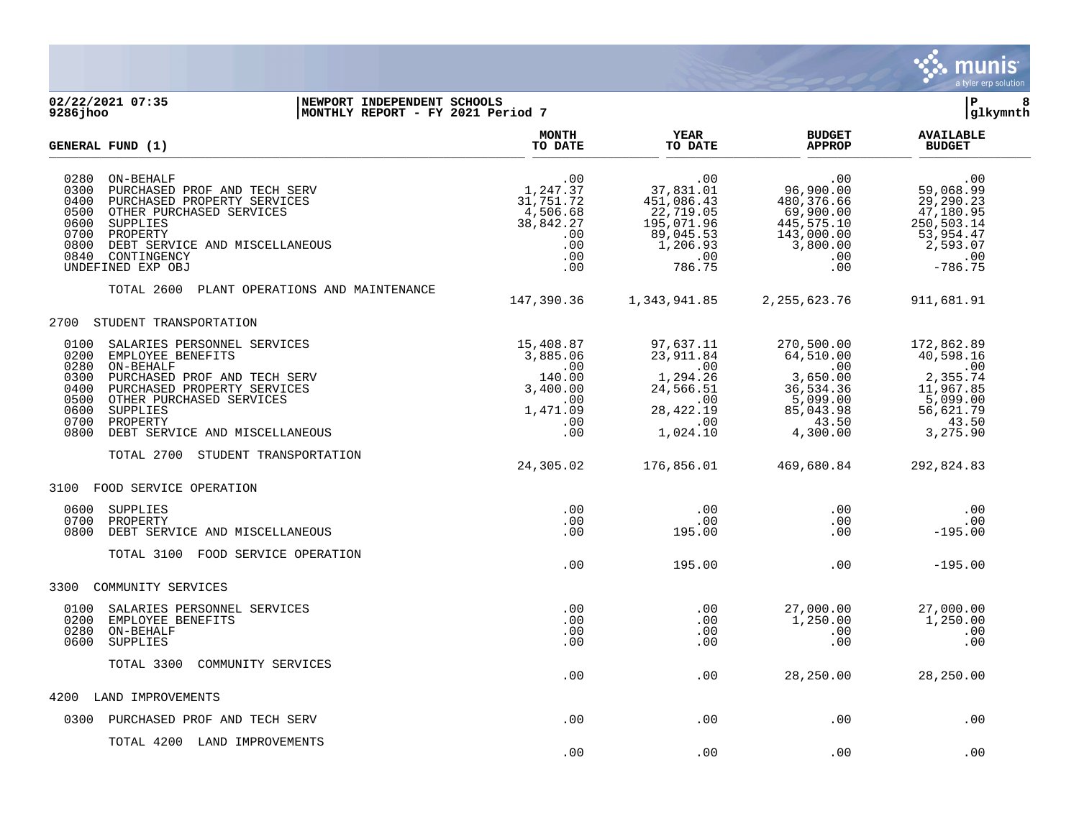

## **02/22/2021 07:35 |NEWPORT INDEPENDENT SCHOOLS |P 8 9286jhoo |MONTHLY REPORT - FY 2021 Period 7 |glkymnth**

| GENERAL FUND (1)                                                                                                                                                                                                                                                                           | <b>MONTH</b><br>TO DATE                                                                   | <b>YEAR</b><br>TO DATE                                                                                     | <b>BUDGET</b><br><b>APPROP</b>                                                                                    | <b>AVAILABLE</b><br><b>BUDGET</b>                                                                           |
|--------------------------------------------------------------------------------------------------------------------------------------------------------------------------------------------------------------------------------------------------------------------------------------------|-------------------------------------------------------------------------------------------|------------------------------------------------------------------------------------------------------------|-------------------------------------------------------------------------------------------------------------------|-------------------------------------------------------------------------------------------------------------|
| 0280<br>ON-BEHALF<br>0300<br>PURCHASED PROF AND TECH SERV<br>0400<br>PURCHASED PROPERTY SERVICES<br>0500<br>OTHER PURCHASED SERVICES<br>0600<br>SUPPLIES<br>0700<br>PROPERTY<br>0800<br>DEBT SERVICE AND MISCELLANEOUS<br>0840<br>CONTINGENCY<br>UNDEFINED EXP OBJ                         | .00<br>1,247.37<br>31,751.72<br>$4,506.68$<br>38,842.27<br>.00<br>.00<br>.00<br>.00       | .00<br>37,831.01<br>451,086.43<br>22,719.05<br>195,071.96<br>89,045.53<br>1,206.93<br>.00<br>786.75        | .00<br>96,900.00<br>480, 376.66<br>69,900.00<br>445, 575.10<br>143,000.00<br>3,800.00<br>.00<br>.00               | .00<br>59,068.99<br>29, 290.23<br>47,180.95<br>250,503.14<br>53,954.47<br>2,593.07<br>.00<br>$-786.75$      |
| TOTAL 2600<br>PLANT OPERATIONS AND MAINTENANCE                                                                                                                                                                                                                                             | 147,390.36                                                                                | 1,343,941.85                                                                                               | 2, 255, 623.76                                                                                                    | 911,681.91                                                                                                  |
| 2700<br>STUDENT TRANSPORTATION                                                                                                                                                                                                                                                             |                                                                                           |                                                                                                            |                                                                                                                   |                                                                                                             |
| SALARIES PERSONNEL SERVICES<br>0100<br>0200<br>EMPLOYEE BENEFITS<br>0280<br>ON-BEHALF<br>0300<br>PURCHASED PROF AND TECH SERV<br>0400<br>PURCHASED PROPERTY SERVICES<br>0500<br>OTHER PURCHASED SERVICES<br>0600<br>SUPPLIES<br>0700<br>PROPERTY<br>0800<br>DEBT SERVICE AND MISCELLANEOUS | 15,408.87<br>3,885.06<br>$\sim 00$<br>140.00<br>3,400.00<br>.00<br>1,471.09<br>.00<br>.00 | 97,637.11<br>23,911.84<br>$\overline{00}$<br>1,294.26<br>24,566.51<br>.00<br>28, 422.19<br>.00<br>1,024.10 | 270,500.00<br>64,510.00<br>$\overline{00}$<br>3,650.00<br>36,534.36<br>5,099.00<br>85,043.98<br>43.50<br>4,300.00 | 172,862.89<br>40,598.16<br>$\sim 00$<br>2,355.74<br>11,967.85<br>5,099.00<br>56,621.79<br>43.50<br>3,275.90 |
| TOTAL 2700<br>STUDENT TRANSPORTATION                                                                                                                                                                                                                                                       | 24,305.02                                                                                 | 176,856.01                                                                                                 | 469,680.84                                                                                                        | 292,824.83                                                                                                  |
| FOOD SERVICE OPERATION<br>3100                                                                                                                                                                                                                                                             |                                                                                           |                                                                                                            |                                                                                                                   |                                                                                                             |
| 0600<br>SUPPLIES<br>0700<br>PROPERTY<br>0800<br>DEBT SERVICE AND MISCELLANEOUS                                                                                                                                                                                                             | .00<br>.00<br>.00                                                                         | $.00 \,$<br>.00<br>195.00                                                                                  | .00<br>.00<br>.00                                                                                                 | .00<br>.00<br>$-195.00$                                                                                     |
| TOTAL 3100<br>FOOD SERVICE OPERATION                                                                                                                                                                                                                                                       | .00                                                                                       | 195.00                                                                                                     | .00                                                                                                               | $-195.00$                                                                                                   |
| COMMUNITY SERVICES<br>3300                                                                                                                                                                                                                                                                 |                                                                                           |                                                                                                            |                                                                                                                   |                                                                                                             |
| 0100<br>SALARIES PERSONNEL SERVICES<br>0200<br>EMPLOYEE BENEFITS<br>0280<br>ON-BEHALF<br>0600<br><b>SUPPLIES</b>                                                                                                                                                                           | .00<br>.00<br>.00<br>.00                                                                  | .00<br>.00<br>$.00 \,$<br>.00                                                                              | 27,000.00<br>1,250.00<br>.00<br>.00                                                                               | 27,000.00<br>1,250.00<br>.00<br>.00                                                                         |
| TOTAL 3300<br>COMMUNITY SERVICES                                                                                                                                                                                                                                                           | .00                                                                                       | .00                                                                                                        | 28,250.00                                                                                                         | 28,250.00                                                                                                   |
| 4200<br>LAND IMPROVEMENTS                                                                                                                                                                                                                                                                  |                                                                                           |                                                                                                            |                                                                                                                   |                                                                                                             |
| 0300<br>PURCHASED PROF AND TECH SERV                                                                                                                                                                                                                                                       | .00                                                                                       | .00                                                                                                        | .00                                                                                                               | .00                                                                                                         |
| TOTAL 4200 LAND IMPROVEMENTS                                                                                                                                                                                                                                                               | .00                                                                                       | .00                                                                                                        | .00                                                                                                               | .00                                                                                                         |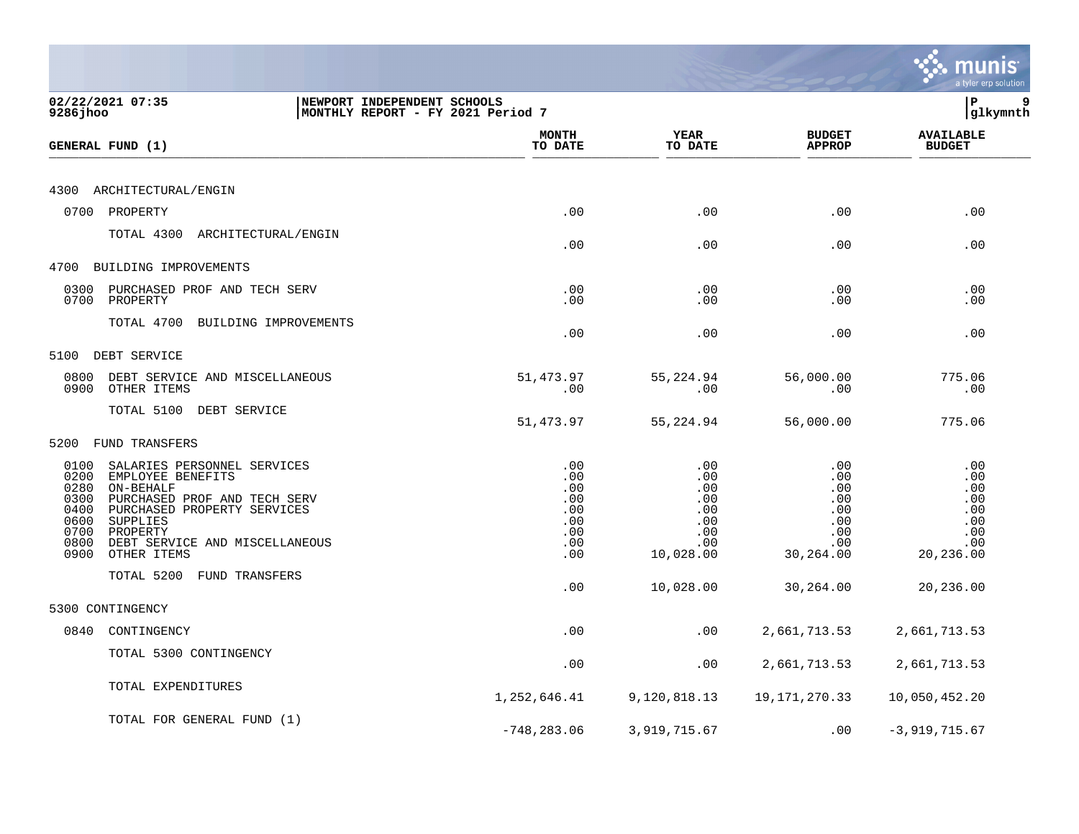|                                                                      |                                                                                                                                                                                                       |                                                                  |                                                             |                                                                   |                                                                        | a tyler erp solution                                              |
|----------------------------------------------------------------------|-------------------------------------------------------------------------------------------------------------------------------------------------------------------------------------------------------|------------------------------------------------------------------|-------------------------------------------------------------|-------------------------------------------------------------------|------------------------------------------------------------------------|-------------------------------------------------------------------|
| 9286jhoo                                                             | 02/22/2021 07:35                                                                                                                                                                                      | NEWPORT INDEPENDENT SCHOOLS<br>MONTHLY REPORT - FY 2021 Period 7 |                                                             |                                                                   |                                                                        | lР<br>9<br>glkymnth                                               |
|                                                                      | GENERAL FUND (1)                                                                                                                                                                                      |                                                                  | MONTH<br>TO DATE                                            | <b>YEAR</b><br>TO DATE                                            | <b>BUDGET</b><br><b>APPROP</b>                                         | <b>AVAILABLE</b><br><b>BUDGET</b>                                 |
| 4300                                                                 | ARCHITECTURAL/ENGIN                                                                                                                                                                                   |                                                                  |                                                             |                                                                   |                                                                        |                                                                   |
|                                                                      | 0700 PROPERTY                                                                                                                                                                                         |                                                                  | .00                                                         | .00                                                               | .00                                                                    | .00                                                               |
|                                                                      | TOTAL 4300 ARCHITECTURAL/ENGIN                                                                                                                                                                        |                                                                  | .00                                                         | .00                                                               | .00                                                                    | .00                                                               |
| 4700                                                                 | BUILDING IMPROVEMENTS                                                                                                                                                                                 |                                                                  |                                                             |                                                                   |                                                                        |                                                                   |
| 0300<br>0700                                                         | PURCHASED PROF AND TECH SERV<br>PROPERTY                                                                                                                                                              |                                                                  | .00<br>.00                                                  | .00<br>.00                                                        | .00<br>.00                                                             | .00<br>.00                                                        |
|                                                                      | TOTAL 4700<br>BUILDING IMPROVEMENTS                                                                                                                                                                   |                                                                  | .00                                                         | .00                                                               | .00                                                                    | .00                                                               |
| 5100                                                                 | DEBT SERVICE                                                                                                                                                                                          |                                                                  |                                                             |                                                                   |                                                                        |                                                                   |
| 0800<br>0900                                                         | DEBT SERVICE AND MISCELLANEOUS<br>OTHER ITEMS                                                                                                                                                         |                                                                  | 51,473.97<br>.00                                            | 55,224.94<br>.00                                                  | 56,000.00<br>.00                                                       | 775.06<br>.00                                                     |
|                                                                      | TOTAL 5100 DEBT SERVICE                                                                                                                                                                               |                                                                  | 51,473.97                                                   | 55,224.94                                                         | 56,000.00                                                              | 775.06                                                            |
| 5200                                                                 | FUND TRANSFERS                                                                                                                                                                                        |                                                                  |                                                             |                                                                   |                                                                        |                                                                   |
| 0100<br>0200<br>0280<br>0300<br>0400<br>0600<br>0700<br>0800<br>0900 | SALARIES PERSONNEL SERVICES<br>EMPLOYEE BENEFITS<br>ON-BEHALF<br>PURCHASED PROF AND TECH SERV<br>PURCHASED PROPERTY SERVICES<br>SUPPLIES<br>PROPERTY<br>DEBT SERVICE AND MISCELLANEOUS<br>OTHER ITEMS |                                                                  | .00<br>.00<br>.00<br>.00<br>.00<br>.00<br>.00<br>.00<br>.00 | .00<br>.00<br>.00<br>.00<br>.00<br>.00<br>.00<br>.00<br>10,028.00 | .00<br>.00<br>.00<br>.00<br>$.00 \,$<br>.00<br>.00<br>.00<br>30,264.00 | .00<br>.00<br>.00<br>.00<br>.00<br>.00<br>.00<br>.00<br>20,236.00 |
|                                                                      | TOTAL 5200<br>FUND TRANSFERS                                                                                                                                                                          |                                                                  | .00                                                         | 10,028.00                                                         | 30,264.00                                                              | 20,236.00                                                         |
|                                                                      | 5300 CONTINGENCY                                                                                                                                                                                      |                                                                  |                                                             |                                                                   |                                                                        |                                                                   |
| 0840                                                                 | CONTINGENCY                                                                                                                                                                                           |                                                                  | .00                                                         | .00                                                               | 2,661,713.53                                                           | 2,661,713.53                                                      |
|                                                                      | TOTAL 5300 CONTINGENCY                                                                                                                                                                                |                                                                  | .00                                                         | .00                                                               | 2,661,713.53                                                           | 2,661,713.53                                                      |
|                                                                      | TOTAL EXPENDITURES                                                                                                                                                                                    |                                                                  | 1,252,646.41                                                | 9,120,818.13                                                      | 19, 171, 270. 33                                                       | 10,050,452.20                                                     |
|                                                                      | TOTAL FOR GENERAL FUND (1)                                                                                                                                                                            |                                                                  | $-748, 283.06$                                              | 3,919,715.67                                                      | .00                                                                    | $-3,919,715.67$                                                   |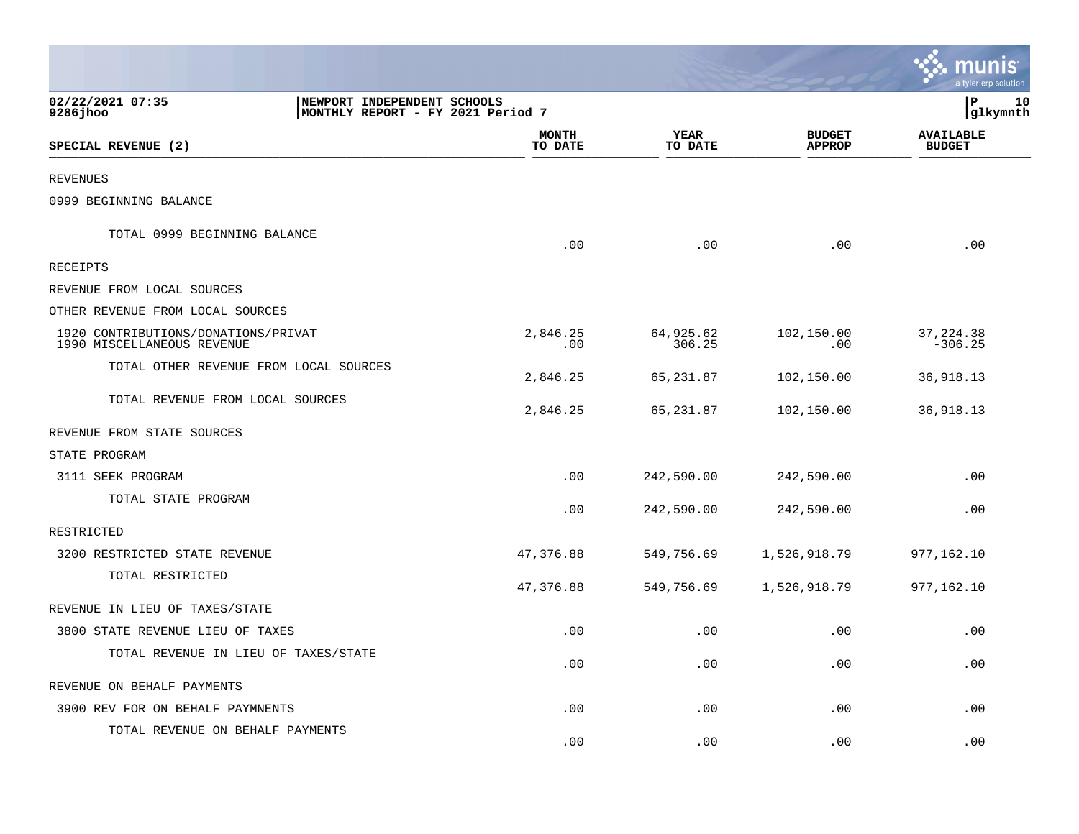|                                                                   |                                                                   |                         |                     |                                | munis<br>a tyler erp solution     |    |
|-------------------------------------------------------------------|-------------------------------------------------------------------|-------------------------|---------------------|--------------------------------|-----------------------------------|----|
| 02/22/2021 07:35<br>9286 jhoo                                     | NEWPORT INDEPENDENT SCHOOLS<br> MONTHLY REPORT - FY 2021 Period 7 |                         |                     |                                | lР<br> glkymnth                   | 10 |
| SPECIAL REVENUE (2)                                               |                                                                   | <b>MONTH</b><br>TO DATE | YEAR<br>TO DATE     | <b>BUDGET</b><br><b>APPROP</b> | <b>AVAILABLE</b><br><b>BUDGET</b> |    |
| REVENUES                                                          |                                                                   |                         |                     |                                |                                   |    |
| 0999 BEGINNING BALANCE                                            |                                                                   |                         |                     |                                |                                   |    |
| TOTAL 0999 BEGINNING BALANCE                                      |                                                                   | .00                     | .00                 | .00                            | .00                               |    |
| <b>RECEIPTS</b>                                                   |                                                                   |                         |                     |                                |                                   |    |
| REVENUE FROM LOCAL SOURCES                                        |                                                                   |                         |                     |                                |                                   |    |
| OTHER REVENUE FROM LOCAL SOURCES                                  |                                                                   |                         |                     |                                |                                   |    |
| 1920 CONTRIBUTIONS/DONATIONS/PRIVAT<br>1990 MISCELLANEOUS REVENUE |                                                                   | 2,846.25<br>.00         | 64,925.62<br>306.25 | 102,150.00<br>.00              | 37, 224.38<br>$-306.25$           |    |
| TOTAL OTHER REVENUE FROM LOCAL SOURCES                            |                                                                   | 2,846.25                | 65,231.87           | 102,150.00                     | 36,918.13                         |    |
| TOTAL REVENUE FROM LOCAL SOURCES                                  |                                                                   | 2,846.25                | 65,231.87           | 102,150.00                     | 36,918.13                         |    |
| REVENUE FROM STATE SOURCES                                        |                                                                   |                         |                     |                                |                                   |    |
| STATE PROGRAM                                                     |                                                                   |                         |                     |                                |                                   |    |
| 3111 SEEK PROGRAM                                                 |                                                                   | .00                     | 242,590.00          | 242,590.00                     | .00                               |    |
| TOTAL STATE PROGRAM                                               |                                                                   | .00                     | 242,590.00          | 242,590.00                     | .00                               |    |
| RESTRICTED                                                        |                                                                   |                         |                     |                                |                                   |    |
| 3200 RESTRICTED STATE REVENUE                                     |                                                                   | 47,376.88               | 549,756.69          | 1,526,918.79                   | 977,162.10                        |    |
| TOTAL RESTRICTED                                                  |                                                                   | 47,376.88               | 549,756.69          | 1,526,918.79                   | 977,162.10                        |    |
| REVENUE IN LIEU OF TAXES/STATE                                    |                                                                   |                         |                     |                                |                                   |    |
| 3800 STATE REVENUE LIEU OF TAXES                                  |                                                                   | .00                     | .00                 | .00                            | .00                               |    |
| TOTAL REVENUE IN LIEU OF TAXES/STATE                              |                                                                   | .00                     | .00                 | .00                            | .00                               |    |
| REVENUE ON BEHALF PAYMENTS                                        |                                                                   |                         |                     |                                |                                   |    |
| 3900 REV FOR ON BEHALF PAYMNENTS                                  |                                                                   | .00                     | .00                 | .00                            | .00                               |    |
| TOTAL REVENUE ON BEHALF PAYMENTS                                  |                                                                   | .00                     | .00                 | .00                            | .00                               |    |

and the state of the state of the state of the state of the state of the state of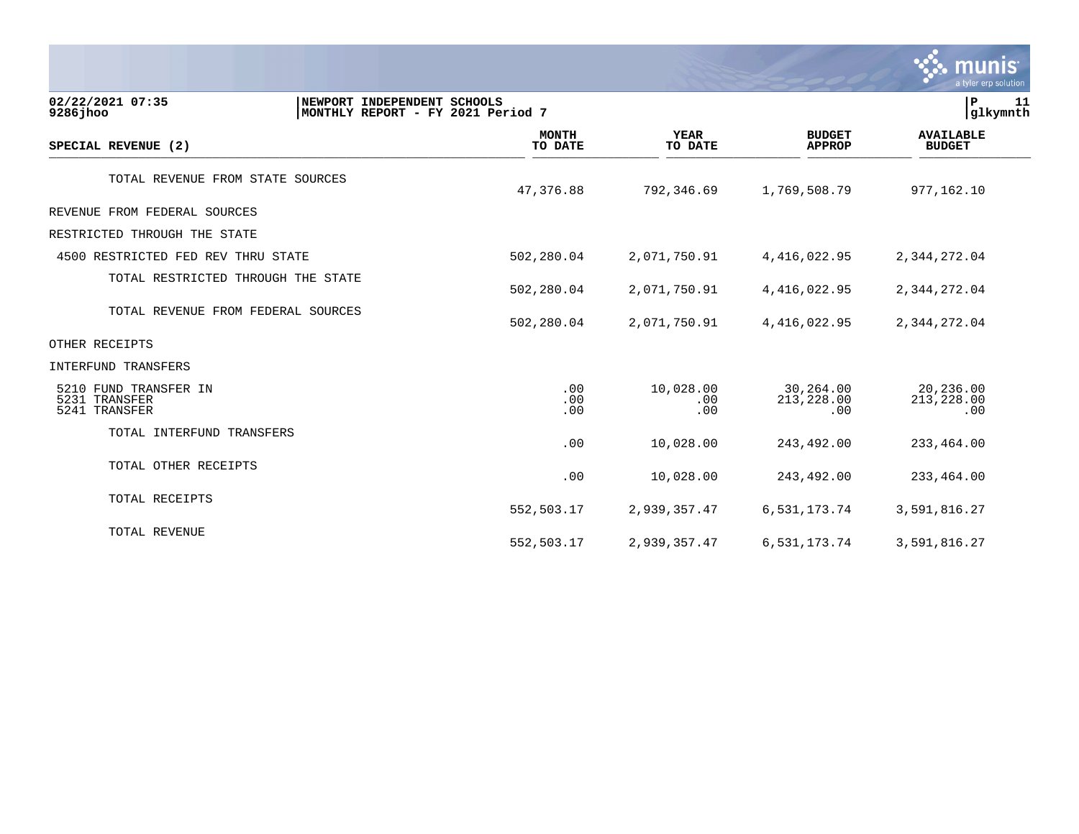|                                                         |                                                                  |                         |                         |                                | munis<br>a tyler erp solution     |
|---------------------------------------------------------|------------------------------------------------------------------|-------------------------|-------------------------|--------------------------------|-----------------------------------|
| 02/22/2021 07:35<br>9286 jhoo                           | NEWPORT INDEPENDENT SCHOOLS<br>MONTHLY REPORT - FY 2021 Period 7 |                         |                         |                                | P<br>11<br>glkymnth               |
| SPECIAL REVENUE (2)                                     |                                                                  | <b>MONTH</b><br>TO DATE | <b>YEAR</b><br>TO DATE  | <b>BUDGET</b><br><b>APPROP</b> | <b>AVAILABLE</b><br><b>BUDGET</b> |
| TOTAL REVENUE FROM STATE SOURCES                        |                                                                  | 47,376.88               | 792,346.69              | 1,769,508.79                   | 977,162.10                        |
| REVENUE FROM FEDERAL SOURCES                            |                                                                  |                         |                         |                                |                                   |
| RESTRICTED THROUGH THE STATE                            |                                                                  |                         |                         |                                |                                   |
| 4500 RESTRICTED FED REV THRU STATE                      |                                                                  | 502,280.04              | 2,071,750.91            | 4, 416, 022.95                 | 2,344,272.04                      |
| TOTAL RESTRICTED THROUGH THE STATE                      |                                                                  | 502,280.04              | 2,071,750.91            | 4, 416, 022.95                 | 2,344,272.04                      |
| TOTAL REVENUE FROM FEDERAL SOURCES                      |                                                                  | 502,280.04              | 2,071,750.91            | 4, 416, 022.95                 | 2,344,272.04                      |
| OTHER RECEIPTS                                          |                                                                  |                         |                         |                                |                                   |
| <b>INTERFUND TRANSFERS</b>                              |                                                                  |                         |                         |                                |                                   |
| 5210 FUND TRANSFER IN<br>5231 TRANSFER<br>5241 TRANSFER |                                                                  | .00<br>.00<br>.00       | 10,028.00<br>.00<br>.00 | 30,264.00<br>213,228.00<br>.00 | 20,236.00<br>213,228.00<br>.00    |
| TOTAL INTERFUND TRANSFERS                               |                                                                  | .00                     | 10,028.00               | 243,492.00                     | 233,464.00                        |
| TOTAL OTHER RECEIPTS                                    |                                                                  | .00                     | 10,028.00               | 243,492.00                     | 233,464.00                        |
| TOTAL RECEIPTS                                          |                                                                  | 552,503.17              | 2,939,357.47            | 6,531,173.74                   | 3,591,816.27                      |
| TOTAL REVENUE                                           |                                                                  | 552,503.17              | 2,939,357.47            | 6,531,173.74                   | 3,591,816.27                      |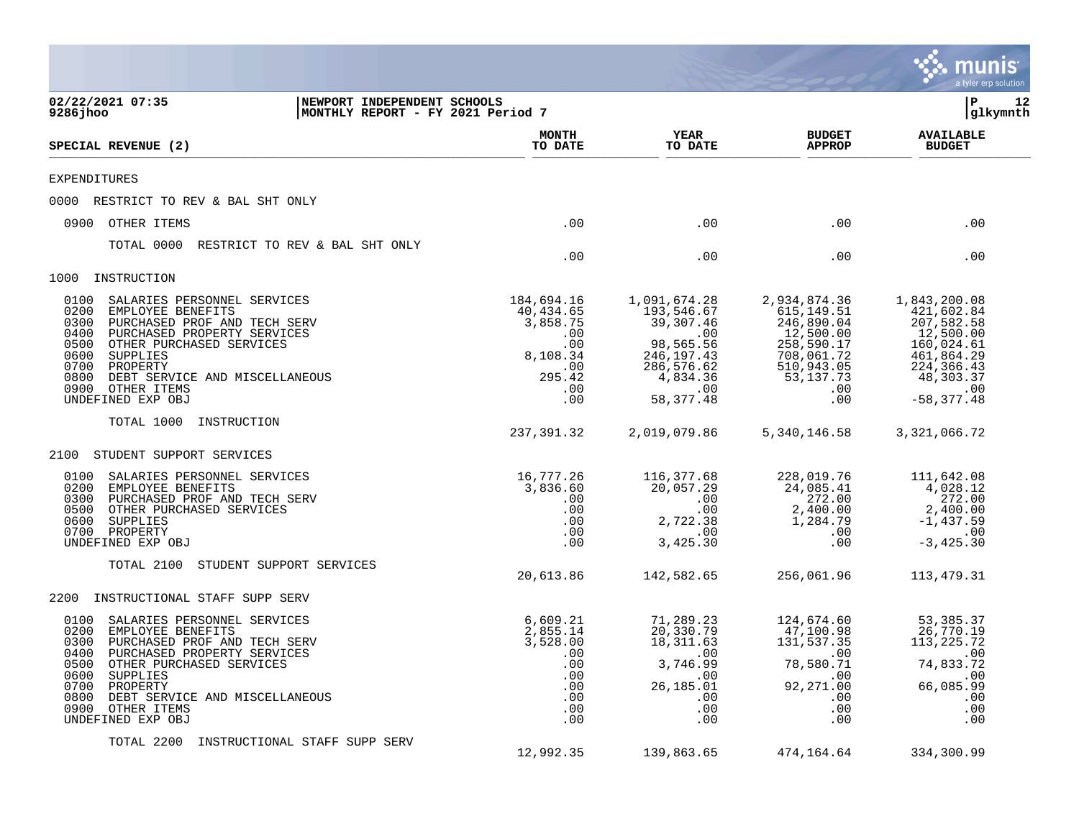|                                                                                                                                                                                                                                                                                                                   |                                                                                              |                                                                                                                            |                                                                                                                               | munis <sup>®</sup><br>a tyler erp solution                                                                                           |
|-------------------------------------------------------------------------------------------------------------------------------------------------------------------------------------------------------------------------------------------------------------------------------------------------------------------|----------------------------------------------------------------------------------------------|----------------------------------------------------------------------------------------------------------------------------|-------------------------------------------------------------------------------------------------------------------------------|--------------------------------------------------------------------------------------------------------------------------------------|
| 02/22/2021 07:35<br>9286 jhoo                                                                                                                                                                                                                                                                                     | NEWPORT INDEPENDENT SCHOOLS<br>MONTHLY REPORT - FY 2021 Period 7                             |                                                                                                                            |                                                                                                                               | P<br>12<br>glkymnth                                                                                                                  |
| SPECIAL REVENUE (2)                                                                                                                                                                                                                                                                                               | <b>MONTH</b><br>TO DATE                                                                      | <b>YEAR</b><br>TO DATE                                                                                                     | <b>BUDGET</b><br><b>APPROP</b>                                                                                                | <b>AVAILABLE</b><br><b>BUDGET</b>                                                                                                    |
| EXPENDITURES                                                                                                                                                                                                                                                                                                      |                                                                                              |                                                                                                                            |                                                                                                                               |                                                                                                                                      |
| RESTRICT TO REV & BAL SHT ONLY<br>0000                                                                                                                                                                                                                                                                            |                                                                                              |                                                                                                                            |                                                                                                                               |                                                                                                                                      |
| 0900<br>OTHER ITEMS                                                                                                                                                                                                                                                                                               | .00                                                                                          | .00                                                                                                                        | .00                                                                                                                           | .00                                                                                                                                  |
| RESTRICT TO REV & BAL SHT ONLY<br>TOTAL 0000                                                                                                                                                                                                                                                                      | .00                                                                                          | .00                                                                                                                        | .00                                                                                                                           | .00                                                                                                                                  |
| 1000<br>INSTRUCTION                                                                                                                                                                                                                                                                                               |                                                                                              |                                                                                                                            |                                                                                                                               |                                                                                                                                      |
| 0100<br>SALARIES PERSONNEL SERVICES<br>0200<br>EMPLOYEE BENEFITS<br>0300<br>PURCHASED PROF AND TECH SERV<br>0400<br>PURCHASED PROPERTY SERVICES<br>0500<br>OTHER PURCHASED SERVICES<br>0600<br>SUPPLIES<br>0700<br>PROPERTY<br>0800<br>DEBT SERVICE AND MISCELLANEOUS<br>0900<br>OTHER ITEMS<br>UNDEFINED EXP OBJ | 184,694.16<br>40,434.65<br>3,858.75<br>.00<br>.00<br>8,108.34<br>.00<br>295.42<br>.00<br>.00 | 1,091,674.28<br>193,546.67<br>39,307.46<br>.00<br>98,565.56<br>246, 197. 43<br>286,576.62<br>4,834.36<br>.00<br>58, 377.48 | 2,934,874.36<br>615, 149.51<br>246,890.04<br>12,500.00<br>258,590.17<br>708,061.72<br>510,943.05<br>53, 137. 73<br>.00<br>.00 | 1,843,200.08<br>421,602.84<br>207,582.58<br>12,500.00<br>160,024.61<br>461,864.29<br>224,366.43<br>48,303.37<br>.00<br>$-58, 377.48$ |
| TOTAL 1000<br>INSTRUCTION                                                                                                                                                                                                                                                                                         | 237,391.32                                                                                   | 2,019,079.86                                                                                                               | 5,340,146.58                                                                                                                  | 3,321,066.72                                                                                                                         |
| STUDENT SUPPORT SERVICES<br>2100                                                                                                                                                                                                                                                                                  |                                                                                              |                                                                                                                            |                                                                                                                               |                                                                                                                                      |
| 0100<br>SALARIES PERSONNEL SERVICES<br>EMPLOYEE BENEFITS<br>0200<br>0300<br>PURCHASED PROF AND TECH SERV<br>0500<br>OTHER PURCHASED SERVICES<br>0600<br>SUPPLIES<br>0700<br>PROPERTY<br>UNDEFINED EXP OBJ                                                                                                         | 16,777.26<br>3,836.60<br>.00<br>.00<br>$.00 \,$<br>.00<br>.00                                | 116,377.68<br>20,057.29<br>.00<br>.00<br>2,722.38<br>.00<br>3,425.30                                                       | 228,019.76<br>24,085.41<br>272.00<br>2,400.00<br>1,284.79<br>.00<br>.00                                                       | 111,642.08<br>4,028.12<br>272.00<br>2,400.00<br>$-1,437.59$<br>.00<br>$-3, 425.30$                                                   |
| STUDENT SUPPORT SERVICES<br>TOTAL 2100                                                                                                                                                                                                                                                                            | 20,613.86                                                                                    | 142,582.65                                                                                                                 | 256,061.96                                                                                                                    | 113,479.31                                                                                                                           |
| INSTRUCTIONAL STAFF SUPP SERV<br>2200                                                                                                                                                                                                                                                                             |                                                                                              |                                                                                                                            |                                                                                                                               |                                                                                                                                      |
| SALARIES PERSONNEL SERVICES<br>0100<br>0200<br>EMPLOYEE BENEFITS<br>PURCHASED PROF AND TECH SERV<br>0300<br>PURCHASED PROPERTY SERVICES<br>0400<br>0500 OTHER PURCHASED SERVICES<br>0600 SUPPLIES<br>0700 PROPERTY<br>0800<br>DEBT SERVICE AND MISCELLANEOUS<br>0900 OTHER ITEMS<br>UNDEFINED EXP OBJ             | 6,609.21<br>2,855.14<br>3,528.00<br>$\sim$ 00<br>.00<br>.00<br>.00<br>.00<br>.00<br>.00      | 71,289.23<br>20,330.79<br>18, 311.63<br>$\sim 00$<br>3,746.99<br>$.00 \,$<br>26,185.01<br>.00<br>.00<br>.00                | 124,674.60<br>47,100.98<br>131,537.35<br>.00<br>78,580.71<br>.00<br>92,271.00<br>.00<br>.00<br>.00                            | 53, 385. 37<br>26,770.19<br>113, 225. 72<br>$\sim$ 00<br>74,833.72<br>.00<br>66,085.99<br>.00<br>.00<br>.00                          |
| TOTAL 2200<br>INSTRUCTIONAL STAFF SUPP SERV                                                                                                                                                                                                                                                                       | 12,992.35                                                                                    | 139,863.65                                                                                                                 | 474,164.64                                                                                                                    | 334,300.99                                                                                                                           |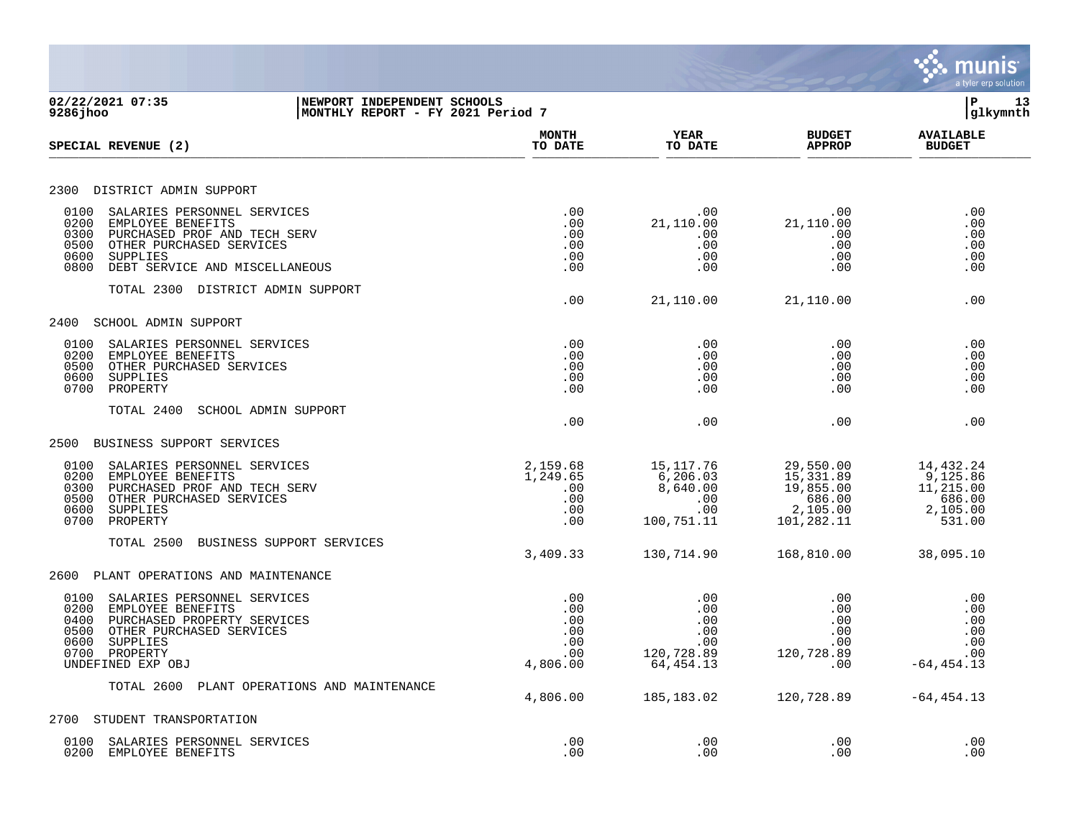|                                                                                                                                                                                                                                                    |                                                    |                                                               |                                                                         | munis<br>a tyler erp solution                                      |
|----------------------------------------------------------------------------------------------------------------------------------------------------------------------------------------------------------------------------------------------------|----------------------------------------------------|---------------------------------------------------------------|-------------------------------------------------------------------------|--------------------------------------------------------------------|
| 02/22/2021 07:35<br>NEWPORT INDEPENDENT SCHOOLS<br>9286jhoo<br>MONTHLY REPORT - FY 2021 Period 7                                                                                                                                                   |                                                    |                                                               |                                                                         | P<br>13<br>glkymnth                                                |
| SPECIAL REVENUE (2)                                                                                                                                                                                                                                | <b>MONTH</b><br>TO DATE                            | <b>YEAR</b><br>TO DATE                                        | <b>BUDGET</b><br><b>APPROP</b>                                          | <b>AVAILABLE</b><br><b>BUDGET</b>                                  |
| DISTRICT ADMIN SUPPORT<br>2300                                                                                                                                                                                                                     |                                                    |                                                               |                                                                         |                                                                    |
| 0100<br>SALARIES PERSONNEL SERVICES<br>0200<br>EMPLOYEE BENEFITS<br>0300<br>PURCHASED PROF AND TECH SERV<br>0500<br>OTHER PURCHASED SERVICES<br>0600<br>SUPPLIES<br>0800<br>DEBT SERVICE AND MISCELLANEOUS<br>TOTAL 2300<br>DISTRICT ADMIN SUPPORT | .00<br>.00<br>.00<br>.00<br>.00<br>.00             | .00<br>21,110.00<br>.00<br>.00<br>.00<br>.00                  | .00<br>21,110.00<br>.00<br>.00<br>.00<br>.00                            | .00<br>.00<br>.00<br>.00<br>.00<br>.00                             |
| 2400<br>SCHOOL ADMIN SUPPORT                                                                                                                                                                                                                       | .00                                                | 21,110.00                                                     | 21,110.00                                                               | .00                                                                |
| 0100<br>SALARIES PERSONNEL SERVICES<br>0200<br>EMPLOYEE BENEFITS<br>0500<br>OTHER PURCHASED SERVICES<br>0600<br>SUPPLIES<br>0700<br>PROPERTY                                                                                                       | .00<br>.00<br>.00<br>.00<br>.00                    | .00<br>.00<br>.00<br>.00<br>.00                               | .00<br>.00<br>.00<br>.00<br>.00                                         | .00<br>.00<br>.00<br>.00<br>.00                                    |
| TOTAL 2400<br>SCHOOL ADMIN SUPPORT                                                                                                                                                                                                                 | .00                                                | .00                                                           | .00                                                                     | .00                                                                |
| 2500<br>BUSINESS SUPPORT SERVICES                                                                                                                                                                                                                  |                                                    |                                                               |                                                                         |                                                                    |
| 0100<br>SALARIES PERSONNEL SERVICES<br>0200<br>EMPLOYEE BENEFITS<br>0300<br>PURCHASED PROF AND TECH SERV<br>0500<br>OTHER PURCHASED SERVICES<br>0600<br>SUPPLIES<br>0700<br>PROPERTY                                                               | 2,159.68<br>1,249.65<br>.00<br>.00<br>.00<br>.00   | 15,117.76<br>6,206.03<br>8,640.00<br>.00<br>.00<br>100,751.11 | 29,550.00<br>15,331.89<br>19,855.00<br>686.00<br>2,105.00<br>101,282.11 | 14,432.24<br>9,125.86<br>11,215.00<br>686.00<br>2,105.00<br>531.00 |
| TOTAL 2500<br>BUSINESS SUPPORT SERVICES                                                                                                                                                                                                            | 3,409.33                                           | 130,714.90                                                    | 168,810.00                                                              | 38,095.10                                                          |
| 2600<br>PLANT OPERATIONS AND MAINTENANCE                                                                                                                                                                                                           |                                                    |                                                               |                                                                         |                                                                    |
| 0100<br>SALARIES PERSONNEL SERVICES<br>0200<br>EMPLOYEE BENEFITS<br>0400<br>PURCHASED PROPERTY SERVICES<br>0500<br>OTHER PURCHASED SERVICES<br>0600<br>SUPPLIES<br>0700 PROPERTY<br>UNDEFINED EXP OBJ                                              | .00<br>.00<br>.00<br>.00<br>.00<br>.00<br>4,806.00 | .00<br>.00<br>.00<br>.00<br>.00<br>120,728.89<br>64,454.13    | .00<br>.00<br>.00<br>.00<br>.00<br>120,728.89<br>.00                    | .00<br>.00<br>.00<br>.00<br>.00<br>.00<br>$-64, 454.13$            |
| TOTAL 2600 PLANT OPERATIONS AND MAINTENANCE                                                                                                                                                                                                        | 4,806.00                                           | 185, 183.02                                                   | 120,728.89                                                              | $-64, 454.13$                                                      |
| 2700<br>STUDENT TRANSPORTATION                                                                                                                                                                                                                     |                                                    |                                                               |                                                                         |                                                                    |
| SALARIES PERSONNEL SERVICES<br>0100<br>0200<br>EMPLOYEE BENEFITS                                                                                                                                                                                   | .00<br>.00                                         | .00<br>.00                                                    | .00<br>.00                                                              | .00<br>.00                                                         |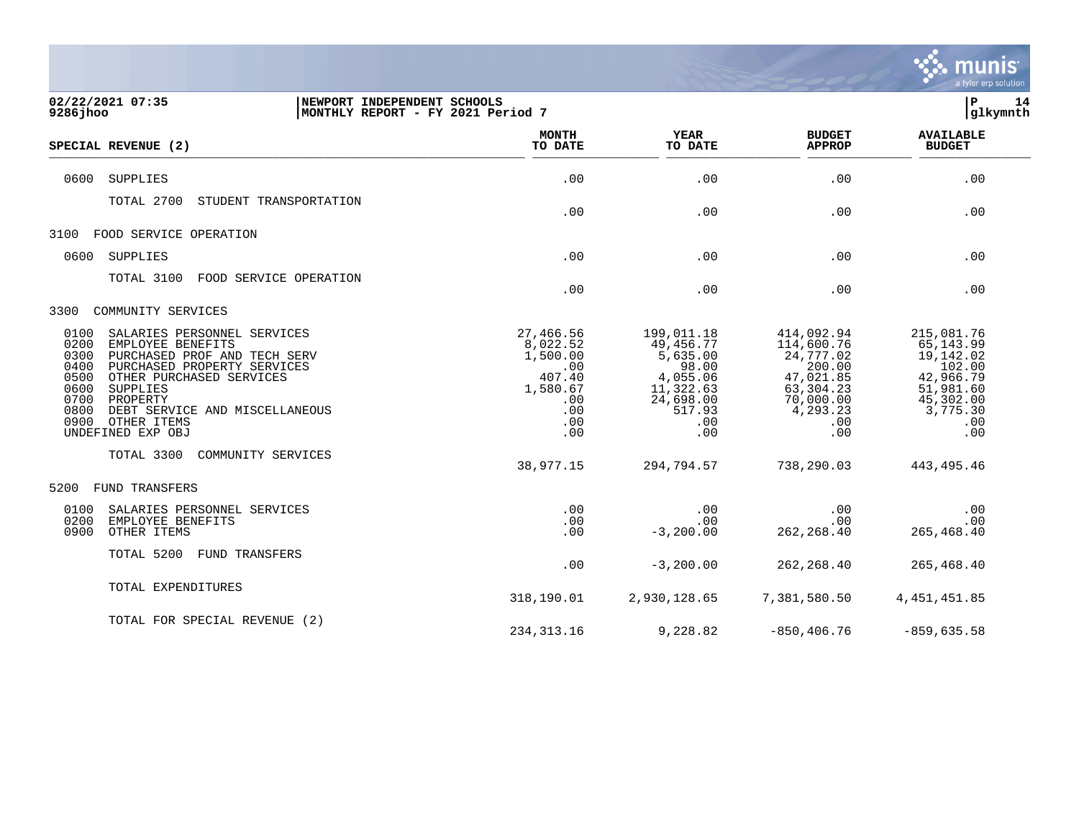

| 02/22/2021 07:35<br>9286 jhoo                                                                                                                                                                                                                                                                                     | NEWPORT INDEPENDENT SCHOOLS<br>MONTHLY REPORT - FY 2021 Period 7                           |                                                                                                            |                                                                                                                  |                                                                                                                  |
|-------------------------------------------------------------------------------------------------------------------------------------------------------------------------------------------------------------------------------------------------------------------------------------------------------------------|--------------------------------------------------------------------------------------------|------------------------------------------------------------------------------------------------------------|------------------------------------------------------------------------------------------------------------------|------------------------------------------------------------------------------------------------------------------|
| SPECIAL REVENUE (2)                                                                                                                                                                                                                                                                                               | <b>MONTH</b><br>TO DATE                                                                    | <b>YEAR</b><br>TO DATE                                                                                     | <b>BUDGET</b><br><b>APPROP</b>                                                                                   | <b>AVAILABLE</b><br><b>BUDGET</b>                                                                                |
| SUPPLIES<br>0600                                                                                                                                                                                                                                                                                                  | .00                                                                                        | .00                                                                                                        | .00                                                                                                              | .00                                                                                                              |
| TOTAL 2700<br>STUDENT TRANSPORTATION                                                                                                                                                                                                                                                                              | .00                                                                                        | .00                                                                                                        | .00                                                                                                              | .00                                                                                                              |
| FOOD SERVICE OPERATION<br>3100                                                                                                                                                                                                                                                                                    |                                                                                            |                                                                                                            |                                                                                                                  |                                                                                                                  |
| SUPPLIES<br>0600                                                                                                                                                                                                                                                                                                  | .00                                                                                        | .00                                                                                                        | .00                                                                                                              | .00                                                                                                              |
| TOTAL 3100<br>FOOD SERVICE OPERATION                                                                                                                                                                                                                                                                              | .00                                                                                        | .00                                                                                                        | .00                                                                                                              | .00                                                                                                              |
| 3300<br>COMMUNITY SERVICES                                                                                                                                                                                                                                                                                        |                                                                                            |                                                                                                            |                                                                                                                  |                                                                                                                  |
| 0100<br>SALARIES PERSONNEL SERVICES<br>0200<br>EMPLOYEE BENEFITS<br>0300<br>PURCHASED PROF AND TECH SERV<br>0400<br>PURCHASED PROPERTY SERVICES<br>0500<br>OTHER PURCHASED SERVICES<br>0600<br>SUPPLIES<br>0700<br>PROPERTY<br>0800<br>DEBT SERVICE AND MISCELLANEOUS<br>0900<br>OTHER ITEMS<br>UNDEFINED EXP OBJ | 27,466.56<br>8,022.52<br>1,500.00<br>.00<br>407.40<br>1,580.67<br>.00<br>.00<br>.00<br>.00 | 199,011.18<br>49,456.77<br>5,635.00<br>98.00<br>4,055.06<br>11,322.63<br>24,698.00<br>517.93<br>.00<br>.00 | 414,092.94<br>114,600.76<br>24,777.02<br>200.00<br>47,021.85<br>63,304.23<br>70,000.00<br>4,293.23<br>.00<br>.00 | 215,081.76<br>65, 143.99<br>19,142.02<br>102.00<br>42,966.79<br>51,981.60<br>45,302.00<br>3,775.30<br>.00<br>.00 |
| TOTAL 3300<br>COMMUNITY SERVICES                                                                                                                                                                                                                                                                                  | 38,977.15                                                                                  | 294,794.57                                                                                                 | 738,290.03                                                                                                       | 443, 495. 46                                                                                                     |
| 5200<br><b>FUND TRANSFERS</b>                                                                                                                                                                                                                                                                                     |                                                                                            |                                                                                                            |                                                                                                                  |                                                                                                                  |
| 0100<br>SALARIES PERSONNEL SERVICES<br>0200<br>EMPLOYEE BENEFITS<br>OTHER ITEMS<br>0900                                                                                                                                                                                                                           | .00<br>.00<br>.00                                                                          | .00<br>$.00 \,$<br>$-3, 200.00$                                                                            | .00<br>.00<br>262, 268.40                                                                                        | .00<br>.00<br>265,468.40                                                                                         |
| TOTAL 5200<br>FUND TRANSFERS                                                                                                                                                                                                                                                                                      | .00                                                                                        | $-3,200.00$                                                                                                | 262, 268.40                                                                                                      | 265,468.40                                                                                                       |
| TOTAL EXPENDITURES                                                                                                                                                                                                                                                                                                | 318,190.01                                                                                 | 2,930,128.65                                                                                               | 7,381,580.50                                                                                                     | 4, 451, 451.85                                                                                                   |
| TOTAL FOR SPECIAL REVENUE (2)                                                                                                                                                                                                                                                                                     | 234, 313. 16                                                                               | 9,228.82                                                                                                   | $-850, 406.76$                                                                                                   | $-859,635.58$                                                                                                    |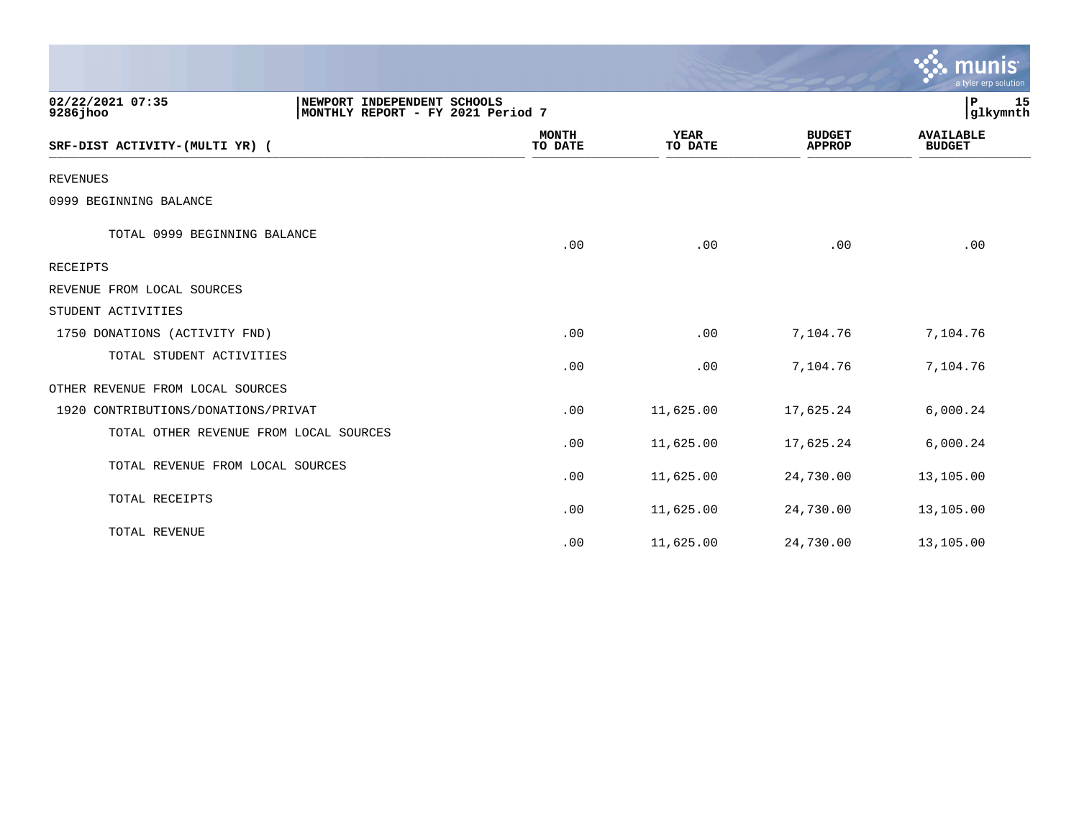|                                                              |                                   |                        |                                | munis<br>a tyler erp solution     |
|--------------------------------------------------------------|-----------------------------------|------------------------|--------------------------------|-----------------------------------|
| 02/22/2021 07:35<br>NEWPORT INDEPENDENT SCHOOLS<br>9286 jhoo | MONTHLY REPORT - FY 2021 Period 7 |                        |                                | ${\bf P}$<br>15<br>glkymnth       |
| SRF-DIST ACTIVITY-(MULTI YR) (                               | <b>MONTH</b><br>TO DATE           | <b>YEAR</b><br>TO DATE | <b>BUDGET</b><br><b>APPROP</b> | <b>AVAILABLE</b><br><b>BUDGET</b> |
| <b>REVENUES</b>                                              |                                   |                        |                                |                                   |
| 0999 BEGINNING BALANCE                                       |                                   |                        |                                |                                   |
| TOTAL 0999 BEGINNING BALANCE                                 | .00                               | .00                    | .00                            | .00                               |
| RECEIPTS                                                     |                                   |                        |                                |                                   |
| REVENUE FROM LOCAL SOURCES                                   |                                   |                        |                                |                                   |
| STUDENT ACTIVITIES                                           |                                   |                        |                                |                                   |
| 1750 DONATIONS (ACTIVITY FND)                                | .00                               | .00                    | 7,104.76                       | 7,104.76                          |
| TOTAL STUDENT ACTIVITIES                                     | .00                               | .00                    | 7,104.76                       | 7,104.76                          |
| OTHER REVENUE FROM LOCAL SOURCES                             |                                   |                        |                                |                                   |
| 1920 CONTRIBUTIONS/DONATIONS/PRIVAT                          | .00                               | 11,625.00              | 17,625.24                      | 6,000.24                          |
| TOTAL OTHER REVENUE FROM LOCAL SOURCES                       | .00                               | 11,625.00              | 17,625.24                      | 6,000.24                          |
| TOTAL REVENUE FROM LOCAL SOURCES                             | .00                               | 11,625.00              | 24,730.00                      | 13,105.00                         |
| TOTAL RECEIPTS                                               | .00                               | 11,625.00              | 24,730.00                      | 13,105.00                         |
| TOTAL REVENUE                                                | .00                               | 11,625.00              | 24,730.00                      | 13,105.00                         |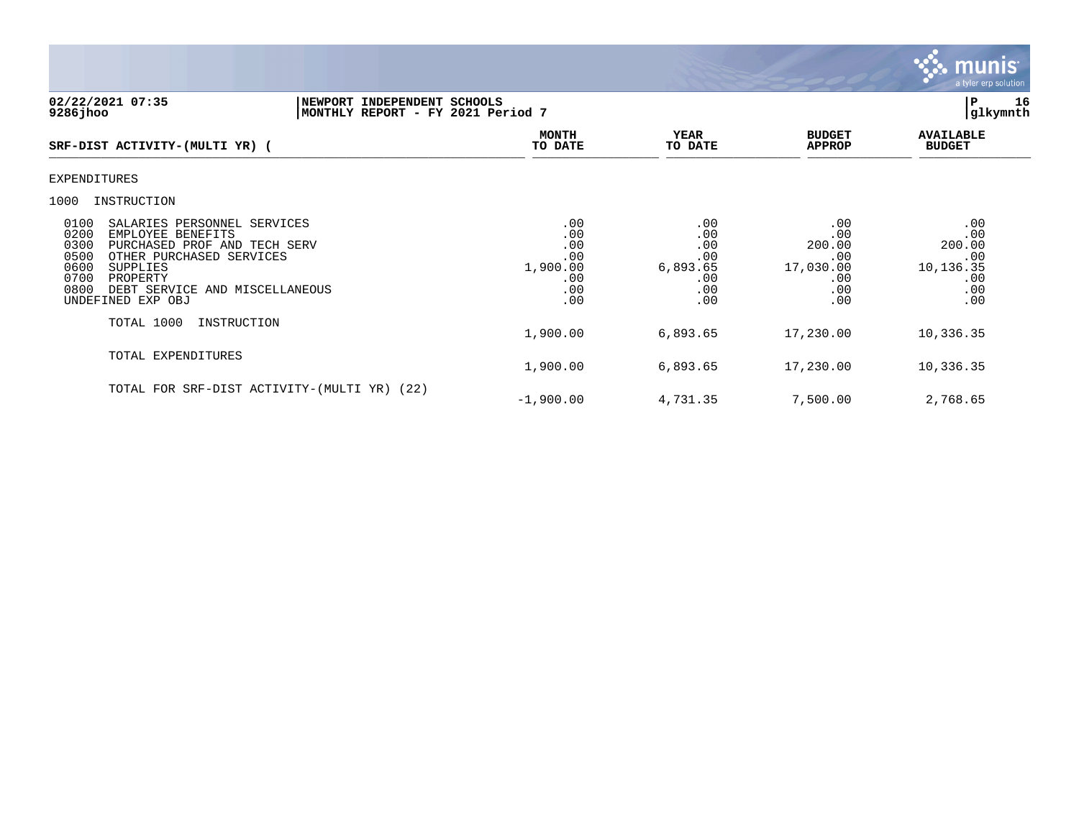

## **02/22/2021 07:35 |NEWPORT INDEPENDENT SCHOOLS |P 16 9286jhoo |MONTHLY REPORT - FY 2021 Period 7 |glkymnth**

| SRF-DIST ACTIVITY-(MULTI YR) (                                                                                                                                                                                                                      | <b>MONTH</b><br>TO DATE                                   | YEAR<br>TO DATE                                           | <b>BUDGET</b><br><b>APPROP</b>                                | <b>AVAILABLE</b><br><b>BUDGET</b>                             |  |
|-----------------------------------------------------------------------------------------------------------------------------------------------------------------------------------------------------------------------------------------------------|-----------------------------------------------------------|-----------------------------------------------------------|---------------------------------------------------------------|---------------------------------------------------------------|--|
| <b>EXPENDITURES</b>                                                                                                                                                                                                                                 |                                                           |                                                           |                                                               |                                                               |  |
| 1000<br>INSTRUCTION                                                                                                                                                                                                                                 |                                                           |                                                           |                                                               |                                                               |  |
| 0100<br>SALARIES PERSONNEL SERVICES<br>0200<br>EMPLOYEE BENEFITS<br>0300<br>PURCHASED PROF AND TECH SERV<br>0500<br>OTHER PURCHASED SERVICES<br>0600<br>SUPPLIES<br>0700<br>PROPERTY<br>0800<br>DEBT SERVICE AND MISCELLANEOUS<br>UNDEFINED EXP OBJ | .00<br>.00<br>.00<br>.00<br>1,900.00<br>.00<br>.00<br>.00 | .00<br>.00<br>.00<br>.00<br>6,893.65<br>.00<br>.00<br>.00 | .00<br>.00<br>200.00<br>.00<br>17,030.00<br>.00<br>.00<br>.00 | .00<br>.00<br>200.00<br>.00<br>10,136.35<br>.00<br>.00<br>.00 |  |
| TOTAL 1000<br>INSTRUCTION                                                                                                                                                                                                                           | 1,900.00                                                  | 6,893.65                                                  | 17,230.00                                                     | 10,336.35                                                     |  |
| TOTAL EXPENDITURES                                                                                                                                                                                                                                  | 1,900.00                                                  | 6,893.65                                                  | 17,230.00                                                     | 10,336.35                                                     |  |
| TOTAL FOR SRF-DIST ACTIVITY-(MULTI YR) (22)                                                                                                                                                                                                         | $-1,900.00$                                               | 4,731.35                                                  | 7,500.00                                                      | 2,768.65                                                      |  |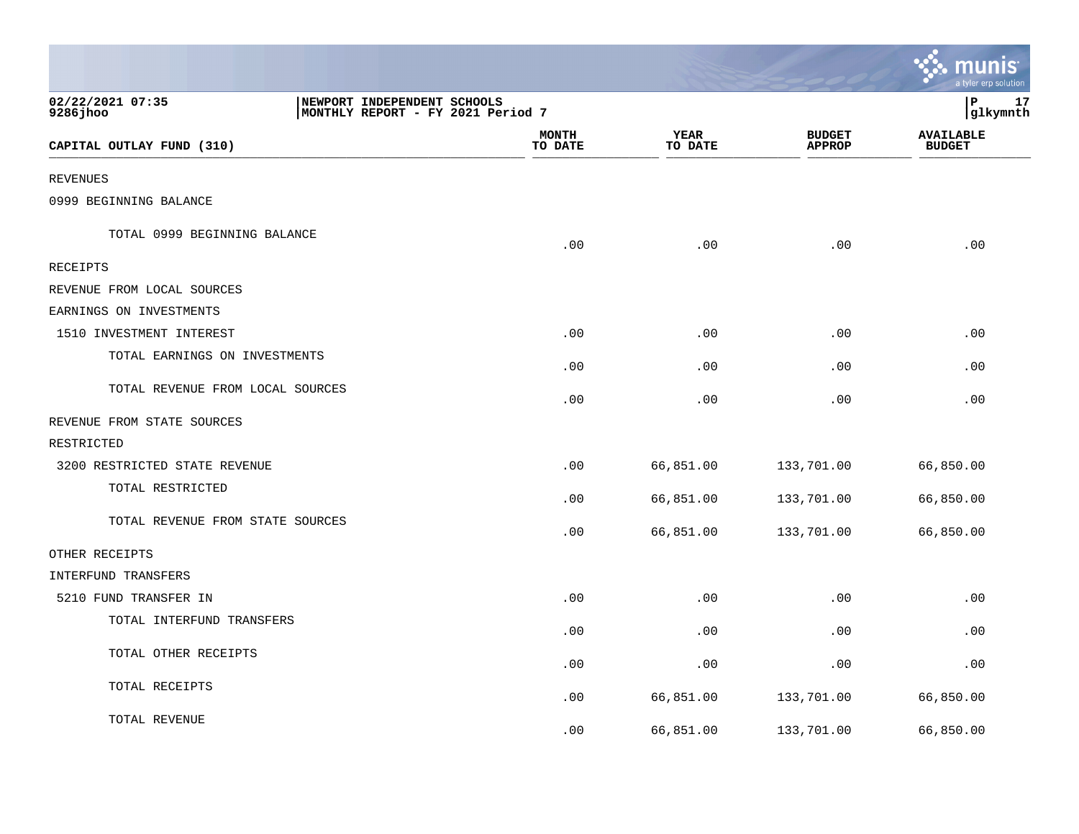|                                  |                                                                  |                         |                 |                                | <b>W. MUNIS</b><br>a tyler erp solution |
|----------------------------------|------------------------------------------------------------------|-------------------------|-----------------|--------------------------------|-----------------------------------------|
| 02/22/2021 07:35<br>$9286$ jhoo  | NEWPORT INDEPENDENT SCHOOLS<br>MONTHLY REPORT - FY 2021 Period 7 |                         |                 |                                | ∣P<br>17<br>glkymnth                    |
| CAPITAL OUTLAY FUND (310)        |                                                                  | <b>MONTH</b><br>TO DATE | YEAR<br>TO DATE | <b>BUDGET</b><br><b>APPROP</b> | <b>AVAILABLE</b><br><b>BUDGET</b>       |
| <b>REVENUES</b>                  |                                                                  |                         |                 |                                |                                         |
| 0999 BEGINNING BALANCE           |                                                                  |                         |                 |                                |                                         |
| TOTAL 0999 BEGINNING BALANCE     |                                                                  | .00                     | .00             | .00                            | .00                                     |
| <b>RECEIPTS</b>                  |                                                                  |                         |                 |                                |                                         |
| REVENUE FROM LOCAL SOURCES       |                                                                  |                         |                 |                                |                                         |
| EARNINGS ON INVESTMENTS          |                                                                  |                         |                 |                                |                                         |
| 1510 INVESTMENT INTEREST         |                                                                  | .00                     | .00             | .00                            | .00                                     |
| TOTAL EARNINGS ON INVESTMENTS    |                                                                  | .00                     | .00             | .00                            | .00                                     |
| TOTAL REVENUE FROM LOCAL SOURCES |                                                                  | .00                     | .00             | .00                            | .00                                     |
| REVENUE FROM STATE SOURCES       |                                                                  |                         |                 |                                |                                         |
| RESTRICTED                       |                                                                  |                         |                 |                                |                                         |
| 3200 RESTRICTED STATE REVENUE    |                                                                  | .00                     | 66,851.00       | 133,701.00                     | 66,850.00                               |
| TOTAL RESTRICTED                 |                                                                  | .00                     | 66,851.00       | 133,701.00                     | 66,850.00                               |
| TOTAL REVENUE FROM STATE SOURCES |                                                                  | .00                     | 66,851.00       | 133,701.00                     | 66,850.00                               |
| OTHER RECEIPTS                   |                                                                  |                         |                 |                                |                                         |
| INTERFUND TRANSFERS              |                                                                  |                         |                 |                                |                                         |
| 5210 FUND TRANSFER IN            |                                                                  | .00                     | .00             | .00                            | .00                                     |
| TOTAL INTERFUND TRANSFERS        |                                                                  | .00                     | .00             | .00                            | .00                                     |
| TOTAL OTHER RECEIPTS             |                                                                  | .00                     | .00             | .00                            | .00                                     |
| TOTAL RECEIPTS                   |                                                                  | .00                     | 66,851.00       | 133,701.00                     | 66,850.00                               |
| TOTAL REVENUE                    |                                                                  | .00                     | 66,851.00       | 133,701.00                     | 66,850.00                               |

 $\sim$   $\sim$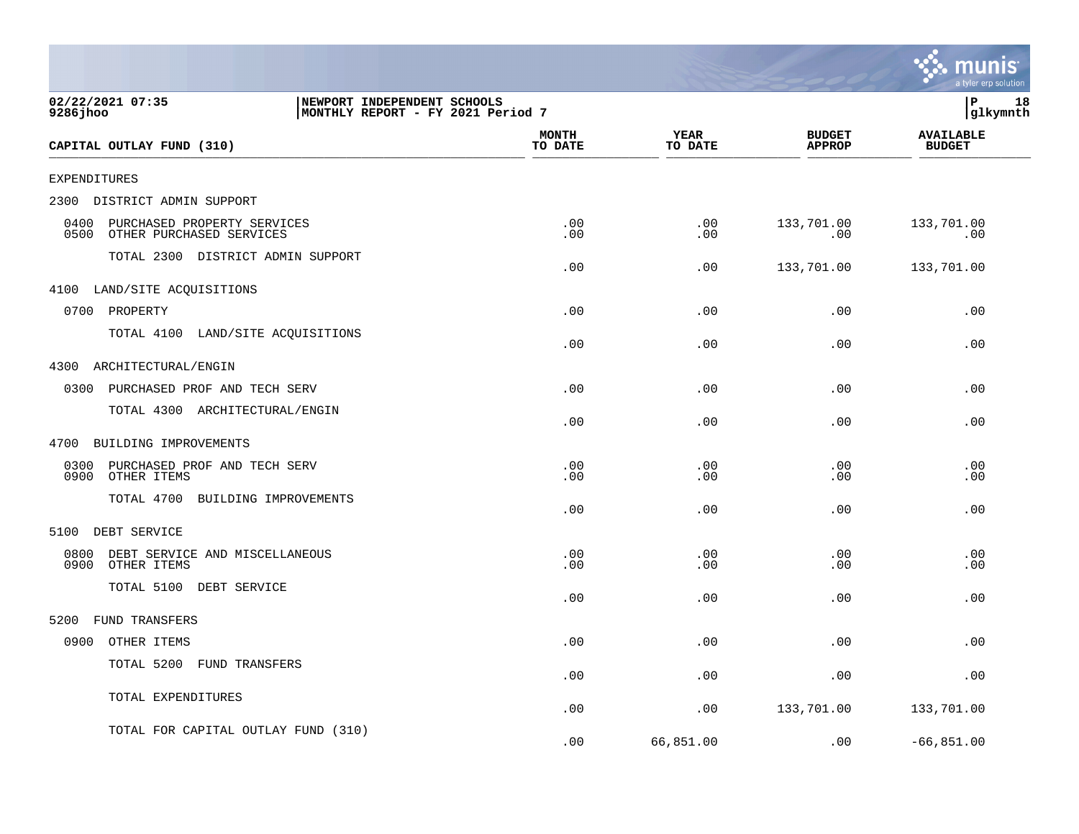|                                                                         |                                                                  |            |                        |                                | munis<br>a tyler erp solution     |
|-------------------------------------------------------------------------|------------------------------------------------------------------|------------|------------------------|--------------------------------|-----------------------------------|
| 02/22/2021 07:35<br>9286 jhoo                                           | NEWPORT INDEPENDENT SCHOOLS<br>MONTHLY REPORT - FY 2021 Period 7 |            |                        |                                | l P<br>18<br> glkymnth            |
| CAPITAL OUTLAY FUND (310)                                               | <b>MONTH</b><br>TO DATE                                          |            | <b>YEAR</b><br>TO DATE | <b>BUDGET</b><br><b>APPROP</b> | <b>AVAILABLE</b><br><b>BUDGET</b> |
| <b>EXPENDITURES</b>                                                     |                                                                  |            |                        |                                |                                   |
| DISTRICT ADMIN SUPPORT<br>2300                                          |                                                                  |            |                        |                                |                                   |
| 0400<br>PURCHASED PROPERTY SERVICES<br>0500<br>OTHER PURCHASED SERVICES |                                                                  | .00<br>.00 | .00<br>.00             | 133,701.00<br>.00              | 133,701.00<br>.00                 |
| TOTAL 2300 DISTRICT ADMIN SUPPORT                                       |                                                                  | .00        | .00                    | 133,701.00                     | 133,701.00                        |
| LAND/SITE ACQUISITIONS<br>4100                                          |                                                                  |            |                        |                                |                                   |
| 0700<br>PROPERTY                                                        |                                                                  | .00        | .00                    | .00                            | .00                               |
| TOTAL 4100 LAND/SITE ACQUISITIONS                                       |                                                                  | .00        | .00                    | .00                            | .00                               |
| 4300<br>ARCHITECTURAL/ENGIN                                             |                                                                  |            |                        |                                |                                   |
| 0300<br>PURCHASED PROF AND TECH SERV                                    |                                                                  | .00        | .00                    | .00                            | .00                               |
| TOTAL 4300 ARCHITECTURAL/ENGIN                                          |                                                                  | .00        | .00                    | .00                            | .00                               |
| BUILDING IMPROVEMENTS<br>4700                                           |                                                                  |            |                        |                                |                                   |
| 0300<br>PURCHASED PROF AND TECH SERV<br>0900<br>OTHER ITEMS             |                                                                  | .00<br>.00 | .00<br>.00             | .00<br>.00                     | .00<br>.00                        |
| TOTAL 4700<br>BUILDING IMPROVEMENTS                                     |                                                                  | .00        | .00                    | .00                            | .00                               |
| DEBT SERVICE<br>5100                                                    |                                                                  |            |                        |                                |                                   |
| 0800<br>DEBT SERVICE AND MISCELLANEOUS<br>0900<br>OTHER ITEMS           |                                                                  | .00<br>.00 | .00<br>.00             | .00<br>.00                     | .00<br>.00                        |
| TOTAL 5100<br>DEBT SERVICE                                              |                                                                  | .00        | .00                    | .00                            | .00                               |
| <b>FUND TRANSFERS</b><br>5200                                           |                                                                  |            |                        |                                |                                   |
| 0900<br>OTHER ITEMS                                                     |                                                                  | .00        | .00                    | .00                            | .00                               |
| TOTAL 5200<br>FUND TRANSFERS                                            |                                                                  | .00        | .00                    | .00                            | .00                               |
| TOTAL EXPENDITURES                                                      |                                                                  | .00        | .00                    | 133,701.00                     | 133,701.00                        |
| TOTAL FOR CAPITAL OUTLAY FUND (310)                                     |                                                                  | .00        | 66,851.00              | .00                            | $-66,851.00$                      |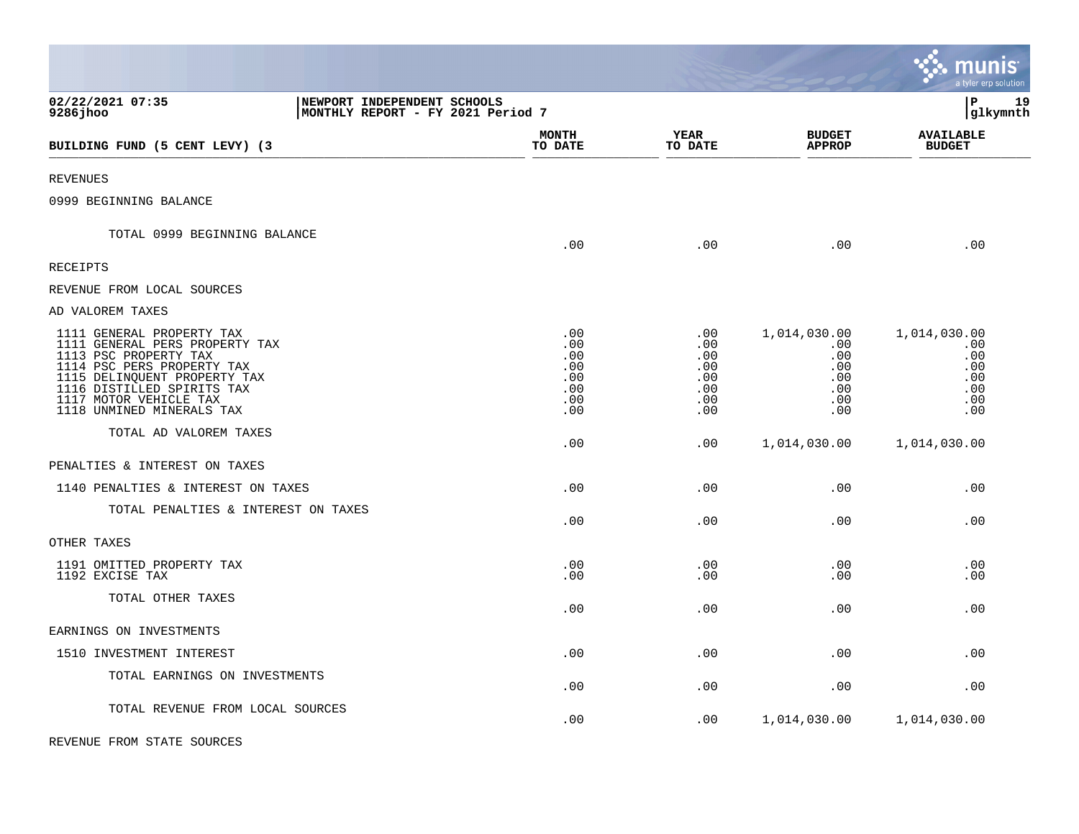|                                                                                                                                                                                                                                         |                                                                  |                                                      |                                                      |                                                               | munis<br>a tyler erp solution                                 |
|-----------------------------------------------------------------------------------------------------------------------------------------------------------------------------------------------------------------------------------------|------------------------------------------------------------------|------------------------------------------------------|------------------------------------------------------|---------------------------------------------------------------|---------------------------------------------------------------|
| 02/22/2021 07:35<br>9286jhoo                                                                                                                                                                                                            | NEWPORT INDEPENDENT SCHOOLS<br>MONTHLY REPORT - FY 2021 Period 7 |                                                      |                                                      |                                                               | lР<br>19<br>glkymnth                                          |
| BUILDING FUND (5 CENT LEVY) (3                                                                                                                                                                                                          |                                                                  | <b>MONTH</b><br>TO DATE                              | YEAR<br>TO DATE                                      | <b>BUDGET</b><br><b>APPROP</b>                                | <b>AVAILABLE</b><br><b>BUDGET</b>                             |
| <b>REVENUES</b>                                                                                                                                                                                                                         |                                                                  |                                                      |                                                      |                                                               |                                                               |
| 0999 BEGINNING BALANCE                                                                                                                                                                                                                  |                                                                  |                                                      |                                                      |                                                               |                                                               |
| TOTAL 0999 BEGINNING BALANCE                                                                                                                                                                                                            |                                                                  | .00                                                  | .00                                                  | .00                                                           | .00                                                           |
| <b>RECEIPTS</b>                                                                                                                                                                                                                         |                                                                  |                                                      |                                                      |                                                               |                                                               |
| REVENUE FROM LOCAL SOURCES                                                                                                                                                                                                              |                                                                  |                                                      |                                                      |                                                               |                                                               |
| AD VALOREM TAXES                                                                                                                                                                                                                        |                                                                  |                                                      |                                                      |                                                               |                                                               |
| 1111 GENERAL PROPERTY TAX<br>1111 GENERAL PERS PROPERTY TAX<br>1113 PSC PROPERTY TAX<br>1114 PSC PERS PROPERTY TAX<br>1115 DELINQUENT PROPERTY TAX<br>1116 DISTILLED SPIRITS TAX<br>1117 MOTOR VEHICLE TAX<br>1118 UNMINED MINERALS TAX |                                                                  | .00<br>.00<br>.00<br>.00<br>.00<br>.00<br>.00<br>.00 | .00<br>.00<br>.00<br>.00<br>.00<br>.00<br>.00<br>.00 | 1,014,030.00<br>.00<br>.00<br>.00<br>.00<br>.00<br>.00<br>.00 | 1,014,030.00<br>.00<br>.00<br>.00<br>.00<br>.00<br>.00<br>.00 |
| TOTAL AD VALOREM TAXES                                                                                                                                                                                                                  |                                                                  | .00                                                  | .00                                                  | 1,014,030.00                                                  | 1,014,030.00                                                  |
| PENALTIES & INTEREST ON TAXES                                                                                                                                                                                                           |                                                                  |                                                      |                                                      |                                                               |                                                               |
| 1140 PENALTIES & INTEREST ON TAXES                                                                                                                                                                                                      |                                                                  | .00                                                  | .00                                                  | .00                                                           | .00                                                           |
| TOTAL PENALTIES & INTEREST ON TAXES                                                                                                                                                                                                     |                                                                  | .00                                                  | .00                                                  | .00                                                           | .00                                                           |
| OTHER TAXES                                                                                                                                                                                                                             |                                                                  |                                                      |                                                      |                                                               |                                                               |
| 1191 OMITTED PROPERTY TAX<br>1192 EXCISE TAX                                                                                                                                                                                            |                                                                  | .00<br>.00                                           | .00<br>.00                                           | .00<br>.00                                                    | .00<br>.00                                                    |
| TOTAL OTHER TAXES                                                                                                                                                                                                                       |                                                                  | .00                                                  | .00                                                  | .00                                                           | .00                                                           |
| EARNINGS ON INVESTMENTS                                                                                                                                                                                                                 |                                                                  |                                                      |                                                      |                                                               |                                                               |
| 1510 INVESTMENT INTEREST                                                                                                                                                                                                                |                                                                  | .00                                                  | .00                                                  | .00                                                           | .00                                                           |
| TOTAL EARNINGS ON INVESTMENTS                                                                                                                                                                                                           |                                                                  | .00                                                  | .00                                                  | .00                                                           | .00                                                           |
| TOTAL REVENUE FROM LOCAL SOURCES                                                                                                                                                                                                        |                                                                  | .00                                                  | .00                                                  | 1,014,030.00                                                  | 1,014,030.00                                                  |

 $\bullet$ 

REVENUE FROM STATE SOURCES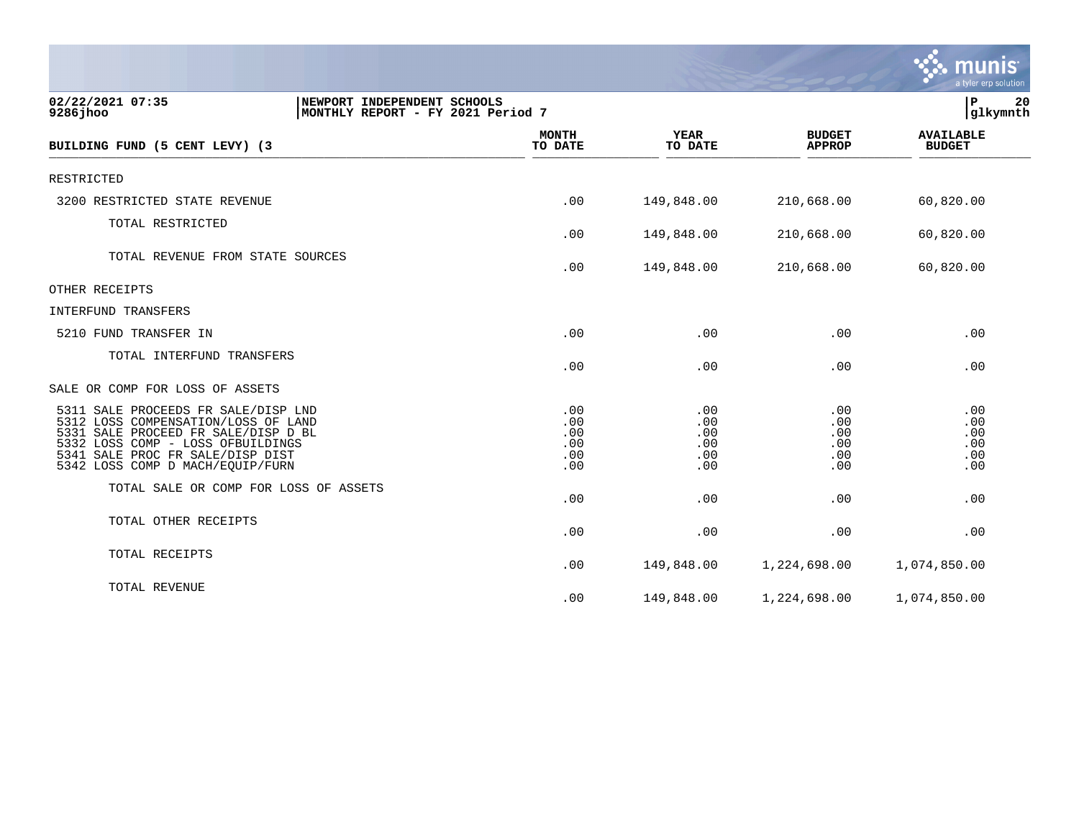|                                                                                                                                                                                                                                      |                                        |                                        |                                        | munis<br>a tyler erp solution          |
|--------------------------------------------------------------------------------------------------------------------------------------------------------------------------------------------------------------------------------------|----------------------------------------|----------------------------------------|----------------------------------------|----------------------------------------|
| 02/22/2021 07:35<br>NEWPORT INDEPENDENT SCHOOLS<br>9286 jhoo<br>MONTHLY REPORT - FY 2021 Period 7                                                                                                                                    |                                        |                                        |                                        | Þ<br>20<br> glkymnth                   |
| BUILDING FUND (5 CENT LEVY) (3                                                                                                                                                                                                       | <b>MONTH</b><br>TO DATE                | <b>YEAR</b><br>TO DATE                 | <b>BUDGET</b><br><b>APPROP</b>         | <b>AVAILABLE</b><br><b>BUDGET</b>      |
| RESTRICTED                                                                                                                                                                                                                           |                                        |                                        |                                        |                                        |
| 3200 RESTRICTED STATE REVENUE                                                                                                                                                                                                        | .00                                    | 149,848.00                             | 210,668.00                             | 60,820.00                              |
| TOTAL RESTRICTED                                                                                                                                                                                                                     | .00                                    | 149,848.00                             | 210,668.00                             | 60,820.00                              |
| TOTAL REVENUE FROM STATE SOURCES                                                                                                                                                                                                     | .00                                    | 149,848.00                             | 210,668.00                             | 60,820.00                              |
| OTHER RECEIPTS                                                                                                                                                                                                                       |                                        |                                        |                                        |                                        |
| INTERFUND TRANSFERS                                                                                                                                                                                                                  |                                        |                                        |                                        |                                        |
| 5210 FUND TRANSFER IN                                                                                                                                                                                                                | .00                                    | .00                                    | .00                                    | .00                                    |
| TOTAL INTERFUND TRANSFERS                                                                                                                                                                                                            | .00                                    | .00                                    | .00                                    | .00                                    |
| SALE OR COMP FOR LOSS OF ASSETS                                                                                                                                                                                                      |                                        |                                        |                                        |                                        |
| 5311 SALE PROCEEDS FR SALE/DISP LND<br>5312 LOSS COMPENSATION/LOSS OF LAND<br>SALE PROCEED FR SALE/DISP D BL<br>5331<br>5332 LOSS COMP - LOSS OFBUILDINGS<br>SALE PROC FR SALE/DISP DIST<br>5341<br>5342 LOSS COMP D MACH/EQUIP/FURN | .00<br>.00<br>.00<br>.00<br>.00<br>.00 | .00<br>.00<br>.00<br>.00<br>.00<br>.00 | .00<br>.00<br>.00<br>.00<br>.00<br>.00 | .00<br>.00<br>.00<br>.00<br>.00<br>.00 |
| TOTAL SALE OR COMP FOR LOSS OF ASSETS                                                                                                                                                                                                | .00                                    | .00                                    | .00                                    | .00                                    |
| TOTAL OTHER RECEIPTS                                                                                                                                                                                                                 | .00                                    | .00                                    | .00                                    | .00                                    |
| TOTAL RECEIPTS                                                                                                                                                                                                                       | .00                                    | 149,848.00                             | 1,224,698.00                           | 1,074,850.00                           |
| TOTAL REVENUE                                                                                                                                                                                                                        | .00                                    | 149,848.00                             | 1,224,698.00                           | 1,074,850.00                           |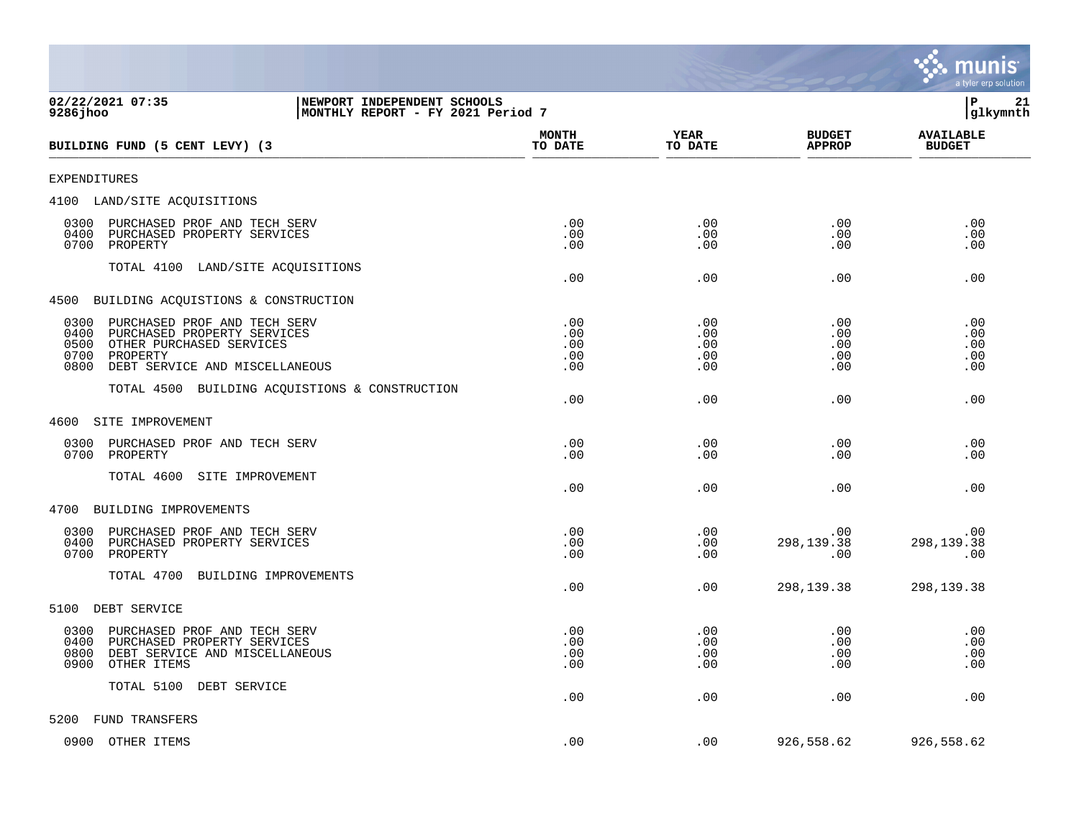|                                                                                                                                                                               |                                 |                                 |                                 | a tyler erp solution              |
|-------------------------------------------------------------------------------------------------------------------------------------------------------------------------------|---------------------------------|---------------------------------|---------------------------------|-----------------------------------|
| 02/22/2021 07:35<br>NEWPORT INDEPENDENT SCHOOLS<br>$9286$ jhoo<br>MONTHLY REPORT - FY 2021 Period 7                                                                           |                                 |                                 |                                 | lР<br>21<br> glkymnth             |
| BUILDING FUND (5 CENT LEVY) (3                                                                                                                                                | <b>MONTH</b><br>TO DATE         | YEAR<br>TO DATE                 | <b>BUDGET</b><br><b>APPROP</b>  | <b>AVAILABLE</b><br><b>BUDGET</b> |
| <b>EXPENDITURES</b>                                                                                                                                                           |                                 |                                 |                                 |                                   |
| 4100 LAND/SITE ACQUISITIONS                                                                                                                                                   |                                 |                                 |                                 |                                   |
| PURCHASED PROF AND TECH SERV<br>0300<br>0400<br>PURCHASED PROPERTY SERVICES<br>0700<br>PROPERTY                                                                               | .00<br>.00<br>.00               | .00<br>.00<br>.00               | .00<br>.00<br>.00               | .00<br>.00<br>.00                 |
| TOTAL 4100 LAND/SITE ACQUISITIONS                                                                                                                                             | .00                             | .00                             | .00                             | .00                               |
| 4500 BUILDING ACQUISTIONS & CONSTRUCTION                                                                                                                                      |                                 |                                 |                                 |                                   |
| PURCHASED PROF AND TECH SERV<br>0300<br>0400<br>PURCHASED PROPERTY SERVICES<br>0500<br>OTHER PURCHASED SERVICES<br>0700<br>PROPERTY<br>0800<br>DEBT SERVICE AND MISCELLANEOUS | .00<br>.00<br>.00<br>.00<br>.00 | .00<br>.00<br>.00<br>.00<br>.00 | .00<br>.00<br>.00<br>.00<br>.00 | .00<br>.00<br>.00<br>.00<br>.00   |
| BUILDING ACQUISTIONS & CONSTRUCTION<br>TOTAL 4500                                                                                                                             | .00                             | .00                             | .00                             | .00                               |
| SITE IMPROVEMENT<br>4600                                                                                                                                                      |                                 |                                 |                                 |                                   |
| 0300<br>PURCHASED PROF AND TECH SERV<br>0700<br>PROPERTY                                                                                                                      | .00<br>.00                      | .00<br>.00                      | .00<br>.00                      | .00<br>.00                        |
| TOTAL 4600<br>SITE IMPROVEMENT                                                                                                                                                | .00                             | .00                             | .00                             | .00                               |
| 4700<br>BUILDING IMPROVEMENTS                                                                                                                                                 |                                 |                                 |                                 |                                   |
| 0300<br>PURCHASED PROF AND TECH SERV<br>0400<br>PURCHASED PROPERTY SERVICES<br>PROPERTY<br>0700                                                                               | .00<br>.00<br>.00               | .00<br>.00<br>.00               | .00<br>298,139.38<br>.00        | .00<br>298,139.38<br>.00          |
| TOTAL 4700<br>BUILDING IMPROVEMENTS                                                                                                                                           | .00                             | .00                             | 298,139.38                      | 298,139.38                        |
| DEBT SERVICE<br>5100                                                                                                                                                          |                                 |                                 |                                 |                                   |
| PURCHASED PROF AND TECH SERV<br>0300<br>0400<br>PURCHASED PROPERTY SERVICES<br>0800<br>DEBT SERVICE AND MISCELLANEOUS<br>0900<br>OTHER ITEMS                                  | .00<br>.00<br>.00<br>.00        | .00<br>.00<br>.00<br>.00        | .00<br>.00<br>.00<br>.00        | .00<br>.00<br>.00<br>.00          |
| TOTAL 5100<br>DEBT SERVICE                                                                                                                                                    | .00                             | .00                             | .00                             | .00                               |
| 5200<br>FUND TRANSFERS                                                                                                                                                        |                                 |                                 |                                 |                                   |
| 0900 OTHER ITEMS                                                                                                                                                              | .00                             | .00                             | 926,558.62                      | 926,558.62                        |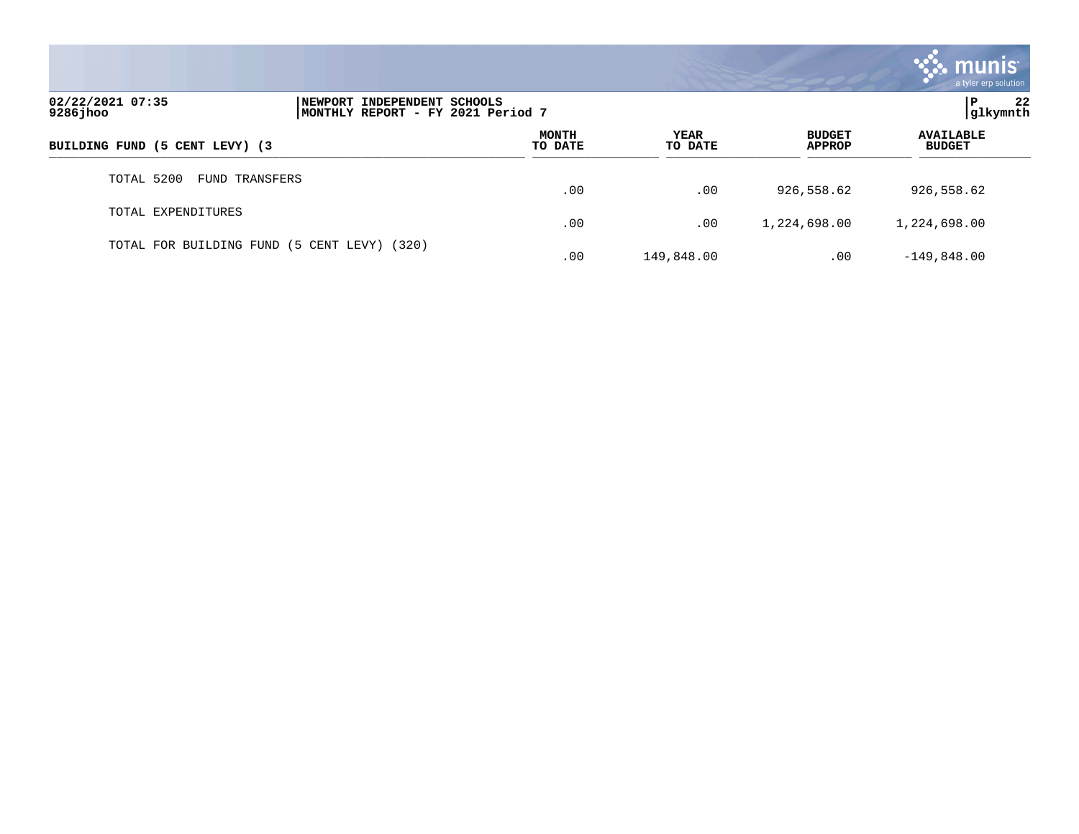|                                |                                                                  |                         |                 |                                | $\mathcal{S}$ munis<br>a tyler erp solution |
|--------------------------------|------------------------------------------------------------------|-------------------------|-----------------|--------------------------------|---------------------------------------------|
| 02/22/2021 07:35<br>9286 jhoo  | NEWPORT INDEPENDENT SCHOOLS<br>MONTHLY REPORT - FY 2021 Period 7 |                         |                 |                                | 22<br>P<br> glkymnth                        |
| BUILDING FUND (5 CENT LEVY) (3 |                                                                  | <b>MONTH</b><br>TO DATE | YEAR<br>TO DATE | <b>BUDGET</b><br><b>APPROP</b> | <b>AVAILABLE</b><br><b>BUDGET</b>           |
| TOTAL 5200                     | FUND TRANSFERS                                                   | .00                     | .00             | 926,558.62                     | 926,558.62                                  |
| TOTAL EXPENDITURES             |                                                                  | .00                     | .00             | 1,224,698.00                   | 1,224,698.00                                |
|                                | TOTAL FOR BUILDING FUND (5 CENT LEVY) (320)                      | .00                     | 149,848.00      | .00                            | $-149,848.00$                               |

 $\sim$   $\sim$   $\sim$   $\sim$   $\sim$   $\sim$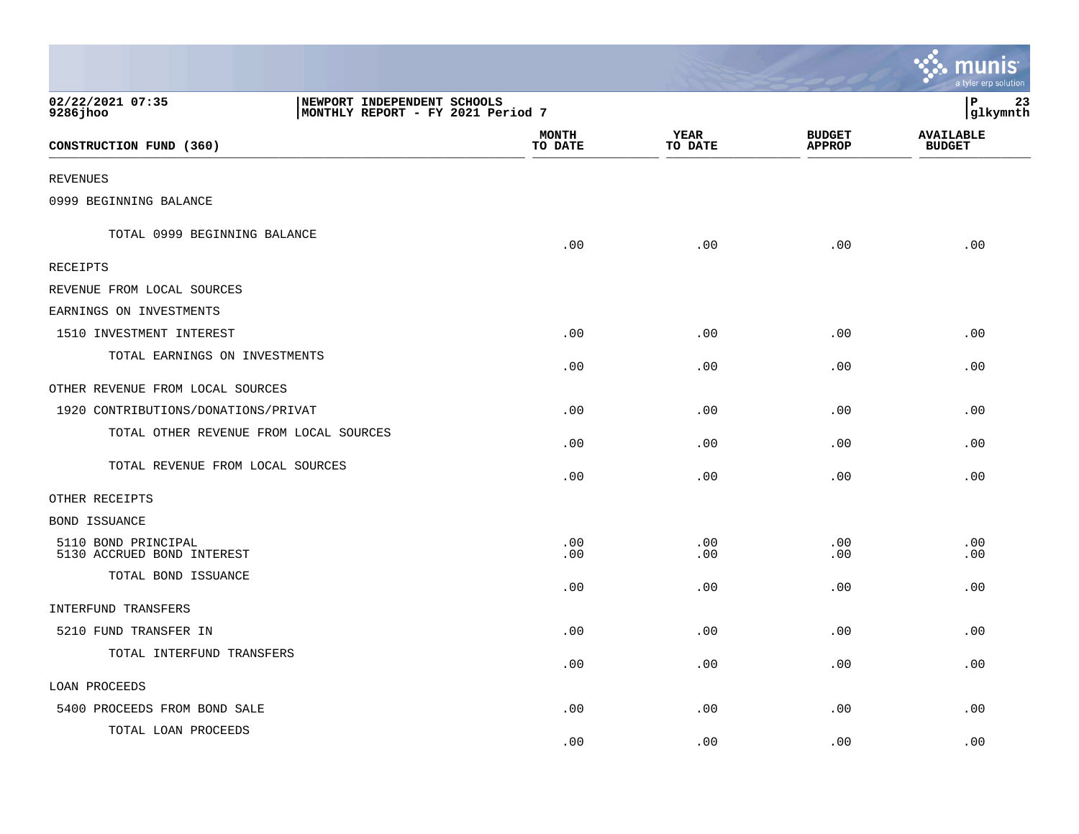|                                                   |                                                                  |                         |                        |                                | <b><u>A. Munis</u></b><br>a tyler erp solution |
|---------------------------------------------------|------------------------------------------------------------------|-------------------------|------------------------|--------------------------------|------------------------------------------------|
| 02/22/2021 07:35<br>$9286$ jhoo                   | NEWPORT INDEPENDENT SCHOOLS<br>MONTHLY REPORT - FY 2021 Period 7 |                         |                        |                                | P<br>23<br>glkymnth                            |
| CONSTRUCTION FUND (360)                           |                                                                  | <b>MONTH</b><br>TO DATE | <b>YEAR</b><br>TO DATE | <b>BUDGET</b><br><b>APPROP</b> | <b>AVAILABLE</b><br><b>BUDGET</b>              |
| REVENUES                                          |                                                                  |                         |                        |                                |                                                |
| 0999 BEGINNING BALANCE                            |                                                                  |                         |                        |                                |                                                |
| TOTAL 0999 BEGINNING BALANCE                      |                                                                  | .00                     | .00                    | .00                            | .00                                            |
| RECEIPTS                                          |                                                                  |                         |                        |                                |                                                |
| REVENUE FROM LOCAL SOURCES                        |                                                                  |                         |                        |                                |                                                |
| EARNINGS ON INVESTMENTS                           |                                                                  |                         |                        |                                |                                                |
| 1510 INVESTMENT INTEREST                          |                                                                  | .00                     | .00                    | .00                            | .00                                            |
| TOTAL EARNINGS ON INVESTMENTS                     |                                                                  | .00                     | .00                    | .00                            | .00                                            |
| OTHER REVENUE FROM LOCAL SOURCES                  |                                                                  |                         |                        |                                |                                                |
| 1920 CONTRIBUTIONS/DONATIONS/PRIVAT               |                                                                  | .00                     | .00                    | .00                            | .00                                            |
| TOTAL OTHER REVENUE FROM LOCAL SOURCES            |                                                                  | .00                     | .00                    | .00                            | .00                                            |
| TOTAL REVENUE FROM LOCAL SOURCES                  |                                                                  | .00                     | .00                    | .00                            | .00                                            |
| OTHER RECEIPTS                                    |                                                                  |                         |                        |                                |                                                |
| BOND ISSUANCE                                     |                                                                  |                         |                        |                                |                                                |
| 5110 BOND PRINCIPAL<br>5130 ACCRUED BOND INTEREST |                                                                  | .00<br>.00              | .00<br>.00             | .00<br>.00                     | .00<br>.00                                     |
| TOTAL BOND ISSUANCE                               |                                                                  | .00                     | .00                    | .00                            | .00                                            |
| INTERFUND TRANSFERS                               |                                                                  |                         |                        |                                |                                                |
| 5210 FUND TRANSFER IN                             |                                                                  | .00                     | .00                    | .00                            | .00                                            |
| TOTAL INTERFUND TRANSFERS                         |                                                                  | .00                     | .00                    | .00                            | .00                                            |
| <b>LOAN PROCEEDS</b>                              |                                                                  |                         |                        |                                |                                                |
| 5400 PROCEEDS FROM BOND SALE                      |                                                                  | .00                     | .00                    | .00                            | .00                                            |
| TOTAL LOAN PROCEEDS                               |                                                                  | .00                     | .00                    | .00                            | .00                                            |

 $\sim$   $\sim$   $\sim$   $\sim$   $\sim$   $\sim$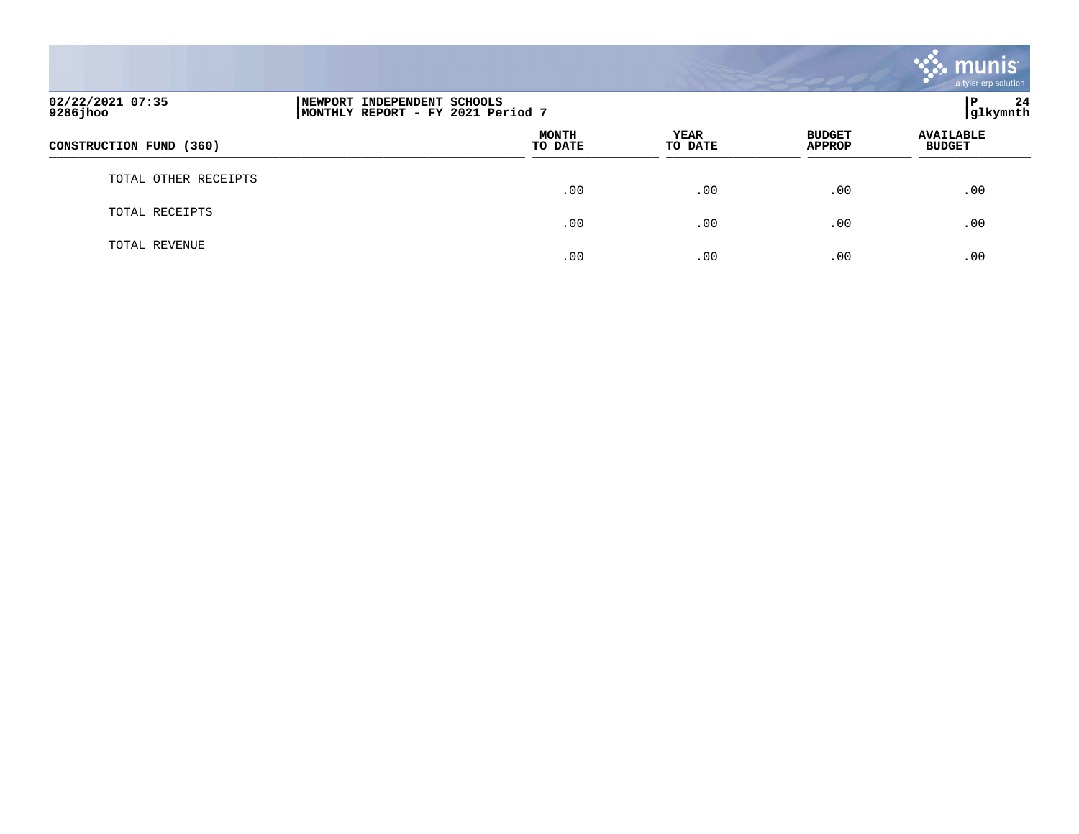|                               |                                                                  |                         |                        |                                | munis<br>a tyler erp solution     |    |
|-------------------------------|------------------------------------------------------------------|-------------------------|------------------------|--------------------------------|-----------------------------------|----|
| 02/22/2021 07:35<br>9286 jhoo | NEWPORT INDEPENDENT SCHOOLS<br>MONTHLY REPORT - FY 2021 Period 7 |                         |                        |                                | $\mathbf{P}$<br>glkymnth          | 24 |
| CONSTRUCTION FUND (360)       |                                                                  | <b>MONTH</b><br>TO DATE | <b>YEAR</b><br>TO DATE | <b>BUDGET</b><br><b>APPROP</b> | <b>AVAILABLE</b><br><b>BUDGET</b> |    |
| TOTAL OTHER RECEIPTS          |                                                                  | .00                     | .00                    | .00                            | .00                               |    |
| TOTAL RECEIPTS                |                                                                  | .00                     | .00                    | .00                            | .00                               |    |
| TOTAL REVENUE                 |                                                                  | .00                     | .00                    | .00                            | .00                               |    |

 $\bullet$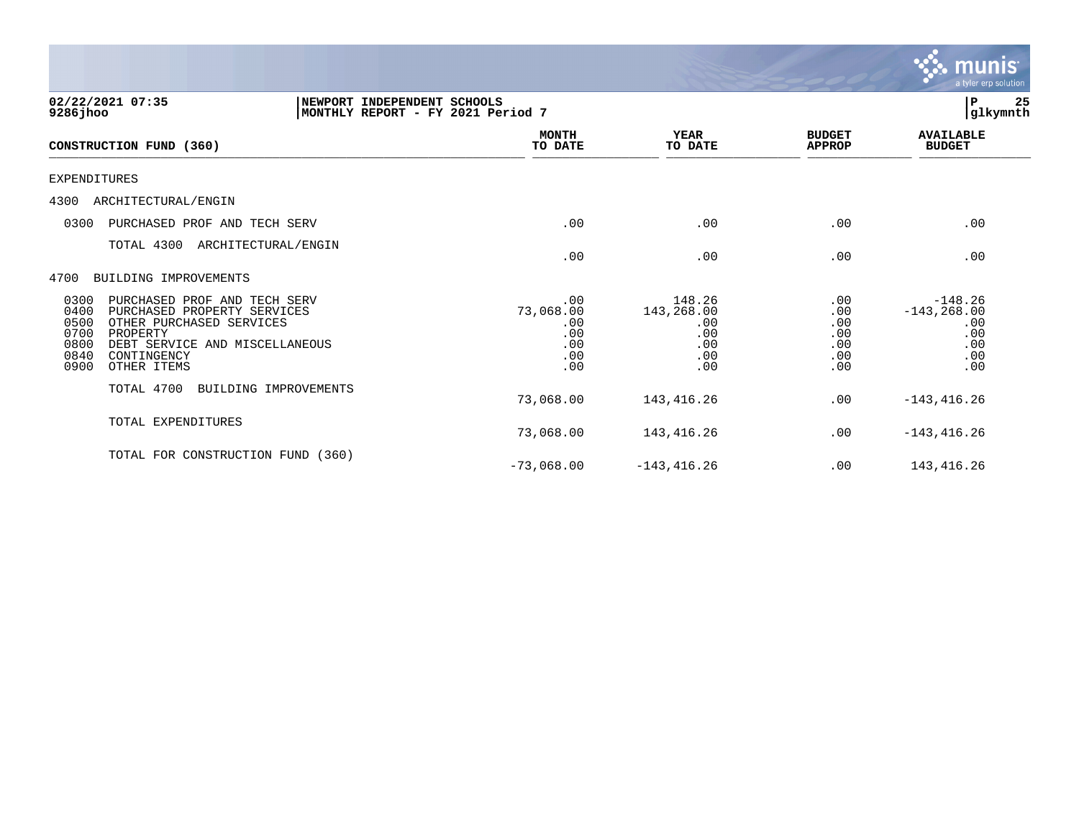|                                                                                                                                                                                                                             |                                                     |                                                         |                                               | a tyler erp solution                                           |
|-----------------------------------------------------------------------------------------------------------------------------------------------------------------------------------------------------------------------------|-----------------------------------------------------|---------------------------------------------------------|-----------------------------------------------|----------------------------------------------------------------|
| 02/22/2021 07:35<br>NEWPORT INDEPENDENT SCHOOLS<br>MONTHLY REPORT - FY 2021 Period 7<br>$9286$ jhoo                                                                                                                         |                                                     |                                                         |                                               | P<br>25<br>glkymnth                                            |
| CONSTRUCTION FUND (360)                                                                                                                                                                                                     | <b>MONTH</b><br>TO DATE                             | <b>YEAR</b><br>TO DATE                                  | <b>BUDGET</b><br><b>APPROP</b>                | <b>AVAILABLE</b><br><b>BUDGET</b>                              |
| <b>EXPENDITURES</b>                                                                                                                                                                                                         |                                                     |                                                         |                                               |                                                                |
| ARCHITECTURAL/ENGIN<br>4300                                                                                                                                                                                                 |                                                     |                                                         |                                               |                                                                |
| 0300<br>PURCHASED PROF AND TECH SERV                                                                                                                                                                                        | .00                                                 | .00                                                     | .00                                           | .00                                                            |
| TOTAL 4300 ARCHITECTURAL/ENGIN                                                                                                                                                                                              | .00                                                 | .00                                                     | .00                                           | .00                                                            |
| BUILDING IMPROVEMENTS<br>4700                                                                                                                                                                                               |                                                     |                                                         |                                               |                                                                |
| 0300<br>PURCHASED PROF AND TECH SERV<br>0400<br>PURCHASED PROPERTY SERVICES<br>0500<br>OTHER PURCHASED SERVICES<br>0700<br>PROPERTY<br>0800<br>DEBT SERVICE AND MISCELLANEOUS<br>0840<br>CONTINGENCY<br>0900<br>OTHER ITEMS | .00<br>73,068.00<br>.00<br>.00<br>.00<br>.00<br>.00 | 148.26<br>143,268.00<br>.00<br>.00<br>.00<br>.00<br>.00 | .00<br>.00<br>.00<br>.00<br>.00<br>.00<br>.00 | $-148.26$<br>$-143, 268.00$<br>.00<br>.00<br>.00<br>.00<br>.00 |
| TOTAL 4700<br>BUILDING IMPROVEMENTS                                                                                                                                                                                         | 73,068.00                                           | 143,416.26                                              | .00                                           | $-143, 416.26$                                                 |
| TOTAL EXPENDITURES                                                                                                                                                                                                          | 73,068.00                                           | 143,416.26                                              | .00                                           | $-143, 416.26$                                                 |
| TOTAL FOR CONSTRUCTION FUND (360)                                                                                                                                                                                           | $-73,068.00$                                        | $-143, 416.26$                                          | .00                                           | 143,416.26                                                     |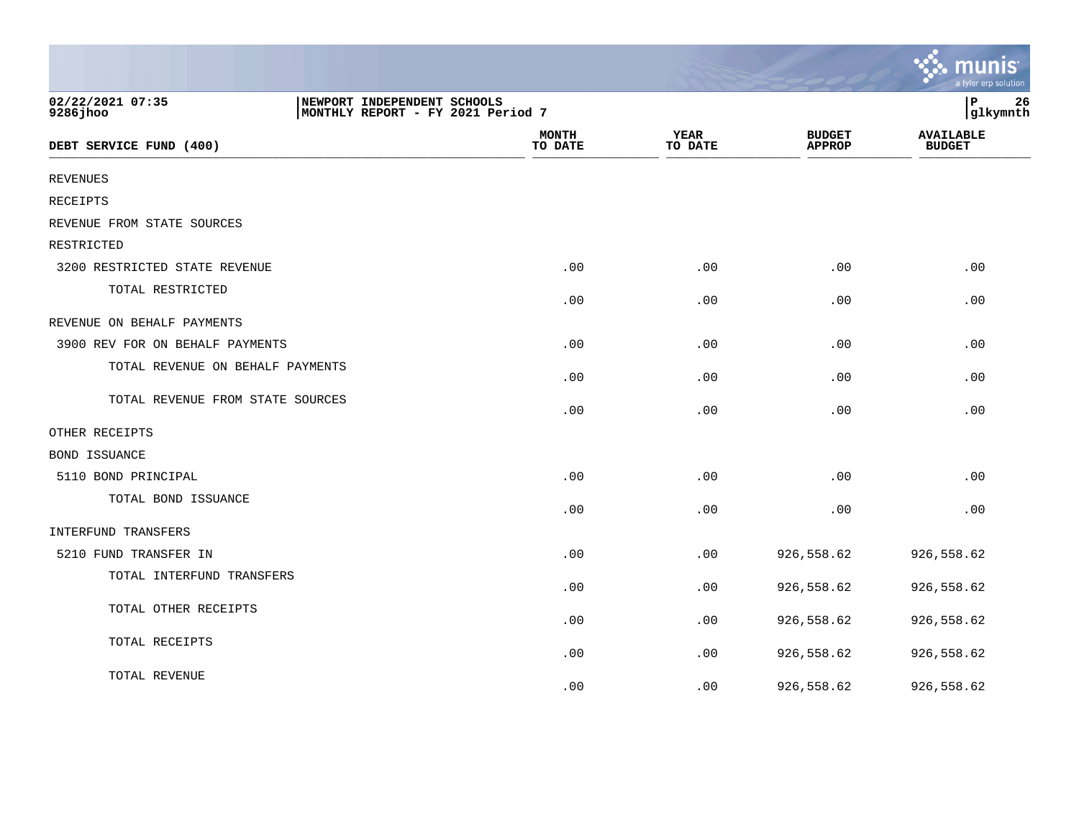|                                  |                                                                  |                         |                        |                                | a tyler erp solutior              |
|----------------------------------|------------------------------------------------------------------|-------------------------|------------------------|--------------------------------|-----------------------------------|
| 02/22/2021 07:35<br>9286 jhoo    | NEWPORT INDEPENDENT SCHOOLS<br>MONTHLY REPORT - FY 2021 Period 7 |                         |                        |                                | 26<br>P<br>glkymnth               |
| DEBT SERVICE FUND (400)          |                                                                  | <b>MONTH</b><br>TO DATE | <b>YEAR</b><br>TO DATE | <b>BUDGET</b><br><b>APPROP</b> | <b>AVAILABLE</b><br><b>BUDGET</b> |
| <b>REVENUES</b>                  |                                                                  |                         |                        |                                |                                   |
| <b>RECEIPTS</b>                  |                                                                  |                         |                        |                                |                                   |
| REVENUE FROM STATE SOURCES       |                                                                  |                         |                        |                                |                                   |
| RESTRICTED                       |                                                                  |                         |                        |                                |                                   |
| 3200 RESTRICTED STATE REVENUE    |                                                                  | .00                     | .00                    | .00                            | .00                               |
| TOTAL RESTRICTED                 |                                                                  | .00                     | .00                    | .00                            | .00                               |
| REVENUE ON BEHALF PAYMENTS       |                                                                  |                         |                        |                                |                                   |
| 3900 REV FOR ON BEHALF PAYMENTS  |                                                                  | .00                     | .00                    | .00                            | .00                               |
| TOTAL REVENUE ON BEHALF PAYMENTS |                                                                  | .00                     | .00                    | .00                            | .00                               |
| TOTAL REVENUE FROM STATE SOURCES |                                                                  | .00                     | .00                    | .00.                           | .00                               |
| OTHER RECEIPTS                   |                                                                  |                         |                        |                                |                                   |
| BOND ISSUANCE                    |                                                                  |                         |                        |                                |                                   |
| 5110 BOND PRINCIPAL              |                                                                  | .00                     | .00                    | .00                            | .00                               |
| TOTAL BOND ISSUANCE              |                                                                  | .00                     | .00                    | .00                            | .00                               |
| INTERFUND TRANSFERS              |                                                                  |                         |                        |                                |                                   |
| 5210 FUND TRANSFER IN            |                                                                  | .00                     | .00                    | 926,558.62                     | 926,558.62                        |
| TOTAL INTERFUND TRANSFERS        |                                                                  | .00                     | .00                    | 926,558.62                     | 926,558.62                        |
| TOTAL OTHER RECEIPTS             |                                                                  | .00                     | .00                    | 926,558.62                     | 926,558.62                        |
| TOTAL RECEIPTS                   |                                                                  | .00                     | .00                    | 926,558.62                     | 926,558.62                        |
| TOTAL REVENUE                    |                                                                  | .00                     | .00                    | 926,558.62                     | 926,558.62                        |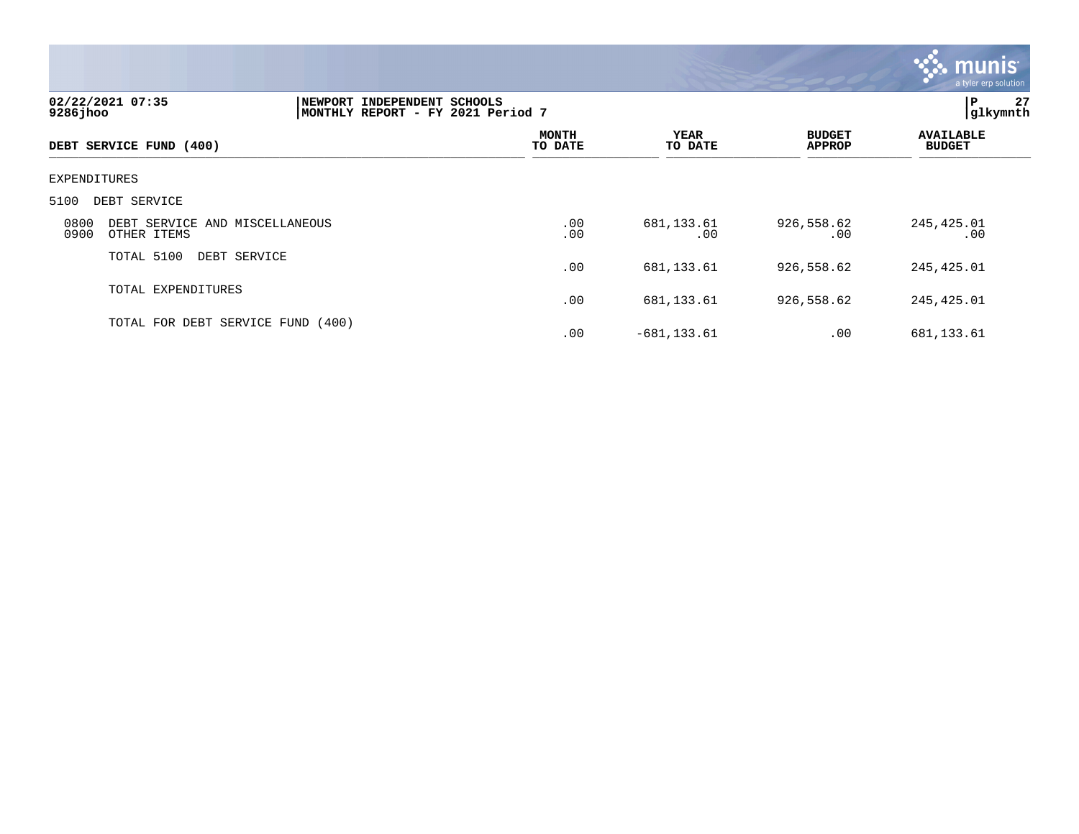

| 02/22/2021 07:35<br>$9286$ jhoo |                                   | NEWPORT INDEPENDENT SCHOOLS<br>MONTHLY REPORT - FY 2021 Period 7 |                        |                                |                                   |  |
|---------------------------------|-----------------------------------|------------------------------------------------------------------|------------------------|--------------------------------|-----------------------------------|--|
| DEBT SERVICE FUND (400)         |                                   | <b>MONTH</b><br>TO DATE                                          | <b>YEAR</b><br>TO DATE | <b>BUDGET</b><br><b>APPROP</b> | <b>AVAILABLE</b><br><b>BUDGET</b> |  |
| EXPENDITURES                    |                                   |                                                                  |                        |                                |                                   |  |
| 5100<br>DEBT SERVICE            |                                   |                                                                  |                        |                                |                                   |  |
| 0800<br>0900<br>OTHER ITEMS     | DEBT SERVICE AND MISCELLANEOUS    | .00<br>.00                                                       | 681, 133.61<br>.00     | 926,558.62<br>.00              | 245,425.01<br>.00                 |  |
| TOTAL 5100                      | DEBT SERVICE                      | .00                                                              | 681, 133.61            | 926,558.62                     | 245,425.01                        |  |
| TOTAL EXPENDITURES              |                                   | .00                                                              | 681, 133.61            | 926,558.62                     | 245,425.01                        |  |
|                                 | TOTAL FOR DEBT SERVICE FUND (400) | .00                                                              | $-681, 133.61$         | .00                            | 681,133.61                        |  |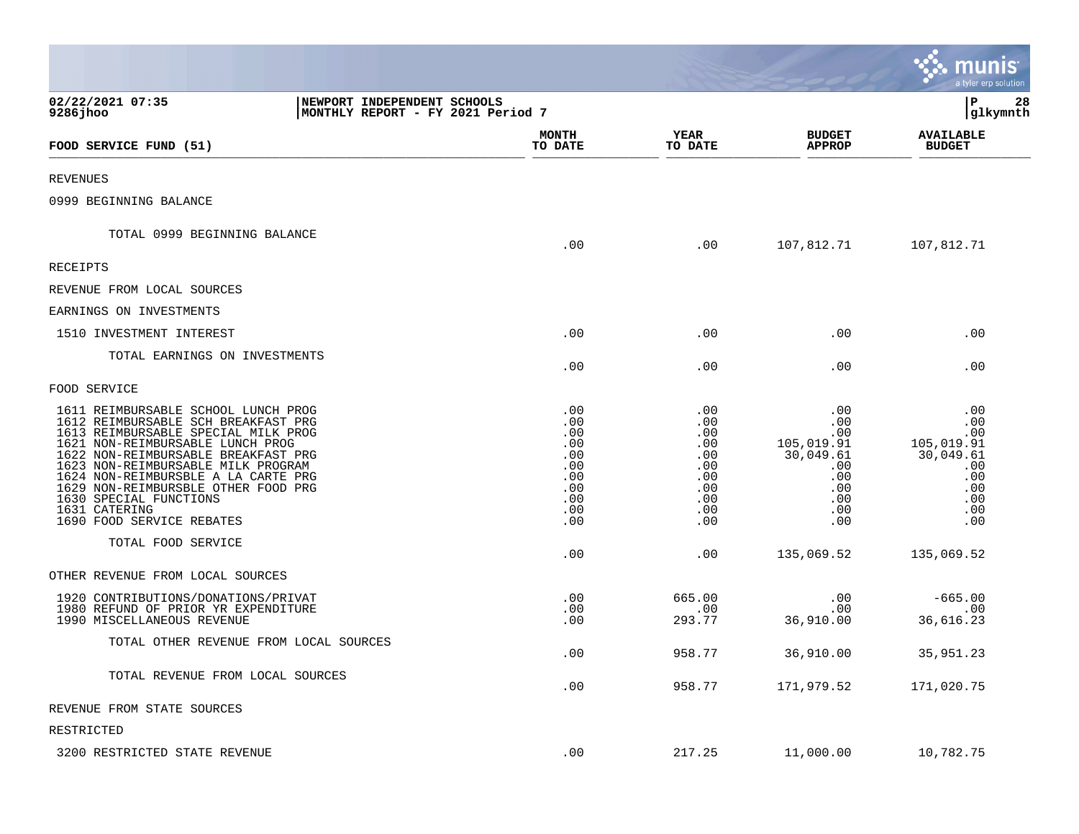|                                                                                                                                                                                                                                                                                                                                                                                          |                                                                           |                                                                           |                                                                                        | <u>munis</u><br>a tyler erp solution                                                   |
|------------------------------------------------------------------------------------------------------------------------------------------------------------------------------------------------------------------------------------------------------------------------------------------------------------------------------------------------------------------------------------------|---------------------------------------------------------------------------|---------------------------------------------------------------------------|----------------------------------------------------------------------------------------|----------------------------------------------------------------------------------------|
| 02/22/2021 07:35<br>9286jhoo                                                                                                                                                                                                                                                                                                                                                             | NEWPORT INDEPENDENT SCHOOLS<br>MONTHLY REPORT - FY 2021 Period 7          |                                                                           |                                                                                        | P<br>28<br> glkymnth                                                                   |
| FOOD SERVICE FUND (51)                                                                                                                                                                                                                                                                                                                                                                   | <b>MONTH</b><br>TO DATE                                                   | <b>YEAR</b><br>TO DATE                                                    | <b>BUDGET</b><br><b>APPROP</b>                                                         | <b>AVAILABLE</b><br><b>BUDGET</b>                                                      |
| REVENUES                                                                                                                                                                                                                                                                                                                                                                                 |                                                                           |                                                                           |                                                                                        |                                                                                        |
| 0999 BEGINNING BALANCE                                                                                                                                                                                                                                                                                                                                                                   |                                                                           |                                                                           |                                                                                        |                                                                                        |
| TOTAL 0999 BEGINNING BALANCE                                                                                                                                                                                                                                                                                                                                                             | .00                                                                       | .00                                                                       | 107,812.71                                                                             | 107,812.71                                                                             |
| RECEIPTS                                                                                                                                                                                                                                                                                                                                                                                 |                                                                           |                                                                           |                                                                                        |                                                                                        |
| REVENUE FROM LOCAL SOURCES                                                                                                                                                                                                                                                                                                                                                               |                                                                           |                                                                           |                                                                                        |                                                                                        |
| EARNINGS ON INVESTMENTS                                                                                                                                                                                                                                                                                                                                                                  |                                                                           |                                                                           |                                                                                        |                                                                                        |
| 1510 INVESTMENT INTEREST                                                                                                                                                                                                                                                                                                                                                                 | .00                                                                       | .00                                                                       | .00                                                                                    | .00                                                                                    |
| TOTAL EARNINGS ON INVESTMENTS                                                                                                                                                                                                                                                                                                                                                            | .00                                                                       | .00                                                                       | .00                                                                                    | .00                                                                                    |
| FOOD SERVICE                                                                                                                                                                                                                                                                                                                                                                             |                                                                           |                                                                           |                                                                                        |                                                                                        |
| 1611 REIMBURSABLE SCHOOL LUNCH PROG<br>1612 REIMBURSABLE SCH BREAKFAST PRG<br>1613 REIMBURSABLE SPECIAL MILK PROG<br>1621 NON-REIMBURSABLE LUNCH PROG<br>1622 NON-REIMBURSABLE BREAKFAST PRG<br>1623 NON-REIMBURSABLE MILK PROGRAM<br>1624 NON-REIMBURSBLE A LA CARTE PRG<br>1629 NON-REIMBURSBLE OTHER FOOD PRG<br>1630 SPECIAL FUNCTIONS<br>1631 CATERING<br>1690 FOOD SERVICE REBATES | .00<br>.00<br>.00<br>.00<br>.00<br>.00<br>.00<br>.00<br>.00<br>.00<br>.00 | .00<br>.00<br>.00<br>.00<br>.00<br>.00<br>.00<br>.00<br>.00<br>.00<br>.00 | .00<br>.00<br>.00<br>105,019.91<br>30,049.61<br>.00<br>.00<br>.00<br>.00<br>.00<br>.00 | .00<br>.00<br>.00<br>105,019.91<br>30,049.61<br>.00<br>.00<br>.00<br>.00<br>.00<br>.00 |
| TOTAL FOOD SERVICE                                                                                                                                                                                                                                                                                                                                                                       | .00                                                                       | .00                                                                       | 135,069.52                                                                             | 135,069.52                                                                             |
| OTHER REVENUE FROM LOCAL SOURCES                                                                                                                                                                                                                                                                                                                                                         |                                                                           |                                                                           |                                                                                        |                                                                                        |
| 1920 CONTRIBUTIONS/DONATIONS/PRIVAT<br>1980 REFUND OF PRIOR YR EXPENDITURE<br>1990 MISCELLANEOUS REVENUE                                                                                                                                                                                                                                                                                 | .00<br>.00<br>.00                                                         | 665.00<br>.00<br>293.77                                                   | .00<br>.00<br>36,910.00                                                                | $-665.00$<br>.00<br>36,616.23                                                          |
| TOTAL OTHER REVENUE FROM LOCAL SOURCES                                                                                                                                                                                                                                                                                                                                                   | .00                                                                       | 958.77                                                                    | 36,910.00                                                                              | 35,951.23                                                                              |
| TOTAL REVENUE FROM LOCAL SOURCES                                                                                                                                                                                                                                                                                                                                                         | .00                                                                       | 958.77                                                                    | 171,979.52                                                                             | 171,020.75                                                                             |
| REVENUE FROM STATE SOURCES                                                                                                                                                                                                                                                                                                                                                               |                                                                           |                                                                           |                                                                                        |                                                                                        |
| RESTRICTED                                                                                                                                                                                                                                                                                                                                                                               |                                                                           |                                                                           |                                                                                        |                                                                                        |
| 3200 RESTRICTED STATE REVENUE                                                                                                                                                                                                                                                                                                                                                            | .00                                                                       | 217.25                                                                    | 11,000.00                                                                              | 10,782.75                                                                              |

and the state of the state of the state of the state of the state of the state of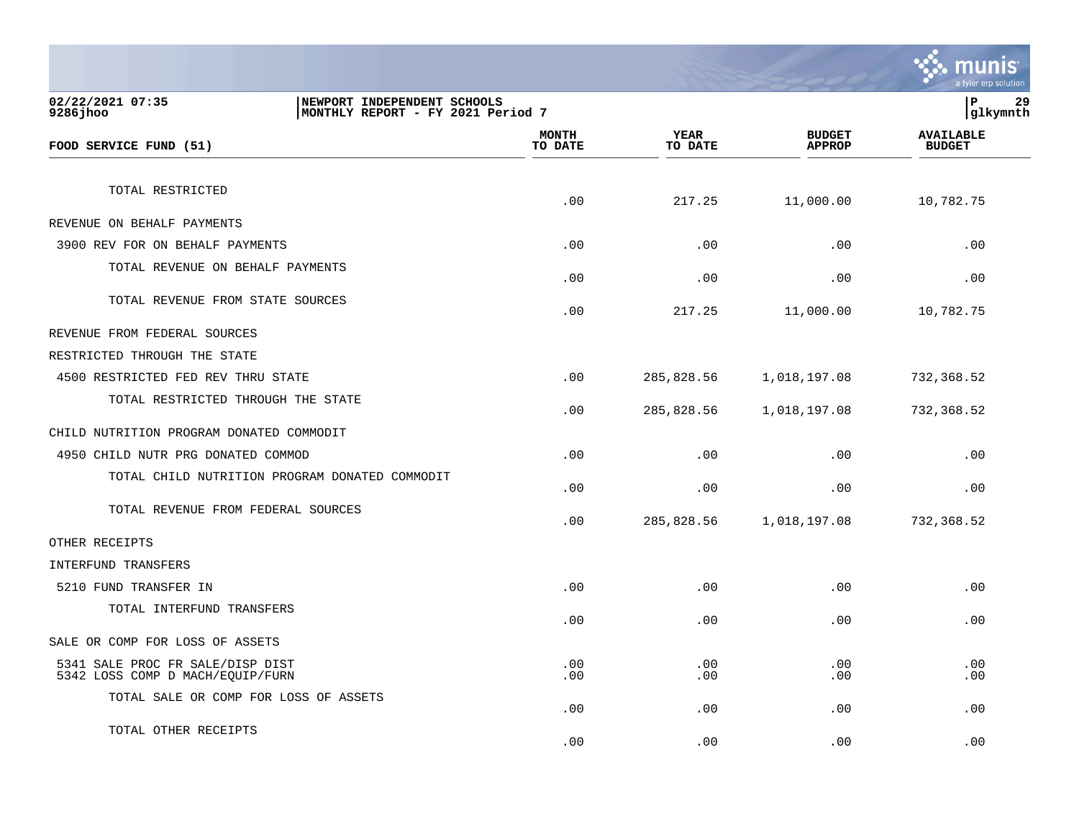|                                                                                                   |                  |                        |                                | a tyler erp solution              |
|---------------------------------------------------------------------------------------------------|------------------|------------------------|--------------------------------|-----------------------------------|
| 02/22/2021 07:35<br>NEWPORT INDEPENDENT SCHOOLS<br>9286 jhoo<br>MONTHLY REPORT - FY 2021 Period 7 |                  |                        |                                | P<br>29<br> glkymnth              |
| FOOD SERVICE FUND (51)                                                                            | MONTH<br>TO DATE | <b>YEAR</b><br>TO DATE | <b>BUDGET</b><br><b>APPROP</b> | <b>AVAILABLE</b><br><b>BUDGET</b> |
| TOTAL RESTRICTED                                                                                  | .00              | 217.25                 | 11,000.00                      | 10,782.75                         |
| REVENUE ON BEHALF PAYMENTS                                                                        |                  |                        |                                |                                   |
| 3900 REV FOR ON BEHALF PAYMENTS                                                                   | .00              | .00                    | .00                            | .00                               |
| TOTAL REVENUE ON BEHALF PAYMENTS                                                                  | .00              | .00                    | .00                            | .00                               |
| TOTAL REVENUE FROM STATE SOURCES                                                                  | .00              | 217.25                 | 11,000.00                      | 10,782.75                         |
| REVENUE FROM FEDERAL SOURCES                                                                      |                  |                        |                                |                                   |
| RESTRICTED THROUGH THE STATE                                                                      |                  |                        |                                |                                   |
| 4500 RESTRICTED FED REV THRU STATE                                                                | .00              | 285,828.56             | 1,018,197.08                   | 732,368.52                        |
| TOTAL RESTRICTED THROUGH THE STATE                                                                | .00              | 285,828.56             | 1,018,197.08                   | 732,368.52                        |
| CHILD NUTRITION PROGRAM DONATED COMMODIT                                                          |                  |                        |                                |                                   |
| 4950 CHILD NUTR PRG DONATED COMMOD                                                                | .00              | .00                    | .00                            | .00                               |
| TOTAL CHILD NUTRITION PROGRAM DONATED COMMODIT                                                    | .00              | .00                    | .00                            | .00                               |
| TOTAL REVENUE FROM FEDERAL SOURCES                                                                | .00              | 285,828.56             | 1,018,197.08                   | 732,368.52                        |
| OTHER RECEIPTS                                                                                    |                  |                        |                                |                                   |
| INTERFUND TRANSFERS                                                                               |                  |                        |                                |                                   |
| 5210 FUND TRANSFER IN                                                                             | .00              | .00                    | .00                            | .00                               |
| TOTAL INTERFUND TRANSFERS                                                                         | .00              | .00                    | .00                            | .00                               |
| SALE OR COMP FOR LOSS OF ASSETS                                                                   |                  |                        |                                |                                   |
| 5341 SALE PROC FR SALE/DISP DIST<br>5342 LOSS COMP D MACH/EQUIP/FURN                              | .00<br>.00       | .00<br>.00             | .00<br>.00                     | .00<br>.00                        |
| TOTAL SALE OR COMP FOR LOSS OF ASSETS                                                             | .00              | .00                    | .00                            | .00                               |
| TOTAL OTHER RECEIPTS                                                                              | .00              | .00                    | .00                            | .00                               |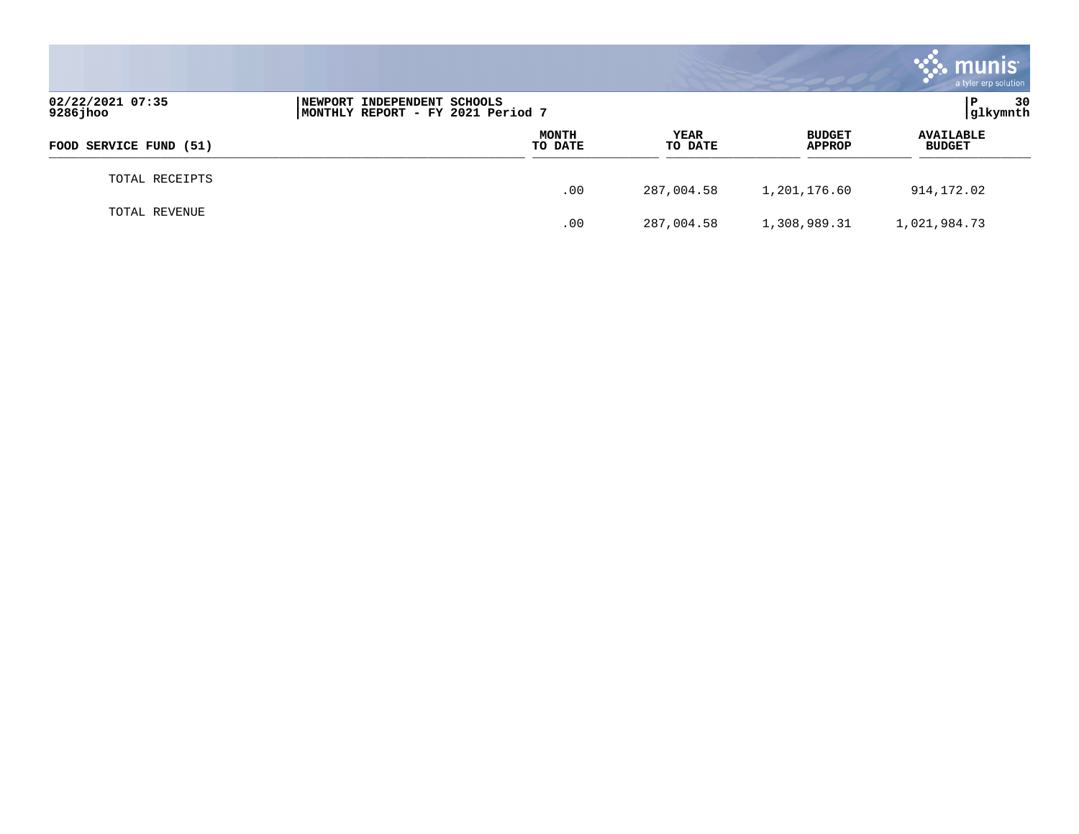|                              |                                                                  |                         |                        |                                | <b>munis</b><br>a tyler erp solution |
|------------------------------|------------------------------------------------------------------|-------------------------|------------------------|--------------------------------|--------------------------------------|
| 02/22/2021 07:35<br>9286jhoo | NEWPORT INDEPENDENT SCHOOLS<br>MONTHLY REPORT - FY 2021 Period 7 |                         |                        |                                | 30<br>P<br>glkymnth                  |
| FOOD SERVICE FUND (51)       |                                                                  | <b>MONTH</b><br>TO DATE | <b>YEAR</b><br>TO DATE | <b>BUDGET</b><br><b>APPROP</b> | <b>AVAILABLE</b><br><b>BUDGET</b>    |
| TOTAL RECEIPTS               |                                                                  | .00                     | 287,004.58             | 1,201,176.60                   | 914,172.02                           |
| TOTAL REVENUE                |                                                                  | .00                     | 287,004.58             | 1,308,989.31                   | 1,021,984.73                         |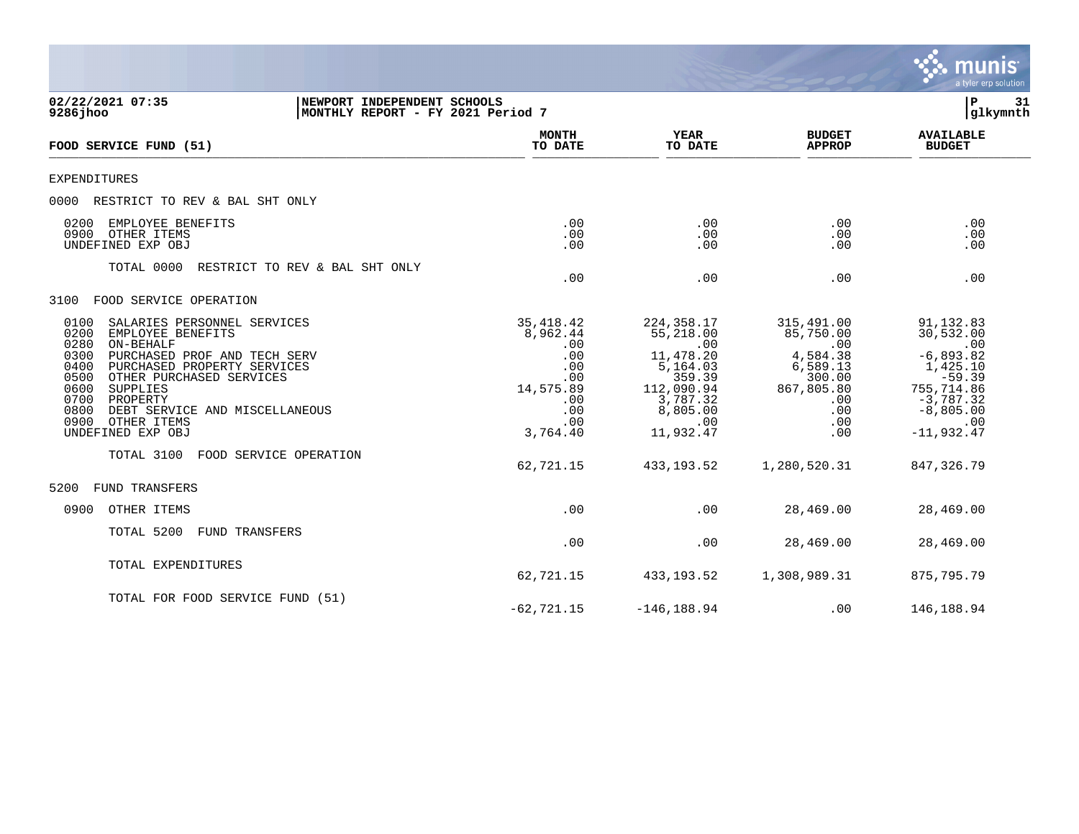|                                                                                                                                                                                                                                                                                                                                                                                |                                                                                                                |                                                                                                                                             |                                                                                                                            | munis<br>a tyler erp solution                                                                                                                           |
|--------------------------------------------------------------------------------------------------------------------------------------------------------------------------------------------------------------------------------------------------------------------------------------------------------------------------------------------------------------------------------|----------------------------------------------------------------------------------------------------------------|---------------------------------------------------------------------------------------------------------------------------------------------|----------------------------------------------------------------------------------------------------------------------------|---------------------------------------------------------------------------------------------------------------------------------------------------------|
| 02/22/2021 07:35<br>NEWPORT INDEPENDENT SCHOOLS<br>$9286$ jhoo<br>MONTHLY REPORT - FY 2021 Period 7                                                                                                                                                                                                                                                                            |                                                                                                                |                                                                                                                                             |                                                                                                                            | $\mathbf{P}$<br>31<br>glkymnth                                                                                                                          |
| FOOD SERVICE FUND (51)                                                                                                                                                                                                                                                                                                                                                         | <b>MONTH</b><br>TO DATE                                                                                        | <b>YEAR</b><br>TO DATE                                                                                                                      | <b>BUDGET</b><br><b>APPROP</b>                                                                                             | <b>AVAILABLE</b><br><b>BUDGET</b>                                                                                                                       |
| <b>EXPENDITURES</b>                                                                                                                                                                                                                                                                                                                                                            |                                                                                                                |                                                                                                                                             |                                                                                                                            |                                                                                                                                                         |
| 0000<br>RESTRICT TO REV & BAL SHT ONLY                                                                                                                                                                                                                                                                                                                                         |                                                                                                                |                                                                                                                                             |                                                                                                                            |                                                                                                                                                         |
| EMPLOYEE BENEFITS<br>0200<br>0900<br>OTHER ITEMS<br>UNDEFINED EXP OBJ                                                                                                                                                                                                                                                                                                          | .00<br>.00<br>.00                                                                                              | .00<br>.00<br>.00                                                                                                                           | .00<br>.00<br>.00                                                                                                          | .00<br>.00<br>.00                                                                                                                                       |
| TOTAL 0000<br>RESTRICT TO REV & BAL SHT ONLY                                                                                                                                                                                                                                                                                                                                   | .00                                                                                                            | .00                                                                                                                                         | .00                                                                                                                        | .00                                                                                                                                                     |
| FOOD SERVICE OPERATION<br>3100                                                                                                                                                                                                                                                                                                                                                 |                                                                                                                |                                                                                                                                             |                                                                                                                            |                                                                                                                                                         |
| 0100<br>SALARIES PERSONNEL SERVICES<br>0200<br>EMPLOYEE BENEFITS<br>0280<br>ON-BEHALF<br>0300<br>PURCHASED PROF AND TECH SERV<br>0400<br>PURCHASED PROPERTY SERVICES<br>0500<br>OTHER PURCHASED SERVICES<br>0600<br>SUPPLIES<br>0700<br>PROPERTY<br>0800<br>DEBT SERVICE AND MISCELLANEOUS<br>0900<br>OTHER ITEMS<br>UNDEFINED EXP OBJ<br>TOTAL 3100<br>FOOD SERVICE OPERATION | 35, 418. 42<br>8,962.44<br>.00<br>.00<br>.00<br>.00<br>14,575.89<br>.00<br>.00<br>.00<br>3,764.40<br>62,721.15 | 224, 358.17<br>55,218.00<br>.00<br>11,478.20<br>5,164.03<br>359.39<br>112,090.94<br>3,787.32<br>8,805.00<br>.00<br>11,932.47<br>433, 193.52 | 315,491.00<br>85,750.00<br>.00<br>4,584.38<br>6,589.13<br>300.00<br>867,805.80<br>.00<br>.00<br>.00<br>.00<br>1,280,520.31 | 91, 132.83<br>30,532.00<br>.00<br>$-6,893.82$<br>1,425.10<br>$-59.39$<br>755,714.86<br>$-3,787.32$<br>$-8,805.00$<br>.00<br>$-11,932.47$<br>847, 326.79 |
| FUND TRANSFERS<br>5200                                                                                                                                                                                                                                                                                                                                                         |                                                                                                                |                                                                                                                                             |                                                                                                                            |                                                                                                                                                         |
| 0900<br>OTHER ITEMS                                                                                                                                                                                                                                                                                                                                                            | .00                                                                                                            | .00                                                                                                                                         | 28,469.00                                                                                                                  | 28,469.00                                                                                                                                               |
| TOTAL 5200<br><b>FUND TRANSFERS</b>                                                                                                                                                                                                                                                                                                                                            | .00                                                                                                            | .00                                                                                                                                         | 28,469.00                                                                                                                  | 28,469.00                                                                                                                                               |
| TOTAL EXPENDITURES                                                                                                                                                                                                                                                                                                                                                             | 62,721.15                                                                                                      | 433, 193.52                                                                                                                                 | 1,308,989.31                                                                                                               | 875,795.79                                                                                                                                              |
| TOTAL FOR FOOD SERVICE FUND (51)                                                                                                                                                                                                                                                                                                                                               | $-62, 721.15$                                                                                                  | $-146, 188.94$                                                                                                                              | .00                                                                                                                        | 146,188.94                                                                                                                                              |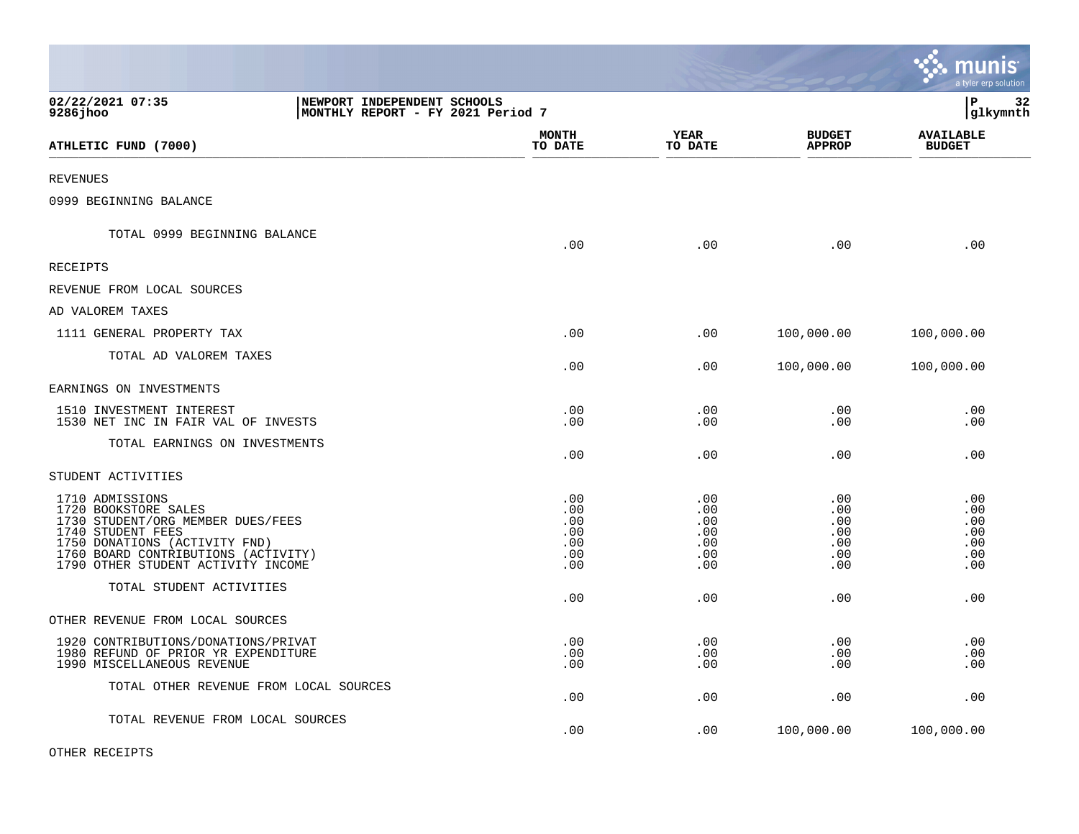|                                                                                                                                                                                                                 |                                                                  |                                               |                                               |                                               | <b>RA</b> munis<br>a tyler erp solution       |
|-----------------------------------------------------------------------------------------------------------------------------------------------------------------------------------------------------------------|------------------------------------------------------------------|-----------------------------------------------|-----------------------------------------------|-----------------------------------------------|-----------------------------------------------|
| 02/22/2021 07:35<br>9286jhoo                                                                                                                                                                                    | NEWPORT INDEPENDENT SCHOOLS<br>MONTHLY REPORT - FY 2021 Period 7 |                                               |                                               |                                               | lР<br>32<br> glkymnth                         |
| ATHLETIC FUND (7000)                                                                                                                                                                                            |                                                                  | <b>MONTH</b><br>TO DATE                       | YEAR<br>TO DATE                               | <b>BUDGET</b><br><b>APPROP</b>                | <b>AVAILABLE</b><br><b>BUDGET</b>             |
| <b>REVENUES</b>                                                                                                                                                                                                 |                                                                  |                                               |                                               |                                               |                                               |
| 0999 BEGINNING BALANCE                                                                                                                                                                                          |                                                                  |                                               |                                               |                                               |                                               |
| TOTAL 0999 BEGINNING BALANCE                                                                                                                                                                                    |                                                                  | .00                                           | .00                                           | .00                                           | .00                                           |
| <b>RECEIPTS</b>                                                                                                                                                                                                 |                                                                  |                                               |                                               |                                               |                                               |
| REVENUE FROM LOCAL SOURCES                                                                                                                                                                                      |                                                                  |                                               |                                               |                                               |                                               |
| AD VALOREM TAXES                                                                                                                                                                                                |                                                                  |                                               |                                               |                                               |                                               |
| 1111 GENERAL PROPERTY TAX                                                                                                                                                                                       |                                                                  | .00                                           | .00                                           | 100,000.00                                    | 100,000.00                                    |
| TOTAL AD VALOREM TAXES                                                                                                                                                                                          |                                                                  | .00                                           | .00                                           | 100,000.00                                    | 100,000.00                                    |
| EARNINGS ON INVESTMENTS                                                                                                                                                                                         |                                                                  |                                               |                                               |                                               |                                               |
| 1510 INVESTMENT INTEREST<br>1530 NET INC IN FAIR VAL OF INVESTS                                                                                                                                                 |                                                                  | .00<br>.00                                    | .00<br>.00                                    | .00<br>.00                                    | .00<br>.00                                    |
| TOTAL EARNINGS ON INVESTMENTS                                                                                                                                                                                   |                                                                  | .00                                           | .00                                           | .00                                           | .00                                           |
| STUDENT ACTIVITIES                                                                                                                                                                                              |                                                                  |                                               |                                               |                                               |                                               |
| 1710 ADMISSIONS<br>1720 BOOKSTORE SALES<br>1730 STUDENT/ORG MEMBER DUES/FEES<br>1740 STUDENT FEES<br>1750 DONATIONS (ACTIVITY FND)<br>1760 BOARD CONTRIBUTIONS (ACTIVITY)<br>1790 OTHER STUDENT ACTIVITY INCOME |                                                                  | .00<br>.00<br>.00<br>.00<br>.00<br>.00<br>.00 | .00<br>.00<br>.00<br>.00<br>.00<br>.00<br>.00 | .00<br>.00<br>.00<br>.00<br>.00<br>.00<br>.00 | .00<br>.00<br>.00<br>.00<br>.00<br>.00<br>.00 |
| TOTAL STUDENT ACTIVITIES                                                                                                                                                                                        |                                                                  | .00                                           | .00                                           | .00                                           | .00                                           |
| OTHER REVENUE FROM LOCAL SOURCES                                                                                                                                                                                |                                                                  |                                               |                                               |                                               |                                               |
| 1920 CONTRIBUTIONS/DONATIONS/PRIVAT<br>1980 REFUND OF PRIOR YR EXPENDITURE<br>1990 MISCELLANEOUS REVENUE                                                                                                        |                                                                  | .00<br>.00<br>.00                             | .00<br>.00<br>.00                             | .00<br>.00<br>.00                             | .00<br>.00<br>.00                             |
| TOTAL OTHER REVENUE FROM LOCAL SOURCES                                                                                                                                                                          |                                                                  | .00                                           | .00                                           | .00                                           | .00                                           |
| TOTAL REVENUE FROM LOCAL SOURCES                                                                                                                                                                                |                                                                  | .00                                           | .00                                           | 100,000.00                                    | 100,000.00                                    |

 $\mathcal{L}$ 

OTHER RECEIPTS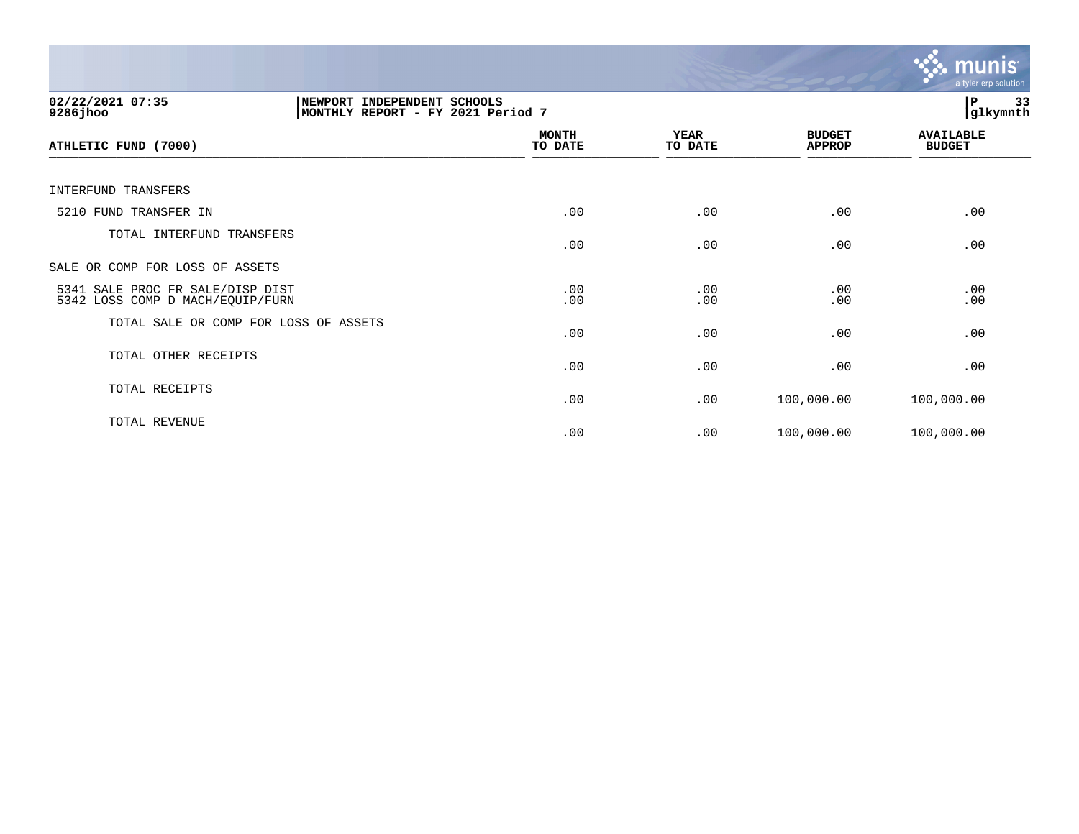|                                                                                                  |                         |                        |                                | munis<br>a tyler erp solution     |
|--------------------------------------------------------------------------------------------------|-------------------------|------------------------|--------------------------------|-----------------------------------|
| 02/22/2021 07:35<br>NEWPORT INDEPENDENT SCHOOLS<br>9286jhoo<br>MONTHLY REPORT - FY 2021 Period 7 |                         |                        |                                | 33<br>ΙP<br>glkymnth              |
| ATHLETIC FUND (7000)                                                                             | <b>MONTH</b><br>TO DATE | <b>YEAR</b><br>TO DATE | <b>BUDGET</b><br><b>APPROP</b> | <b>AVAILABLE</b><br><b>BUDGET</b> |
| INTERFUND TRANSFERS                                                                              |                         |                        |                                |                                   |
| 5210 FUND TRANSFER IN                                                                            | .00                     | .00                    | .00                            | .00                               |
| TOTAL INTERFUND TRANSFERS                                                                        | .00                     | .00                    | .00                            | .00                               |
| SALE OR COMP FOR LOSS OF ASSETS                                                                  |                         |                        |                                |                                   |
| 5341 SALE PROC FR SALE/DISP DIST<br>5342 LOSS COMP D MACH/EQUIP/FURN                             | .00<br>.00              | .00<br>.00             | .00<br>.00                     | .00<br>.00                        |
| TOTAL SALE OR COMP FOR LOSS OF ASSETS                                                            | .00                     | .00                    | .00                            | .00                               |
| TOTAL OTHER RECEIPTS                                                                             | .00                     | .00                    | .00                            | .00                               |
| TOTAL RECEIPTS                                                                                   | .00                     | .00                    | 100,000.00                     | 100,000.00                        |
| TOTAL REVENUE                                                                                    | .00                     | .00                    | 100,000.00                     | 100,000.00                        |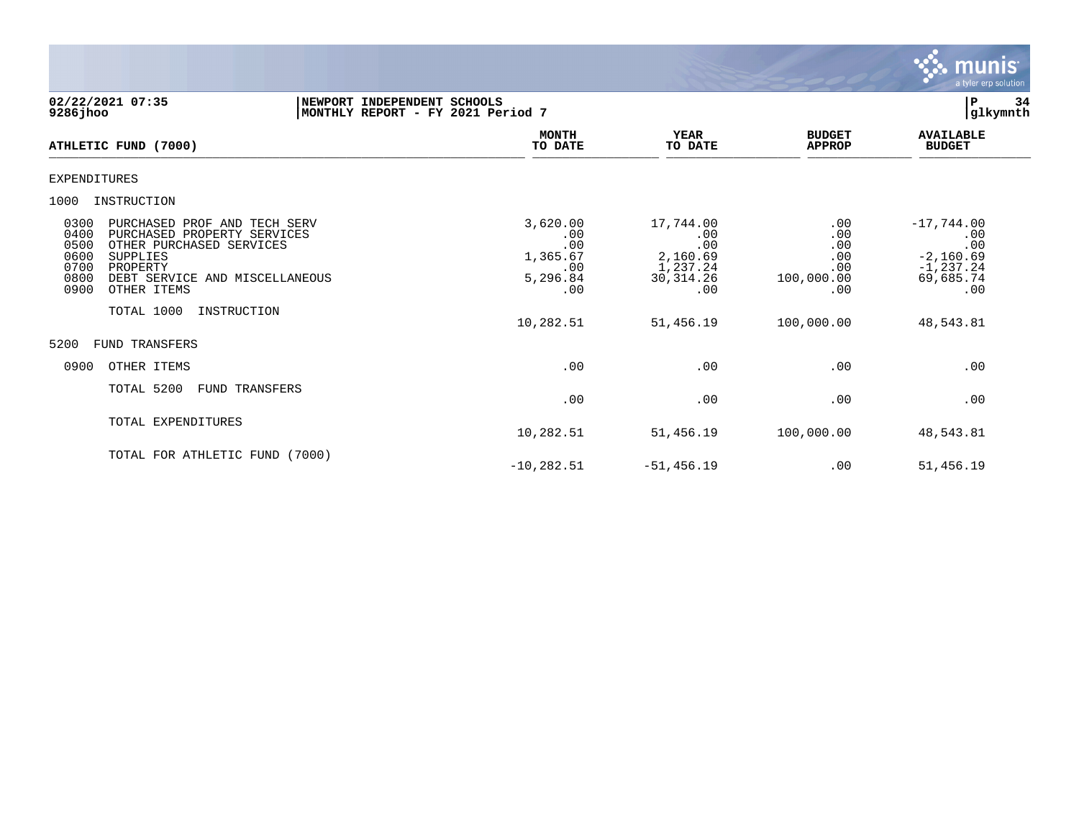

02/22/2021 07:35 **| NEWPORT INDEPENDENT SCHOOLS** |P 34<br>9286jhoo | MONTHLY REPORT - FY 2021 Period 7 **9286jhoo |MONTHLY REPORT - FY 2021 Period 7 |glkymnth MONTH AVAILABLE YEAR BUDGET** AVAILABLE **ATHLETIC FUND (7000) TO DATE TO DATE APPROP BUDGET**   $\frac{10 \text{ B}}{10 \text{ B}}$   $\frac{10 \text{ B}}{10 \text{ B}}$   $\frac{1}{10 \text{ B}}$   $\frac{1}{10 \text{ B}}$   $\frac{1}{10 \text{ B}}$   $\frac{1}{10 \text{ B}}$   $\frac{1}{10 \text{ B}}$   $\frac{1}{10 \text{ B}}$   $\frac{1}{10 \text{ B}}$   $\frac{1}{10 \text{ B}}$   $\frac{1}{10 \text{ B}}$   $\frac{1}{10 \text{ B}}$   $\frac{1}{10 \text{ B}}$   $\frac{1}{10 \text{ B}}$ EXPENDITURES 1000 INSTRUCTION 0300 PURCHASED PROF AND TECH SERV 3,620.00 17,744.00 .00 -17,744.00 0400 PURCHASED PROPERTY SERVICES .00 .00 .00 .00 0500 OTHER PURCHASED SERVICES .00 .00 .00 .00 0600 SUPPLIES 1,365.67 2,160.69 .00 -2,160.69 0700 PROPERTY .00 PROPERTY .00 PROPERTY .00 PROPERTY .00 PROPERTY .00 PROPERTY .00 PROPERTY .00 PROPERTY .00 PEBT SERVICE AND MISCELLANEOUS 0800 DEBT SERVICE AND MISCELLANEOUS 5,296.84 30,314.26 100,000.00 69,685.74 0900 OTHER ITEMS TOTAL 1000 INSTRUCTION 10,282.51 51,456.19 100,000.00 48,543.81 5200 FUND TRANSFERS 0900 OTHER ITEMS .00 .00 .00 .00 TOTAL 5200 FUND TRANSFERS  $.00$  .  $.00$  .  $.00$  .  $.00$  .  $.00$  .  $.00$ TOTAL EXPENDITURES 10,282.51 51,456.19 100,000.00 48,543.81 TOTAL FOR ATHLETIC FUND (7000)  $-10,282.51$   $-51,456.19$  .00  $51,456.19$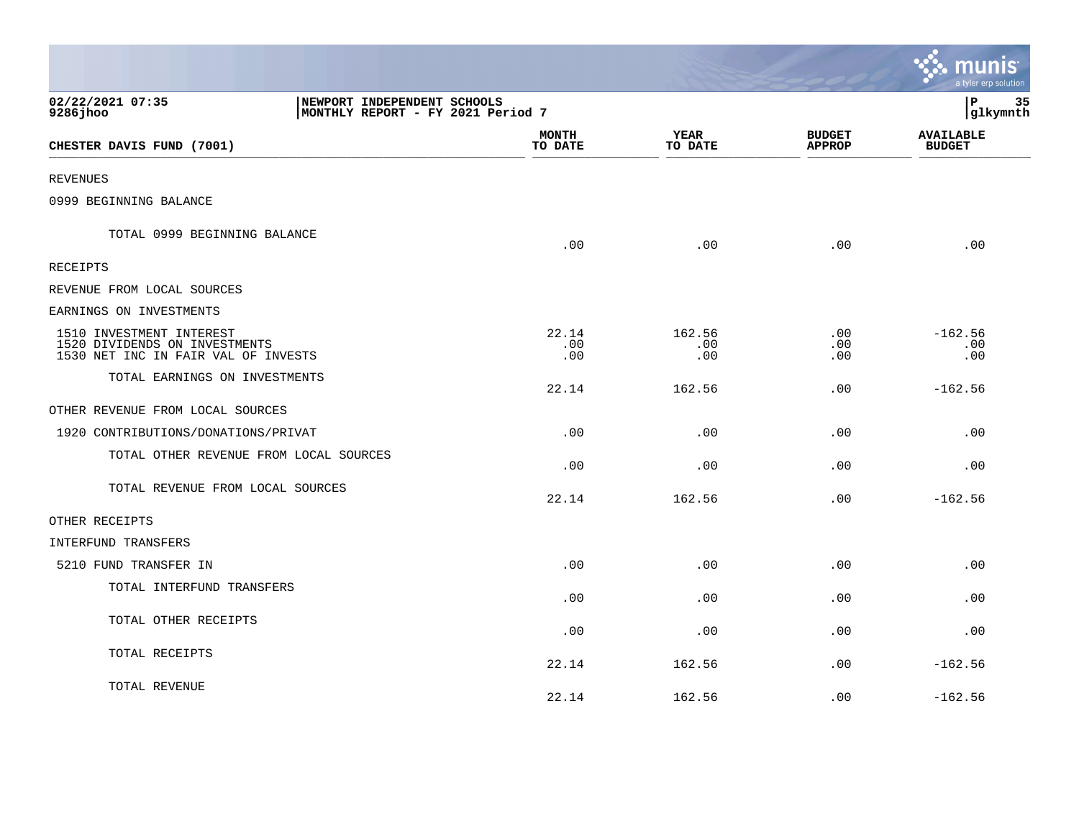|                                                                                                  |                                                                  |                         |                      |                                | ः munis<br>a tyler erp solution   |
|--------------------------------------------------------------------------------------------------|------------------------------------------------------------------|-------------------------|----------------------|--------------------------------|-----------------------------------|
| 02/22/2021 07:35<br>9286 jhoo                                                                    | NEWPORT INDEPENDENT SCHOOLS<br>MONTHLY REPORT - FY 2021 Period 7 |                         |                      |                                | ∣P<br>35<br>glkymnth              |
| CHESTER DAVIS FUND (7001)                                                                        |                                                                  | <b>MONTH</b><br>TO DATE | YEAR<br>TO DATE      | <b>BUDGET</b><br><b>APPROP</b> | <b>AVAILABLE</b><br><b>BUDGET</b> |
| <b>REVENUES</b>                                                                                  |                                                                  |                         |                      |                                |                                   |
| 0999 BEGINNING BALANCE                                                                           |                                                                  |                         |                      |                                |                                   |
| TOTAL 0999 BEGINNING BALANCE                                                                     |                                                                  | .00                     | .00                  | .00                            | .00                               |
| RECEIPTS                                                                                         |                                                                  |                         |                      |                                |                                   |
| REVENUE FROM LOCAL SOURCES                                                                       |                                                                  |                         |                      |                                |                                   |
| EARNINGS ON INVESTMENTS                                                                          |                                                                  |                         |                      |                                |                                   |
| 1510 INVESTMENT INTEREST<br>1520 DIVIDENDS ON INVESTMENTS<br>1530 NET INC IN FAIR VAL OF INVESTS |                                                                  | 22.14<br>.00<br>.00     | 162.56<br>.00<br>.00 | .00<br>.00<br>.00              | $-162.56$<br>.00<br>.00           |
| TOTAL EARNINGS ON INVESTMENTS                                                                    |                                                                  | 22.14                   | 162.56               | .00                            | $-162.56$                         |
| OTHER REVENUE FROM LOCAL SOURCES                                                                 |                                                                  |                         |                      |                                |                                   |
| 1920 CONTRIBUTIONS/DONATIONS/PRIVAT                                                              |                                                                  | .00                     | .00                  | .00                            | .00                               |
| TOTAL OTHER REVENUE FROM LOCAL SOURCES                                                           |                                                                  | .00                     | .00                  | .00                            | .00                               |
| TOTAL REVENUE FROM LOCAL SOURCES                                                                 |                                                                  | 22.14                   | 162.56               | .00                            | $-162.56$                         |
| OTHER RECEIPTS                                                                                   |                                                                  |                         |                      |                                |                                   |
| INTERFUND TRANSFERS                                                                              |                                                                  |                         |                      |                                |                                   |
| 5210 FUND TRANSFER IN                                                                            |                                                                  | .00                     | .00                  | .00                            | .00                               |
| TOTAL INTERFUND TRANSFERS                                                                        |                                                                  | .00                     | .00                  | .00                            | .00                               |
| TOTAL OTHER RECEIPTS                                                                             |                                                                  | .00                     | .00                  | .00                            | .00                               |
| TOTAL RECEIPTS                                                                                   |                                                                  | 22.14                   | 162.56               | .00                            | $-162.56$                         |
| TOTAL REVENUE                                                                                    |                                                                  | 22.14                   | 162.56               | .00                            | $-162.56$                         |

the contract of the contract of the contract of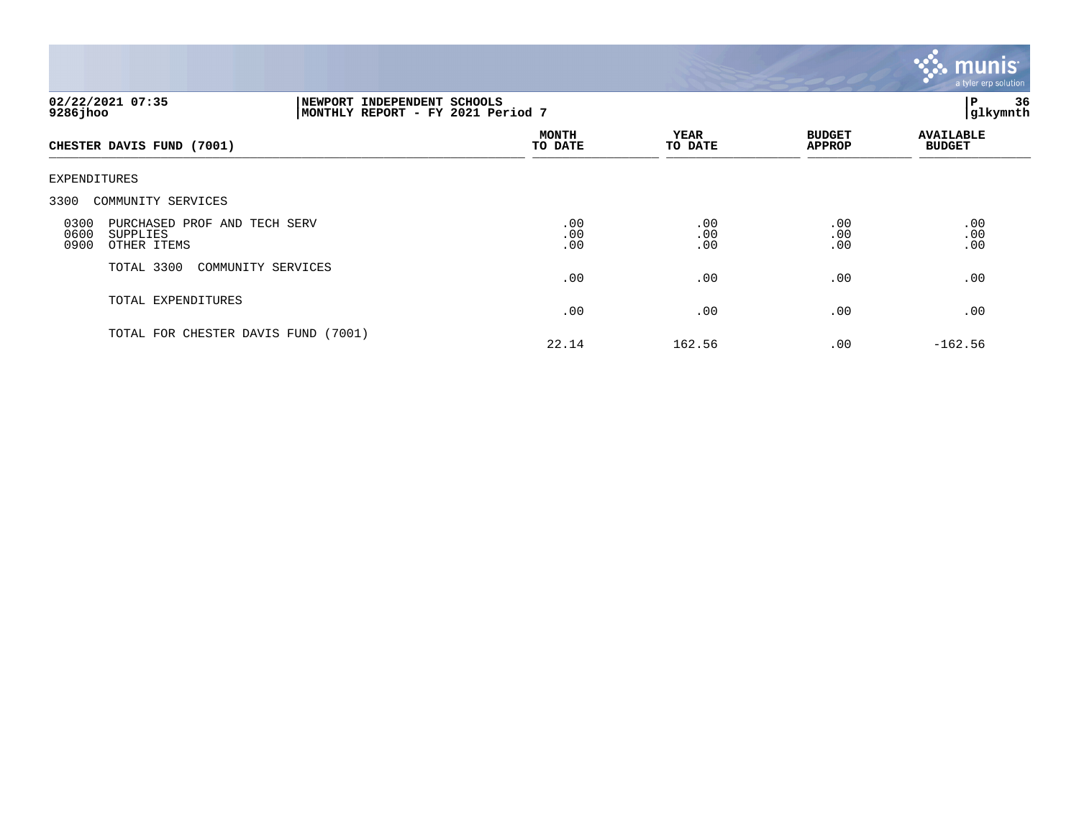

| 02/22/2021 07:35<br>9286 jhoo                                                   |                    | NEWPORT INDEPENDENT SCHOOLS<br>MONTHLY REPORT - FY 2021 Period 7 |                   |                                |                                   |
|---------------------------------------------------------------------------------|--------------------|------------------------------------------------------------------|-------------------|--------------------------------|-----------------------------------|
| CHESTER DAVIS FUND (7001)                                                       |                    | <b>MONTH</b><br>TO DATE                                          | YEAR<br>TO DATE   | <b>BUDGET</b><br><b>APPROP</b> | <b>AVAILABLE</b><br><b>BUDGET</b> |
| EXPENDITURES                                                                    |                    |                                                                  |                   |                                |                                   |
| 3300 COMMUNITY SERVICES                                                         |                    |                                                                  |                   |                                |                                   |
| 0300<br>PURCHASED PROF AND TECH SERV<br>0600<br>SUPPLIES<br>0900<br>OTHER ITEMS |                    | .00<br>.00<br>.00                                                | .00<br>.00<br>.00 | .00<br>.00<br>.00              | .00<br>.00<br>.00                 |
| TOTAL 3300                                                                      | COMMUNITY SERVICES | .00                                                              | .00               | .00                            | .00                               |
| TOTAL EXPENDITURES                                                              |                    | .00                                                              | .00               | .00                            | .00                               |
| TOTAL FOR CHESTER DAVIS FUND (7001)                                             |                    | 22.14                                                            | 162.56            | .00                            | $-162.56$                         |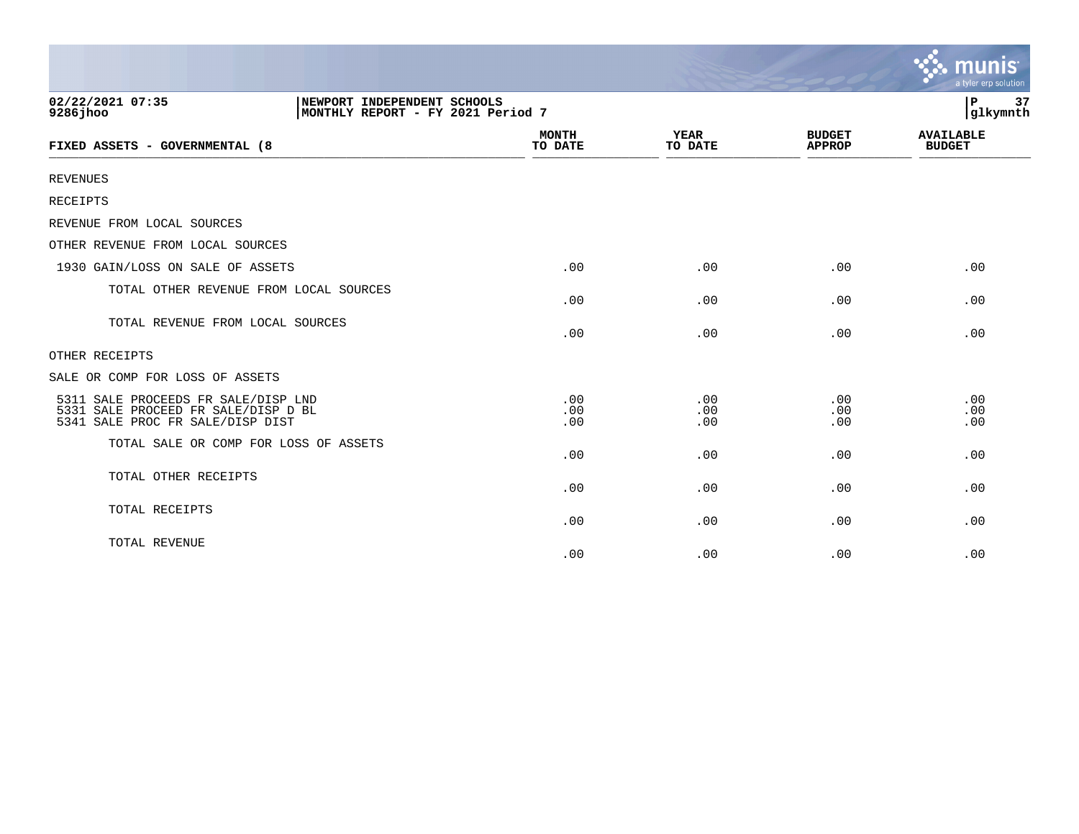|                                                                                                                |                         |                        |                                | munis<br>a tyler erp solution     |
|----------------------------------------------------------------------------------------------------------------|-------------------------|------------------------|--------------------------------|-----------------------------------|
| 02/22/2021 07:35<br>NEWPORT INDEPENDENT SCHOOLS<br>$9286$ jhoo<br>MONTHLY REPORT - FY 2021 Period 7            |                         |                        |                                | 37<br>ΙP<br>glkymnth              |
| FIXED ASSETS - GOVERNMENTAL (8                                                                                 | <b>MONTH</b><br>TO DATE | <b>YEAR</b><br>TO DATE | <b>BUDGET</b><br><b>APPROP</b> | <b>AVAILABLE</b><br><b>BUDGET</b> |
| <b>REVENUES</b>                                                                                                |                         |                        |                                |                                   |
| RECEIPTS                                                                                                       |                         |                        |                                |                                   |
| REVENUE FROM LOCAL SOURCES                                                                                     |                         |                        |                                |                                   |
| OTHER REVENUE FROM LOCAL SOURCES                                                                               |                         |                        |                                |                                   |
| 1930 GAIN/LOSS ON SALE OF ASSETS                                                                               | .00                     | .00                    | .00                            | .00                               |
| TOTAL OTHER REVENUE FROM LOCAL SOURCES                                                                         | .00                     | .00                    | .00                            | .00                               |
| TOTAL REVENUE FROM LOCAL SOURCES                                                                               | .00                     | .00                    | .00                            | .00                               |
| OTHER RECEIPTS                                                                                                 |                         |                        |                                |                                   |
| SALE OR COMP FOR LOSS OF ASSETS                                                                                |                         |                        |                                |                                   |
| 5311 SALE PROCEEDS FR SALE/DISP LND<br>5331 SALE PROCEED FR SALE/DISP D BL<br>5341 SALE PROC FR SALE/DISP DIST | .00<br>.00<br>.00       | .00<br>.00<br>.00      | .00<br>.00<br>.00              | .00<br>.00<br>.00                 |
| TOTAL SALE OR COMP FOR LOSS OF ASSETS                                                                          | .00                     | .00                    | .00                            | .00                               |
| TOTAL OTHER RECEIPTS                                                                                           | .00                     | .00                    | .00                            | .00                               |
| TOTAL RECEIPTS                                                                                                 | .00                     | .00                    | .00                            | .00                               |
| TOTAL REVENUE                                                                                                  | .00                     | .00                    | .00                            | .00                               |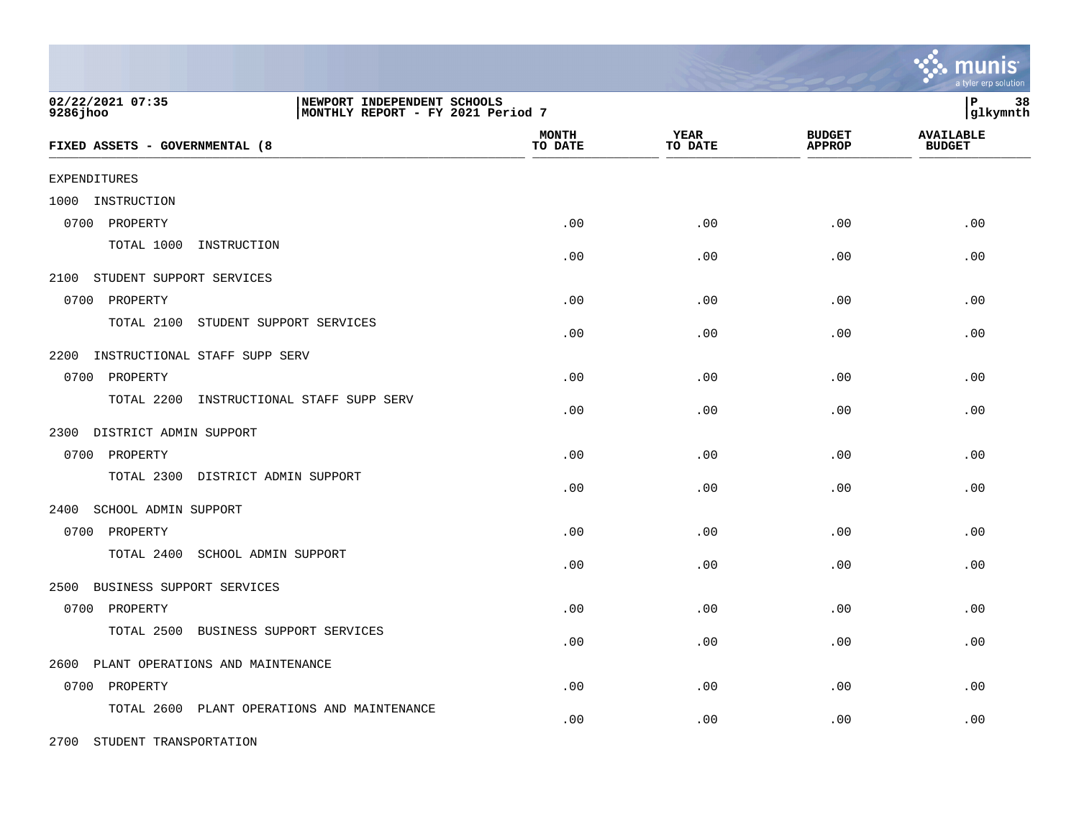|                                                                                                   |                         |                        |                                | a tyler erp solution              |
|---------------------------------------------------------------------------------------------------|-------------------------|------------------------|--------------------------------|-----------------------------------|
| 02/22/2021 07:35<br>NEWPORT INDEPENDENT SCHOOLS<br>9286 jhoo<br>MONTHLY REPORT - FY 2021 Period 7 |                         |                        |                                | P<br>38<br>glkymnth               |
| FIXED ASSETS - GOVERNMENTAL (8                                                                    | <b>MONTH</b><br>TO DATE | <b>YEAR</b><br>TO DATE | <b>BUDGET</b><br><b>APPROP</b> | <b>AVAILABLE</b><br><b>BUDGET</b> |
| EXPENDITURES                                                                                      |                         |                        |                                |                                   |
| 1000 INSTRUCTION                                                                                  |                         |                        |                                |                                   |
| 0700 PROPERTY                                                                                     | .00                     | .00                    | .00                            | .00                               |
| TOTAL 1000 INSTRUCTION                                                                            | .00                     | .00                    | .00                            | .00                               |
| 2100 STUDENT SUPPORT SERVICES                                                                     |                         |                        |                                |                                   |
| 0700 PROPERTY                                                                                     | .00                     | .00                    | .00                            | .00                               |
| TOTAL 2100<br>STUDENT SUPPORT SERVICES                                                            | .00                     | .00                    | .00                            | .00                               |
| 2200<br>INSTRUCTIONAL STAFF SUPP SERV                                                             |                         |                        |                                |                                   |
| 0700 PROPERTY                                                                                     | .00                     | .00                    | .00                            | .00                               |
| TOTAL 2200 INSTRUCTIONAL STAFF SUPP SERV                                                          | .00                     | .00                    | .00                            | .00                               |
| 2300 DISTRICT ADMIN SUPPORT                                                                       |                         |                        |                                |                                   |
| 0700 PROPERTY                                                                                     | .00                     | .00                    | .00                            | .00                               |
| TOTAL 2300 DISTRICT ADMIN SUPPORT                                                                 | .00                     | .00                    | .00                            | .00                               |
| SCHOOL ADMIN SUPPORT<br>2400                                                                      |                         |                        |                                |                                   |
| 0700 PROPERTY                                                                                     | .00                     | .00                    | .00                            | .00                               |
| TOTAL 2400<br>SCHOOL ADMIN SUPPORT                                                                | .00                     | .00                    | .00                            | .00                               |
| 2500 BUSINESS SUPPORT SERVICES                                                                    |                         |                        |                                |                                   |
| 0700 PROPERTY                                                                                     | .00                     | .00                    | .00                            | .00                               |
| TOTAL 2500<br>BUSINESS SUPPORT SERVICES                                                           | .00                     | .00                    | .00                            | .00                               |
| PLANT OPERATIONS AND MAINTENANCE<br>2600                                                          |                         |                        |                                |                                   |
| 0700 PROPERTY                                                                                     | .00                     | .00                    | .00                            | .00                               |
| TOTAL 2600 PLANT OPERATIONS AND MAINTENANCE                                                       | .00                     | .00                    | .00                            | .00                               |
| 2700 STUDENT TRANSPORTATION                                                                       |                         |                        |                                |                                   |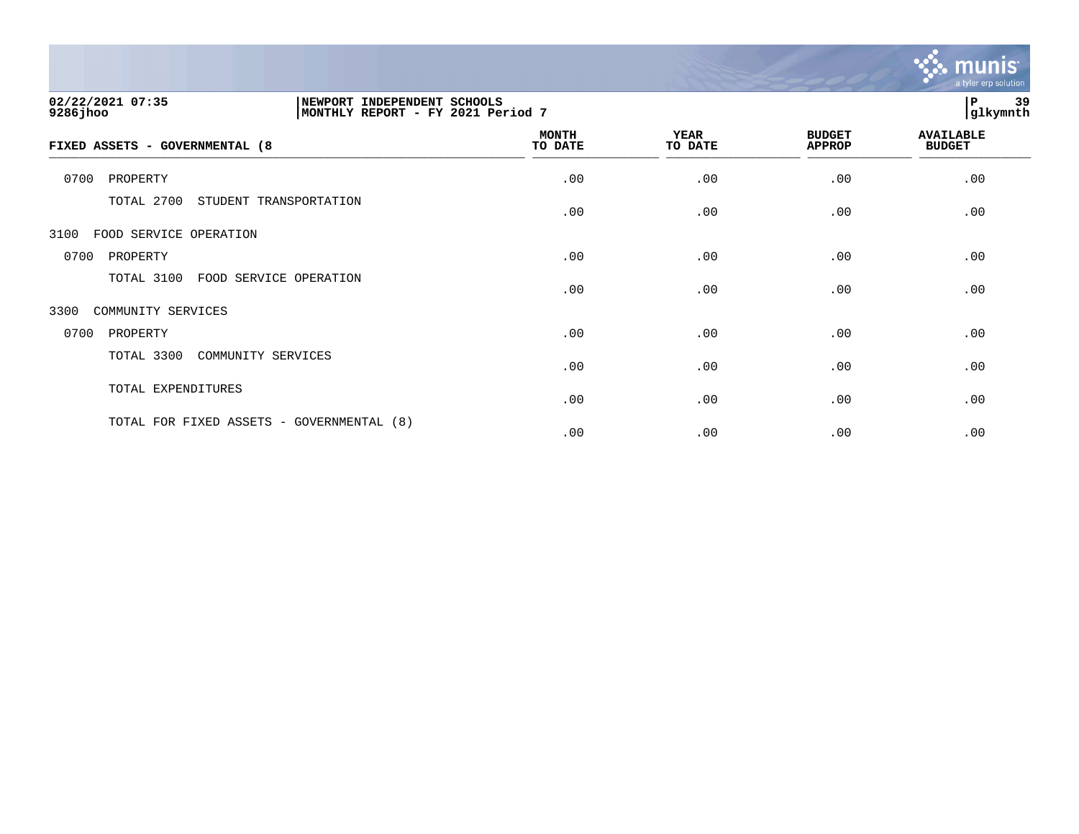

| 02/22/2021 07:35<br>NEWPORT INDEPENDENT SCHOOLS<br>9286 jhoo<br>MONTHLY REPORT - FY 2021 Period 7 |                         |                        |                                | 39<br>P<br> glkymnth              |
|---------------------------------------------------------------------------------------------------|-------------------------|------------------------|--------------------------------|-----------------------------------|
| FIXED ASSETS - GOVERNMENTAL (8                                                                    | <b>MONTH</b><br>TO DATE | <b>YEAR</b><br>TO DATE | <b>BUDGET</b><br><b>APPROP</b> | <b>AVAILABLE</b><br><b>BUDGET</b> |
| 0700<br>PROPERTY                                                                                  | .00                     | .00                    | .00                            | .00                               |
| TOTAL 2700<br>STUDENT TRANSPORTATION                                                              | .00                     | .00                    | .00                            | .00                               |
| 3100<br>FOOD SERVICE OPERATION                                                                    |                         |                        |                                |                                   |
| 0700<br>PROPERTY                                                                                  | .00                     | .00                    | .00                            | .00                               |
| TOTAL 3100<br>FOOD SERVICE OPERATION                                                              | .00                     | .00                    | .00                            | .00                               |
| 3300<br>COMMUNITY SERVICES                                                                        |                         |                        |                                |                                   |
| 0700<br>PROPERTY                                                                                  | .00                     | .00                    | .00                            | .00                               |
| TOTAL 3300<br>COMMUNITY SERVICES                                                                  | .00                     | .00                    | .00                            | .00                               |
| TOTAL EXPENDITURES                                                                                | .00                     | .00                    | .00                            | .00                               |
| TOTAL FOR FIXED ASSETS - GOVERNMENTAL (8)                                                         | .00                     | .00                    | .00                            | .00                               |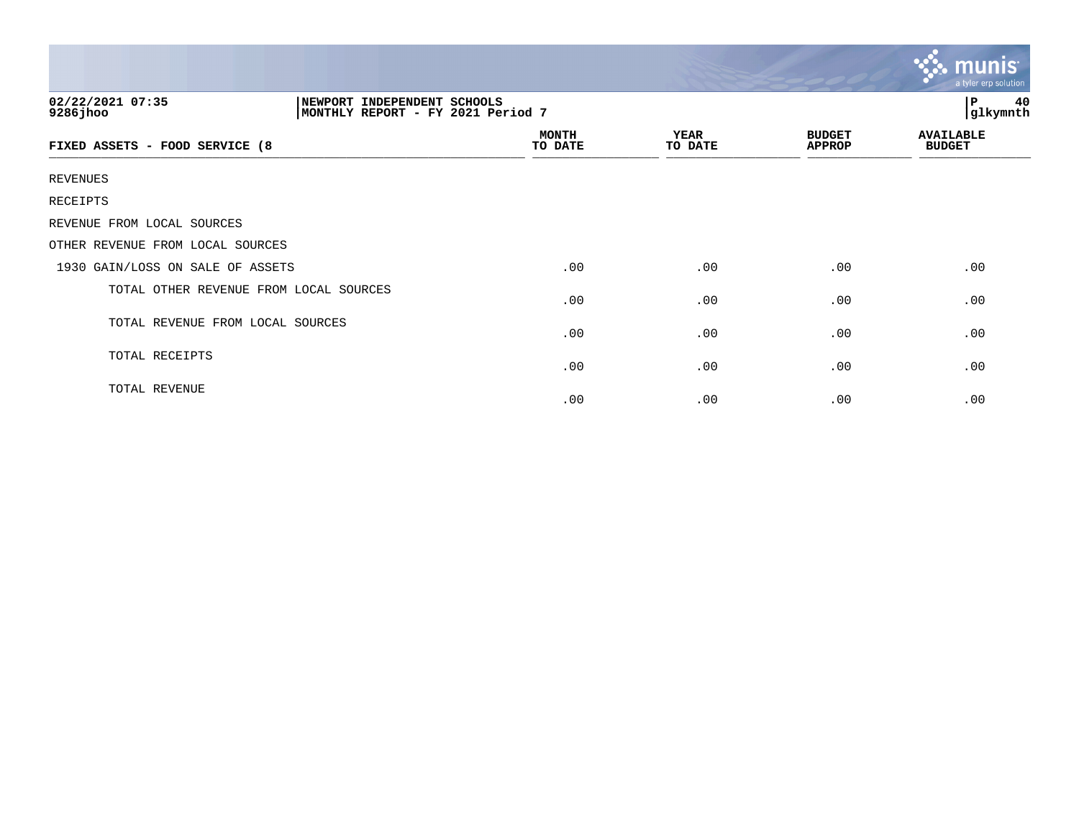|                                                                                                  |                         |                        |                                | munis<br>a tyler erp solution     |  |
|--------------------------------------------------------------------------------------------------|-------------------------|------------------------|--------------------------------|-----------------------------------|--|
| 02/22/2021 07:35<br>NEWPORT INDEPENDENT SCHOOLS<br>9286jhoo<br>MONTHLY REPORT - FY 2021 Period 7 |                         |                        |                                | $\, {\bf P}$<br>40<br>glkymnth    |  |
| FIXED ASSETS - FOOD SERVICE (8                                                                   | <b>MONTH</b><br>TO DATE | <b>YEAR</b><br>TO DATE | <b>BUDGET</b><br><b>APPROP</b> | <b>AVAILABLE</b><br><b>BUDGET</b> |  |
| <b>REVENUES</b>                                                                                  |                         |                        |                                |                                   |  |
| RECEIPTS                                                                                         |                         |                        |                                |                                   |  |
| REVENUE FROM LOCAL SOURCES                                                                       |                         |                        |                                |                                   |  |
| OTHER REVENUE FROM LOCAL SOURCES                                                                 |                         |                        |                                |                                   |  |
| 1930 GAIN/LOSS ON SALE OF ASSETS                                                                 | .00                     | .00                    | .00                            | .00                               |  |
| TOTAL OTHER REVENUE FROM LOCAL SOURCES                                                           | .00                     | .00                    | .00                            | .00                               |  |
| TOTAL REVENUE FROM LOCAL SOURCES                                                                 | .00                     | .00                    | .00                            | .00                               |  |
| TOTAL RECEIPTS                                                                                   | .00                     | .00                    | .00                            | .00                               |  |
| TOTAL REVENUE                                                                                    | .00                     | .00                    | .00                            | .00                               |  |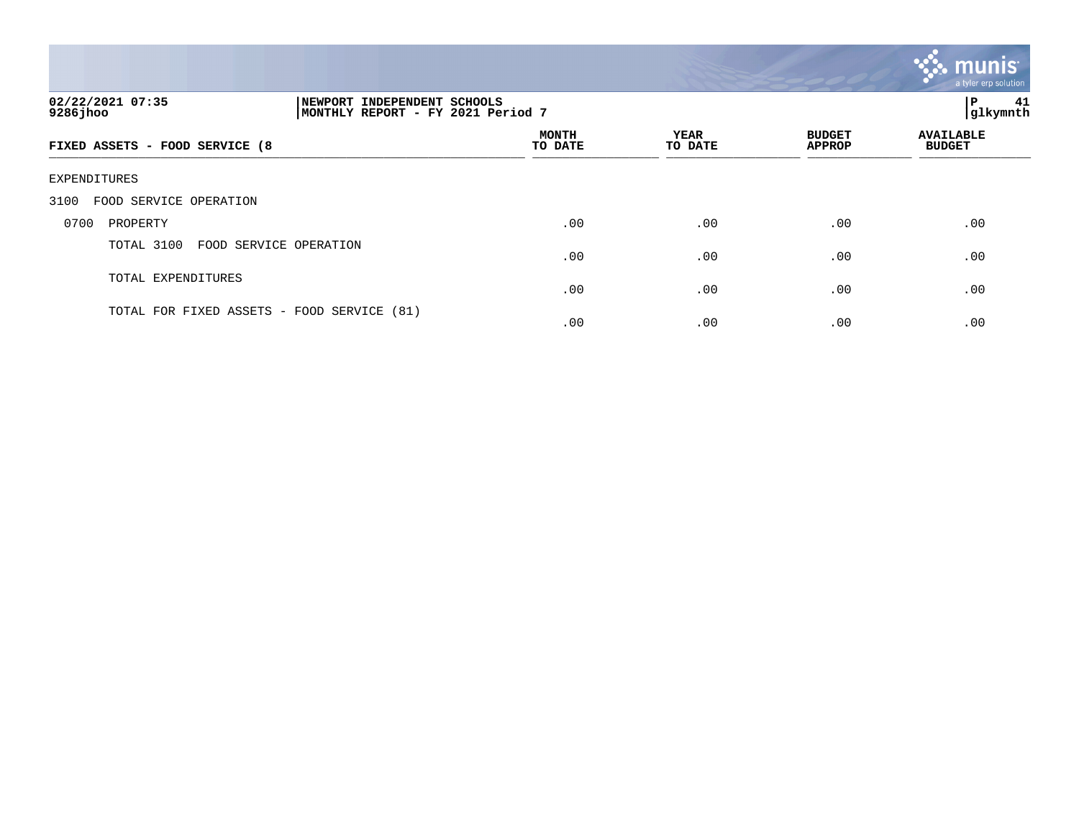|                                       |                                                                     |                         |                 |                                | mun<br>a tyler erp solution       |
|---------------------------------------|---------------------------------------------------------------------|-------------------------|-----------------|--------------------------------|-----------------------------------|
| 02/22/2021 07:35<br>$9286$ jhoo       | INDEPENDENT SCHOOLS<br>NEWPORT<br>MONTHLY REPORT - FY 2021 Period 7 |                         |                 |                                | 41<br>l P<br>glkymnth             |
| FIXED ASSETS - FOOD SERVICE (8        |                                                                     | <b>MONTH</b><br>TO DATE | YEAR<br>TO DATE | <b>BUDGET</b><br><b>APPROP</b> | <b>AVAILABLE</b><br><b>BUDGET</b> |
| EXPENDITURES                          |                                                                     |                         |                 |                                |                                   |
| FOOD SERVICE OPERATION<br>3100        |                                                                     |                         |                 |                                |                                   |
| 0700<br>PROPERTY                      |                                                                     | .00                     | .00             | .00                            | .00                               |
| TOTAL 3100<br>FOOD SERVICE OPERATION  |                                                                     | .00                     | .00             | .00                            | .00                               |
| TOTAL EXPENDITURES                    |                                                                     | .00                     | .00             | .00                            | .00                               |
| TOTAL FOR FIXED ASSETS - FOOD SERVICE | (81)                                                                | .00                     | .00             | .00                            | .00                               |